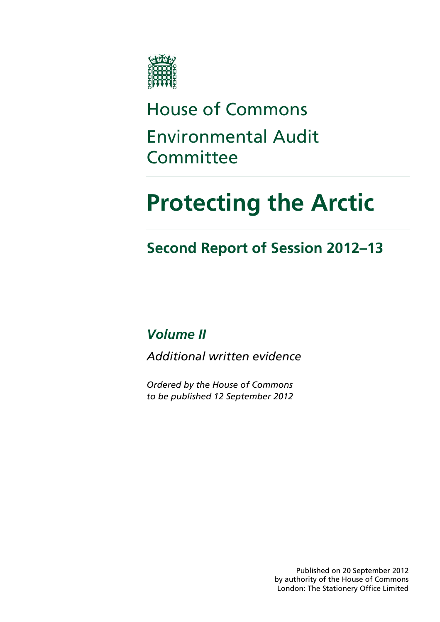

# House of Commons Environmental Audit Committee

# **Protecting the Arctic**

# **Second Report of Session 2012–13**

*Volume II* 

*Additional written evidence* 

*Ordered by the House of Commons to be published 12 September 2012* 

> Published on 20 September 2012 by authority of the House of Commons London: The Stationery Office Limited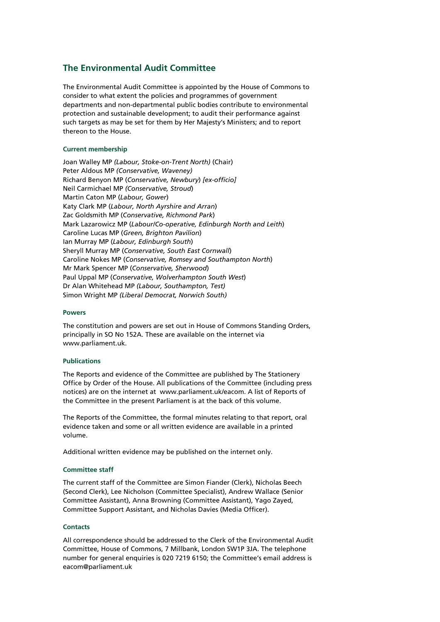# **The Environmental Audit Committee**

The Environmental Audit Committee is appointed by the House of Commons to consider to what extent the policies and programmes of government departments and non-departmental public bodies contribute to environmental protection and sustainable development; to audit their performance against such targets as may be set for them by Her Majesty's Ministers; and to report thereon to the House.

# **Current membership**

Joan Walley MP *(Labour, Stoke-on-Trent North)* (Chair) Peter Aldous MP *(Conservative, Waveney)*  Richard Benyon MP (*Conservative, Newbury*) *[ex-officio]*  Neil Carmichael MP *(Conservative, Stroud*) Martin Caton MP (*Labour, Gower*) Katy Clark MP (*Labour, North Ayrshire and Arran*) Zac Goldsmith MP (*Conservative, Richmond Park*) Mark Lazarowicz MP (*Labour/Co-operative, Edinburgh North and Leith*) Caroline Lucas MP (*Green, Brighton Pavilion*) Ian Murray MP (*Labour, Edinburgh South*) Sheryll Murray MP (*Conservative, South East Cornwall*) Caroline Nokes MP (*Conservative, Romsey and Southampton North*) Mr Mark Spencer MP (*Conservative, Sherwood*) Paul Uppal MP (*Conservative, Wolverhampton South West*) Dr Alan Whitehead MP *(Labour, Southampton, Test)*  Simon Wright MP *(Liberal Democrat, Norwich South)* 

# **Powers**

The constitution and powers are set out in House of Commons Standing Orders, principally in SO No 152A. These are available on the internet via www.parliament.uk.

# **Publications**

The Reports and evidence of the Committee are published by The Stationery Office by Order of the House. All publications of the Committee (including press notices) are on the internet at www.parliament.uk/eacom. A list of Reports of the Committee in the present Parliament is at the back of this volume.

The Reports of the Committee, the formal minutes relating to that report, oral evidence taken and some or all written evidence are available in a printed volume.

Additional written evidence may be published on the internet only.

# **Committee staff**

The current staff of the Committee are Simon Fiander (Clerk), Nicholas Beech (Second Clerk), Lee Nicholson (Committee Specialist), Andrew Wallace (Senior Committee Assistant), Anna Browning (Committee Assistant), Yago Zayed, Committee Support Assistant, and Nicholas Davies (Media Officer).

# **Contacts**

All correspondence should be addressed to the Clerk of the Environmental Audit Committee, House of Commons, 7 Millbank, London SW1P 3JA. The telephone number for general enquiries is 020 7219 6150; the Committee's email address is eacom@parliament.uk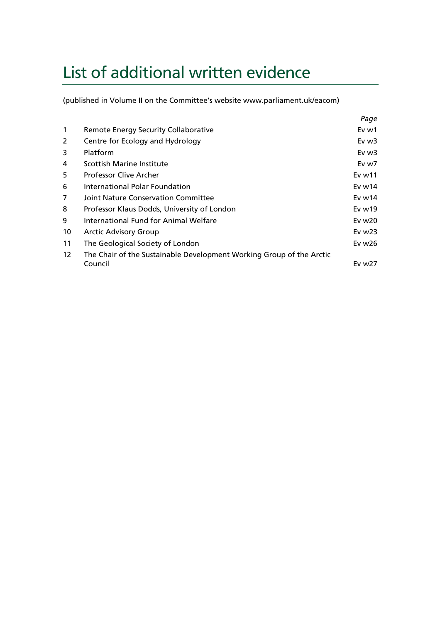# List of additional written evidence

(published in Volume II on the Committee's website www.parliament.uk/eacom)

|              |                                                                      | Page                 |
|--------------|----------------------------------------------------------------------|----------------------|
| $\mathbf{1}$ | Remote Energy Security Collaborative                                 | Ev w1                |
| 2            | Centre for Ecology and Hydrology                                     | Ev w3                |
| 3            | Platform                                                             | Ev w3                |
| 4            | Scottish Marine Institute                                            | Ev w7                |
| 5            | <b>Professor Clive Archer</b>                                        | Ev <sub>w11</sub>    |
| 6            | International Polar Foundation                                       | Ev $w14$             |
| 7            | Joint Nature Conservation Committee                                  | Ev $w14$             |
| 8            | Professor Klaus Dodds, University of London                          | $Ev$ w <sub>19</sub> |
| 9            | International Fund for Animal Welfare                                | Ev $w20$             |
| 10           | <b>Arctic Advisory Group</b>                                         | Ev $w23$             |
| 11           | The Geological Society of London                                     | Ev w26               |
| 12           | The Chair of the Sustainable Development Working Group of the Arctic |                      |
|              | Council                                                              | Ev w27               |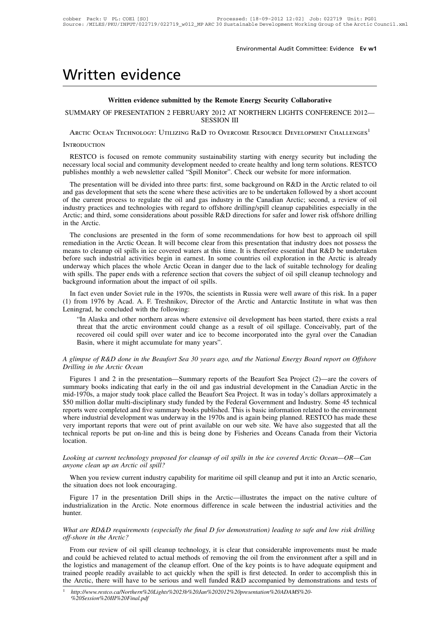# Enviror<br>
Written evidence<br>
Written evidence submitted by the Remote Energy<br>
SUMAARY OF PRESENTATION 2 FERRIAARY 2012 AT NORS

# **COMPAGE SEARCH WRITE AND COMPUTE SUPPORTS AND ASSESS AND ASSESSED AT NORTHERN LIGHTS CONFERENCE 20** Written evidence<br>
Written evidence submitted by the Remote Energy Security Collaborative<br>
SUMMARY OF PRESENTATION 2 FEBRUARY 2012 AT NORTHERN LIGHTS CONFERENCE 2012<br>
SESSION III **the Remote Energy**<br>RY 2012 AT NORTH<br>SESSION III<br>D to Overcome Re Vritten evidence<br>
Written evidence submitted by the Remote Energy Security Collaborative<br>
UMMARY OF PRESENTATION 2 FEBRUARY 2012 AT NORTHERN LIGHTS CONFERENCE 2012<br>
SESSION III<br>
ARCTIC OCEAN TECHNOLOGY: UTILIZING R&D TO OV

# **INTRODUCTION**

UMMARY OF PRESENTATION 2 FEBRUARY 2012 AT NORTHERN LIGHTS CONFERENCE 2012—<br>SESSION III<br>ARCTIC OCEAN TECHNOLOGY: UTILIZING R&D TO OVERCOME RESOURCE DEVELOPMENT CHALLENGES<sup>1</sup><br>TRODUCTION<br>RESTCO is focused on remote community SESSION III<br>
SESSION III<br>
ARCTIC OCEAN TECHNOLOGY: UTILIZING R&D TO OVERCOME RESOURCE DEVELOPMENT CHALLENGES<sup>1</sup><br>
INTRODUCTION<br>
RESTCO is focused on remote community sustainability starting with energy security but includin SESSION III<br>
SESSION III<br>
INTRODUCTION<br>
RESTCO is focused on remote community sustainability starting with energy security but including the<br>
necessary local social and community development needed to create healthy and lo TRODUCTION<br>
RESTCO is focused on remote community sustainability starting with energy security but including the<br>
cessary local social and community development needed to create healthy and long term solutions. RESTCO<br>
bli

INTRODUCTION<br>RESTCO is focused on remote community sustainability starting with energy security but including the<br>necessary local social and community development needed to create healthy and long term solutions. RESTCO<br>pu RESTCO is focused on remote community sustainability starting with energy security but including the necessary local social and community development needed to create healthy and long term solutions. RESTCO publishes month KESTCO is focused on fellote community sustainability stating with energy security out including the<br>necessary local social and community development needed to create healthy and long term solutions. RESTCO<br>publishes month hecessary focal social and community development needed to create healthy and folg term solutions. KESTCO<br>publishes monthly a web newsletter called "Spill Monitor". Check our website for more information.<br>The presentation of the current process to regulate the oil and gas industry in the Canadian Arctic; second, a review of oil<br>industry practices and technologies with regard to offshore drilling/spill cleanup capabilities especially in the<br> The presentation will be divided into three parts. Itst, some background on K&D in the Arctic related to ond gas development that sets the scene where these activities are to be undertaken followed by a short account the c and gas development mat sets the scene where these activities are to be undertaken followed by a short account<br>of the current process to regulate the oil and gas industry in the Canadian Arctic; second, a review of oil<br>ind

of the current plocess to regulate the off and gas moustry in the Canadian Arctic, second, a fevrew of on<br>industry practices and technologies with regard to offshore drilling/spill cleanup capabilities especially in the<br>Ar mausury practices and technologies with regard to orishote drilling/spin cleantly capabilities espectany in the<br>Arctic; and third, some considerations about possible R&D directions for safer and lower risk offshore drillin Arctic, and tima, some considerations about possible K&D directions for safer and lower lisk offshiole driming<br>in the Arctic.<br>The conclusions are presented in the form of some recommendations for how best to approach oil s In the Arctic.<br>
The conclusions are presented in the form of some recommendations for how best to approach oil spill<br>
remediation in the Arctic Ocean. It will become clear from this presentation that industry does not poss means to cleanup oil spills in ice covered waters at this time. It is therefore essential that R&D be undertaken<br>before such industrial activities begin in earnest. In some countries oil exploration in the Arctic is alread nequation in the Arctic Ocean. It will become clear from this presentation that mutustry does not possess the<br>ans to cleanup oil spills in ice covered waters at this time. It is therefore essential that R&D be undertaken<br>f The sure of this risk. In a paper such industrial activities begin in earnest. In some countries oil exploration in the Arctic is already underway which places the whole Arctic Ocean in danger due to the lack of suitable t before such muustrial activities begin in earnest.<br>
underway which places the whole Arctic Ocean in<br>
with spills. The paper ends with a reference section<br>
background information about the impact of oil sp<br>
In fact even und

spills. The paper ends with a reference section that covers the subject of oil spill cleanup technology and ground information about the impact of oil spills.<br>
fact even under Soviet rule in the 1970s, the scientists in Ru From 1976 by Acad. A. F. Treshnikov, Director of the Arctic and Antarctic Institute in what was then the arctic even under Soviet rule in the 1970s, the scientists in Russia were well aware of this risk. In a paper rom 197 Fact even under Soviet rule in the 1970s, the scientists in Russia were well aware of this risk. In a paper<br>rom 1976 by Acad. A. F. Treshnikov, Director of the Arctic and Antarctic Institute in what was then<br>ngrad, he conc fact even under Soviet rule in the 1970s, the scientists in<br>rom 1976 by Acad. A. F. Treshnikov, Director of the ngrad, he concluded with the following:<br>"In Alaska and other northern areas where extensive oil<br>threat that t *A glimpse of R&D done in the Beaufort Sea 30 years ago, and the National Energy Board report on Offshore*<br>*A glimpse of R&D done in the Beaufort Sea 30 years ago, and the National Energy Board report on Offshore*<br>*A glimp Profiling Halaska and other northern area threat that the arctic environmen recovered oil could spill over wa Basin, where it might accumulate A glimpse of R&D done in the Beaufor Drilling in the Arctic Ocean Figures 1 an* 

Figures 1 and 2 in the presentation—Summary reports of the Beaufort Sea Project (2)—are the covers of mmary books indicating that early in the oil and gas industrial development in the Canadian Figures 1 and 2 in the prese Basin, where it might accumulate for many years".<br>Basin, where it might accumulate for many years".<br>A glimpse of R&D done in the Beaufort Sea 30 years ago, and the National Energy Board report on Offshore<br>Drilling in the A Dasin, where it might accumulate for many years.<br>
A glimpse of R&D done in the Beaufort Sea 30 years ago, and the National Energy Board report on Offshore<br>
Drilling in the Arctic Ocean<br>
Figures 1 and 2 in the presentation— A glimpse of R&D done in the Beaufort Sea 30 years ago, and the National Energy Board report on Offshore<br>Drilling in the Arctic Ocean<br>Figures 1 and 2 in the presentation—Summary reports of the Beaufort Sea Project (2)—are *A gumpse of K&D uone in the Beaufort Sea 30 years ago, and the National Energy Board report on Offshore*<br>Drilling in the Arctic Ocean<br>Figures 1 and 2 in the presentation—Summary reports of the Beaufort Sea Project (2)—are *Figures* 1 and 2 in the presentation—Summary reports of the Beaufort Sea Project (2)—are the covers of summary books indicating that early in the oil and gas industrial development in the Canadian Arctic in the mid-1970s, Figures 1 and 2 in the presentation—Summary reports of the Beaufort Sea Project (2)—are the covers of summary books indicating that early in the oil and gas industrial development in the Canadian Arctic in the mid-1970s, a summary books indicating that early in the oil and gas industrial development in the Canadian Arctic in the mid-1970s, a major study took place called the Beaufort Sea Project. It was in today's dollars approximately a \$50 location. *Looking at current technology proposed for cleanup of oil spills in the ice covered Arctic Ocean—OR—Canayone clean up an Arctic oil spill?* where industrial development was underway in the 1970s and is again being planned. RESTCO has made these<br>very important reports that were out of print available on our web site. We have also suggested that all the<br>technica When you review current industry capability for maritime oil spill cleanup and put it into an Arctic *Ocean—OR—Can*<br>when you review current industry capability for maritime oil spill cleanup and put it into an Arctic scena

Looking at current technology proposed for cleanup of oil spills in the ice covered Arctic Ocean—OR—Can anyone clean up an Arctic oil spill?<br>When you review current industry capability for maritime oil spill cleanup and pu

oking at current technology proposed for cleanup of oil spills in the ice covered Arctic Ocean—OR—Can<br>yone clean up an Arctic oil spill?<br>When you review current industry capability for maritime oil spill cleanup and put it Looking at current technology proposed for cleanup of oil spills in the ice covered Arctic Ocean—OR—Can anyone clean up an Arctic oil spill?<br>When you review current industry capability for maritime oil spill cleanup and pu hunter. *What are RD&D requirements (especially the final D for demonstration) leading to safe and low risk drilling* of shore in the Arctic. Note enormous difference in scale between the industrial activities and the hunter.<br>What industrialization in the Arctic. Note enormous difference in scale between the industrial activities and the hunter.<br> *What are RD&D requirements (especially the final D for demonstration) leading to safe and low risk dril* 

From our review of oil spill cleanup technology, it is clear that considerable improvements must be made that *are RD&D requirements (especially the final D for demonstration) leading to safe and low risk drilling f-shore* madistributed in the Treate. Took enormous americies in searc between the madistrial derivies and the hunter.<br>What are RD&D requirements (especially the final D for demonstration) leading to safe and low risk drilling<br>offthe documerate and the Arctic?<br>
What are RD&D requirements (especially the final D for demonstration) leading to safe and low risk drilling<br>
off-shore in the Arctic?<br>
From our review of oil spill cleanup technology, it is What are RD&D requirements (especially the final D for demonstration) leading to safe and low risk drilling off-shore in the Arctic?<br>
From our review of oil spill cleanup technology, it is clear that considerable improvem what are KD&D requirements (espectatly the jinal D jor aemonstration) leading to safe and tow risk ariting<br>off-shore in the Arctic?<br>From our review of oil spill cleanup technology, it is clear that considerable improvemen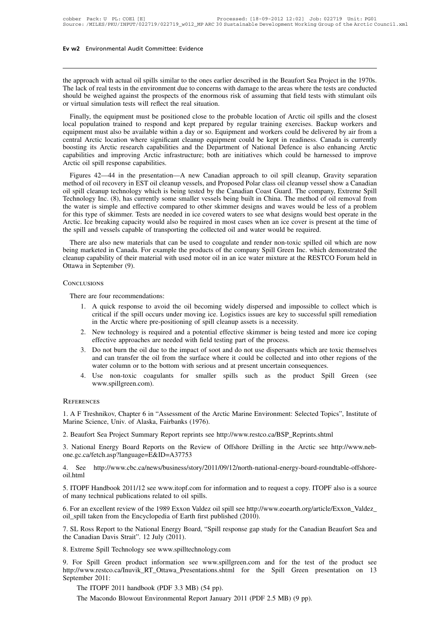**Ev w2** Environmental Audit Committee: Evidence<br>
the approach with actual oil spills similar to the ones earlier described in the Beaufort Sea Project in the 1970s.<br>
The lack of real tests in the environment due to concern The approach with actual oil spills similar to the ones earlier described in the Beaufort Sea Project in the 1970s.<br>The lack of real tests in the environment due to concerns with damage to the areas where the tests are con **Ev w2** Environmental Audit Committee: Evidence<br>
the approach with actual oil spills similar to the ones earlier described in the Beaufort Sea Project in the 1970s.<br>
The lack of real tests in the environment due to concern The approach with actual oil spills similar to the ones earlier of<br>The lack of real tests in the environment due to concerns with<br>should be weighed against the prospects of the enormous ris<br>or virtual simulation tests will Example approach with actual oil spills similar to the ones earlier described in the Beaufort Sea Project in the 1970s.<br>
E lack of real tests in the environment due to concerns with damage to the areas where the tests are

the approach with actual oil spills similar to the ones earlier described in the Beaufort Sea Project in the 1970s.<br>The lack of real tests in the environment due to concerns with damage to the areas where the tests are con In a provide must also be available with a due once the available with damage to the areas where the tests are conducted should be weighed against the prospects of the enormous risk of assuming that field tests with stimul The fack of ican tests in the chyricolinical the to concerns while dange to the arcas where the tests are conducted<br>should be weighed against the prospects of the enormous risk of assuming that field tests with stimulant o boosting its Arctic research capabilities and the Department of National Defence is also enhancies and equipment must be positioned close to the probable location of Arctic oil spills and the closest local population train Finally, the equipment must be positioned close to the probable location of Arctic oil spills and the closest<br>local population trained to respond and kept prepared by regular training exercises. Backup workers and<br>equipmen Finally, the equipment must be position<br>local population trained to respond and<br>equipment must also be available within a<br>central Arctic location where significant<br>boosting its Arctic research capabilities<br>capabilities and an population trained to respond and kept prepated by regular training exercises. Backup workers and<br>uipment must also be available within a day or so. Equipment and workers could be delivered by air from a<br>tral Arctic loc equipment mist also be available whilm a day of so. Equipment and workers colled be derivered by all from a<br>central Arctic location where significant cleanup equipment could be kept in readiness. Canada is currently<br>boosti

boosting its Arctic research capabilities and the Department of National Defence is also enhancing Arctic capabilities and improving Arctic infrastructure; both are initiatives which could be harnessed to improve Arctic oi boosting its Arctic Estatch Capabilities and the Department of National Deference is also emfanting Arctic capabilities and improving Arctic infrastructure; both are initiatives which could be harnessed to improve Arctic o Example and mean and measurement of source in an arminal was when could be handled to improve<br>Arctic oil spill response capabilities.<br>Figures 42—44 in the presentation—A new Canadian approach to oil spill cleanup, Gravity Figures 42—44 in the presentation—A new Canadian approach to oil spill cleanup, Gravity separation<br>method of oil recovery in EST oil cleanup vessels, and Proposed Polar class oil cleanup vessel show a Canadian<br>oil spill cl Figures 42—44 in the presentation—A new Canadian approach to oil spill cleanup, Gravity separation<br>method of oil recovery in EST oil cleanup vessels, and Proposed Polar class oil cleanup vessel show a Canadian<br>oil spill cl method of oil recovery in EST oil cleanup vessels, and Proposed Polar class oil cleanup vessel show a Canadian<br>oil spill cleanup technology which is being tested by the Canadian Coast Guard. The company, Extreme Spill<br>Tech spin cleanup technology witch is ocing tested by the Canadian Coast Guard. The company, Extreme spin<br>chnology Inc. (8), has currently some smaller vessels being built in China. The method of oil removal from<br>exter is simpl Free the water is simple and effective compared to other skimmer designs and waves would be less of a problem<br>for this type of skimmer. Tests are needed in ice covered waters to see what designs would best operate in the<br>A

the water is simple and cricenve compared to other skinniner designs and waves would be ress or a problem<br>for this type of skimmer. Tests are needed in ice covered waters to see what designs would best operate in the<br>Arcti the spill and vessels capable of transporting the collected oil and water would be required.<br>There are also new materials that can be used to coagulate and render non-toxic spilled oil which are now<br>being marketed in Canad ing marketed in Canada. For example the<br>
eanup capability of their material with u<br>
tawa in September (9).<br>
DNCLUSIONS<br>
There are four recommendations:<br>
1. A quick response to avoid the<br>
critical if the spill occurs under

# **CONCLUSIONS**

- 1. per propositive of their material with used motor oil in an ice water mixture at the RESTCO Forum held in<br>
1. A quick response to avoid the oil becoming widely dispersed and impossible to collect which is<br>
1. A quick re September (9).<br>
critical if the spill occurs under moving ice. Logistics issues are key to successful spill remediation<br>
in the Arctic where pre-positioning of spill cleanup assets is a necessity.<br>
New technology is requir in the Arctic where the Arctic where the Arctic where the Arctic where pre-positioning of spill cleanup assets is a necessity.<br>
New technology is required and a potential effective skimmer is being tested<br>
effective approa 2. LUSIONS<br>
2. A quick response to avoid the oil becoming widely dispersed and impossible to collect which is<br>
2. A quick response to avoid the oil becoming ice. Logistics issues are key to successful spill remediation<br>
2. There are four recommendations:<br>
1. A quick response to avoid the oil becoming widely dispersed and impossible to collect which is<br>
critical if the spill occurs under moving ice. Logistics issues are key to successful spil 3. A quick response to avoid the oil becoming widely dispersed and impossible to collect which is critical if the spill occurs under moving ice. Logistics issues are key to successful spill remediation in the Arctic where
	-
	- A quick response to avoid the on becoming wherly dispersed and impossible to conect which is<br>critical if the spill occurs under moving ice. Logistics issues are key to successful spill remediation<br>in the Arctic where pre-p Fincar in the spin occurs under moving ice. Eogistics issues are key to successity spin in the Arctic where pre-positioning of spill cleanup assets is a necessity.<br>New technology is required and a potential effective skimm 2. New technology is required and a potential effective skimmer is being tested and more ice coping effective approaches are needed with field testing part of the process.<br>3. Do not burn the oil due to the impact of soot a
	- www.spillgreen.com).

# **REFERENCES**

water column or to the bottom with serious and at present uncertain consequences.<br>
4. Use non-toxic coagulants for smaller spills such as the product Spill Green (see<br>
www.spillgreen.com).<br>
REFERENCES<br>
1. A F Treshnikov, C 4. Use non-toxic coagulants for smaller s<br>www.spillgreen.com).<br>REFERENCES<br>1. A F Treshnikov, Chapter 6 in "Assessment of the Arcti<br>Marine Science, Univ. of Alaska, Fairbanks (1976).<br>2. Beaufort Sea Project Summary Report r WWW.Spingreen.comj.<br>
2. Beaufort Sea Project Summary Report reprints see http://www.restco.ca/BSP\_Reprints.shtml<br>
2. Beaufort Sea Project Summary Report reprints see http://www.restco.ca/BSP\_Reprints.shtml<br>
3. National Ene 3. REFERENCES<br>
3. A F Treshnikov, Chapter 6 in "Assessment of the Arctic Marine Environment: Selected Topics", Institute of<br>
3. Beaufort Sea Project Summary Report reprints see http://www.restco.ca/BSP\_Reprints.shtml<br>
3. N

one.gc.ca/fetch.asp?language=E&ID=A37753 Marine Science, Univ. of Alaska, Fairbanks (1976).<br>
2. Beaufort Sea Project Summary Report reprints see http://www.restco.ca/BSP\_Reprints.shtml<br>
3. National Energy Board Reports on the Review of Offshore Drilling in the Ar 5. National Energy Board Reports on the Review of Offshore Drilling in the Arctic see http://www.neb-<br>one.gc.ca/fetch.asp?language=E&ID=A37753<br>4. See http://www.cbc.ca/news/business/story/2011/09/12/north-national-energy-b

oil.html 3. National Energy Board Reports on the Review of<br>
one.gc.ca/fetch.asp?language=E&ID=A37753<br>
4. See http://www.cbc.ca/news/business/story/2011/0<br>
oil.html<br>
5. ITOPF Handbook 2011/12 see www.itopf.com for info<br>
of many tech 6. For an excellent review of the 1989 Exxon Valdez oil spill see http://www.eoearth.org/article/Exxon\_Valdez\_<br>6. For an excellent review of the 1989 Exxon Valdez oil spill see http://www.eoearth.org/article/Exxon\_Valdez\_<br>

4. See http://www.cbc.ca/news/business/story/2011/09/12/north-national<br>oil.html<br>5. ITOPF Handbook 2011/12 see www.itopf.com for information and to req<br>of many technical publications related to oil spills.<br>6. For an excelle

of many technical publications related to oil spills.<br>
6. For an excellent review of the 1989 Exxon Valdez oil spill see http://www.eoearth.org/article/Exxon\_Valdez\_<br>
oil\_spill taken from the Encyclopedia of Earth first pu

5. ITOPF Handbook 2011/12 see www.itopf.com for information and to request a copy. ITOPF also is a source<br>of many technical publications related to oil spills.<br>6. For an excellent review of the 1989 Exxon Valdez oil spill

9. For Spill Green product information see www.spillgreen.com and for the test of the product see 9. For Spill taken from the Encyclopedia of Earth first published (2010).<br>
9. SL Ross Report to the National Energy Board, "Spill response gap study for the Canadian Beaufort Sea and<br>
9. Extreme Spill Technology see www.sp 1.<br>
7. SL Ross Report to the National Energy Board, "Spill response gap study for the Canadian Beaufort Sea and<br>
the Canadian Davis Strait". 12 July (2011).<br>
8. Extreme Spill Technology see www.spilltechnology.com<br>
9. For 7. SL Ross Report to the<br>the Canadian Davis Str<br>8. Extreme Spill Techn<br>9. For Spill Green p<br>http://www.restco.ca/In<br>September 2011:<br>The ITOPF 2011 Anadalah Davis Sualt . 12 July (2011).<br>
Itreme Spill Technology see www.spilltechnology.com<br>
or Spill Green product information see www.spillgre<br>
"/www.restco.ca/Inuvik\_RT\_Ottawa\_Presentations.shtml<br>
ember 2011:<br>
The ITOPF treme Spill Technology see www.spilltechnology.com<br>or Spill Green product information see www.spillgreen.com and for the tes<br>//www.restco.ca/Inuvik\_RT\_Ottawa\_Presentations.shtml for the Spill Green<br>ember 2011:<br>The ITOPF 20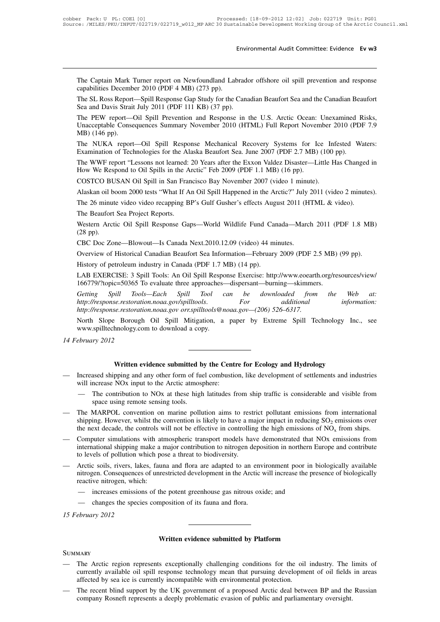Environmental Audit Committee: Evidence Ev w3<br>The Captain Mark Turner report on Newfoundland Labrador offshore oil spill prevention and response<br>capabilities December 2010 (PDF 4 MB) (273 pp).<br>The SI Ross Report—Spill Resp E<br>The Captain Mark Turner report on Newfoundland Lab<br>capabilities December 2010 (PDF 4 MB) (273 pp).<br>The SL Ross Report—Spill Response Gap Study for the C<br>Sea and Davis Strait July 2011 (PDE 111 KB) (37 pp) Environmental Audit Committee: Evidence Evives<br>The Captain Mark Turner report on Newfoundland Labrador offshore oil spill prevention and response<br>capabilities December 2010 (PDF 4 MB) (273 pp).<br>The SL Ross Report—Spill Res The Captain Mark Turner report on Newfoundland Labrado<br>capabilities December 2010 (PDF 4 MB) (273 pp).<br>The SL Ross Report—Spill Response Gap Study for the Cana<br>Sea and Davis Strait July 2011 (PDF 111 KB) (37 pp).<br>The PEW r

The Captain Mark Turner report on Newfoundland Labrador offshore oil spill prevention and response capabilities December 2010 (PDF 4 MB) (273 pp).<br>The SL Ross Report—Spill Response Gap Study for the Canadian Beaufort Sea a The Captain Mark Turner report on Newfoundland Labrador offshore oil spill prevention and response<br>capabilities December 2010 (PDF 4 MB) (273 pp).<br>The SL Ross Report—Spill Response Gap Study for the Canadian Beaufort Sea a ric explain *Hain*<br>capabilities Decemb<br>The SL Ross Report<br>Sea and Davis Strait<br>The PEW report—<br>Unacceptable Conse<br>MB) (146 pp).<br>The NUKA report The SL Ross Report—Spill Response Gap Study for the Canadian Beaufort Sea and the Canadian Beaufort<br>Sea and Davis Strait July 2011 (PDF 111 KB) (37 pp).<br>The PEW report—Oil Spill Prevention and Response in the U.S. Arctic O The PEW report—Oil Spill Prevention and Response in the U.S. Arctic Ocean: Unexamined F<br>Unacceptable Consequences Summary November 2010 (HTML) Full Report November 2010 (PD)<br>MB) (146 pp).<br>The NUKA report—Oil Spill Response The PEW report—Oil Spill Prevention and Response in the U.S. Arctic Ocean: Unexamined Risks,<br>
Unacceptable Consequences Summary November 2010 (HTML) Full Report November 2010 (PDF 7.9<br>
MB) (146 pp).<br>
The NUKA report—Oil Sp The TEW report of Pepin Trevention and Response in the Oils. There Oceani.<br>
Unacceptable Consequences Summary November 2010 (HTML) Full Report Novem<br>
MB) (146 pp).<br>
The NUKA report—Oil Spill Response Mechanical Recovery Sy

MB) (146 pp).<br>The NUKA report—Oil Spill Response Mechanical Recovery Systems for Ice Infexamination of Technologies for the Alaska Beaufort Sea. June 2007 (PDF 2.7 MB) (100<br>The WWF report "Lessons not learned: 20 Years aft The NUKA report—Oil Spill Response Mechanical Recovery Systems for Ice Infested Waters:<br>Examination of Technologies for the Alaska Beaufort Sea. June 2007 (PDF 2.7 MB) (100 pp).<br>The WWF report "Lessons not learned: 20 Year

Examination of Technologies for the Alaska Beatroft Sea. June 2007 (FDF 2.7 MB) (100 pp).<br>The WWF report "Lessons not learned: 20 Years after the Exxon Valdez Disaster—Little Has Changed<br>How We Respond to Oil Spills in the The WWF report "Lessons not learned: 20 Years after the Exxon Valdez Disaster—Little Has Changed in<br>How We Respond to Oil Spills in the Arctic" Feb 2009 (PDF 1.1 MB) (16 pp).<br>COSTCO BUSAN Oil Spill in San Francisco Bay Nov

COSTCO BUSAN Oil Spill in San Francisco Bay November 2007 (video 1 minute).<br>Alaskan oil boom 2000 tests "What If An Oil Spill Happened in the Arctic?" July 2011 (video 2 minutes).<br>The 26 minute video video recapping BP's G COSTCO BC<br>Alaskan oil b<br>The 26 minut<br>The Beaufort<br>Western Arct<br>(28 pp).<br>CBC Doc Zo Alaskan on boom 2000 tests What II All On Spin Happened in the Alctic? July<br>The 26 minute video video recapping BP's Gulf Gusher's effects August 2011 (H<br>The Beaufort Sea Project Reports.<br>Western Arctic Oil Spill Response The 20 innute video video recapping Br s Guin Gussier s enects August 2011 (ITTME & video).<br>
The Beaufort Sea Project Reports.<br>
Western Arctic Oil Spill Response Gaps—World Wildlife Fund Canada—March 2011 (PDF 1.8 MB)<br>
(28 The Beatroft sea Froject Reports.<br>
Western Arctic Oil Spill Response Gaps—World Wildlife Fund Car<br>
(28 pp).<br>
CBC Doc Zone—Blowout—Is Canada Next.2010.12.09 (video) 44 mi<br>
Overview of Historical Canadian Beaufort Sea Inform

Western Arctic On Spin Response Gaps—world Wildhe Pulla Canada—watch 2011 (FDP 1.8 MB)<br>
CBC Doc Zone—Blowout—Is Canada Next.2010.12.09 (video) 44 minutes.<br>
Overview of Historical Canadian Beaufort Sea Information—February (26 pp).<br>
CBC Doc Zone—Blowout—Is Canada Next.2010.12.09 (video) 44 minutes.<br>
Overview of Historical Canadian Beaufort Sea Information—February 2009 (PDF 2.5 MB)<br>
History of petroleum industry in Canada (PDF 1.7 MB) (14 pp

*GBC Doc Zone—Blowout—Is Canada Next.2010.12.09 (Video)* 44 minutes.<br> *Getting of petroleum industry in Canada (PDF 1.7 MB) (14 pp).*<br> *LAB EXERCISE: 3 Spill Tools: An Oil Spill Response Exercise: http://www.eoearth.org/re Overview of Historical Canadian Beaufort Sea Information—February 2009 (PDF 2.5 MB) (99 pp).*<br> *History of petroleum industry in Canada (PDF 1.7 MB) (14 pp).*<br> *LAB EXERCISE: 3 Spill Tools: An Oil Spill Response Exercise: History of petroleum industry in Canada (PDF 1.7 MB) (14 pp).*<br> *LAB EXERCISE: 3 Spill Tools: An Oil Spill Response Exercise: http://www.eoeartl*<br> *http://response.restoration.noaa.gov/spilltools.* For additional<br> *http:/* LAB EXERCISE: 3 Spill Tools: An Oil Spill Response Exercise: http://www.eoearth.org/resources/view/<br>
166779/?topic=50365 To evaluate three approaches—dispersant—burning—skimmers.<br> *Getting Spill Tools—Each Spill Tool can b* 166779/?topic=50365 To evaluate three approaches-<br>166779/?topic=50365 To evaluate three approaches-<br>Getting Spill Tools—Each Spill Tool c<br>http://response.restoration.noaa.gov/spilltools@n<br>North Slope Borough Oil Spill Miti *14 Fools http://response.restorationaltyp://response.restorationaltyp://response.restorationaltypy/response.restorationaltypy/response.restorationaltypy.com/2012* 

Extreme Spill Technology Incomposite Spill Spill Mitigation, a paper by Extreme Spill Technology Incomposite the download a copy.<br>
Written evidence submitted by the Centre for Ecology and Hydrology<br>
pping and any other for

- www.spilltechnology.com to download a copy.<br>
14 February 2012<br> **Written evidence submitted by the Centre for Ecology and Hydrology**<br>
 Increased shipping and any other form of fuel combustion, like development of settlemen ebruary 2012<br>
Written evidence submitted by the Centru<br>
Increased shipping and any other form of fuel combustic<br>
will increase NOx input to the Arctic atmosphere:<br>
— The contribution to NOx at these high latitudes fi Written evidence submitted by the Centre for Ecology and Hydrology<br>
Increased shipping and any other form of fuel combustion, like development of settlements and industries<br>
will increase NOx input to the Arctic atmosphere **Written evidence submitted b**<br>ased shipping and any other form of fue<br>ncrease NOx input to the Arctic atmos<br>The contribution to NOx at these high<br>space using remote sensing tools.<br>MARPOL convention on marine pollution How
	-
- **EXECT WRIGHT WARPOL CONSUMBED**<br>
 Increased shipping and any other form of fuel combustion, like development of settlements and industries<br>
will increase NOx input to the Arctic atmosphere:<br>
 The contribution to NOx at Increased shipping and any other form of fuel combustion, like development of settlements and industries<br>will increase NOx input to the Arctic atmosphere:<br>— The contribution to NOx at these high latitudes from ship traffi will increase NOx input to the Arctic atmosphere:<br>
— The contribution to NOx at these high latitudes from ship traffic is considerable and visible from<br>
space using remote sensing tools.<br>
The MARPOL convention on marine p — The contribution to NOx at these high latitudes from ship traffic is considerable and visible from<br>space using remote sensing tools.<br>— The MARPOL convention on marine pollution aims to restrict pollutant emissions from The MARPOL convention on marine pollution aims to rest<br>shipping. However, whilst the convention is likely to have a m<br>the next decade, the controls will not be effective in controllin<br>Computer simulations with atmospheric
- space using remote sensing tools.<br>The MARPOL convention on marine pollution aims to restrict pollutant emissions from international<br>shipping. However, whilst the convention is likely to have a major impact in reducing  $SO_$ is the presence of the convention is likely to have a major impact in reducing SO<sub>2</sub> emissions over<br>the next decade, the controls will not be effective in controlling the high emissions of NO<sub>x</sub> from ships.<br>— Computer sim nitrogen. Consequences of unrestricted development in the Arctic will increase the presence of biologically reactive international shipping make a major contribution to nitrogen deposition in northern Europe and contribut reactive nine declare, the controls with a<br>tinternational shipping make a n<br>to levels of pollution which po<br>Arctic soils, rivers, lakes, faun<br>nitrogen. Consequences of unre<br>reactive nitrogen, which:<br>— increases emissions o
- merrational shipping make a major contribution to nitrogen deposition in northern E<br>is developed by a major contribution to nitrogen deposition in northern E<br>is developed by a threat to biodiversity.<br>Arctic soils, rivers, to levels of pollution which pose a threat to biodiversity.<br>Arctic soils, rivers, lakes, fauna and flora are adapted to an enventrogen. Consequences of unrestricted development in the Arctic veactive nitrogen, which:<br>— inc — Arctic soils, rivers, lake<br>
nitrogen. Consequences<br>
reactive nitrogen, which<br>
— increases emissions<br>
— changes the species<br>
15 February 2012
	- the potent greenhouse gas nitrous oxide; and<br>mposition of its fauna and flora.<br>**Written evidence submitted by Platform**
	-

# **SUMMARY**

- Written evidence submitted by Platform<br>
SUMMARY<br>
 The Arctic region represents exceptionally challenging conditions for the oil industry. The limits of<br>
currently available oil spill response technology mean that pursuing Written evidence submitted by Platform<br>The Arctic region represents exceptionally challenging conditions for the oil industry. The limits of<br>currently available oil spill response technology mean that pursuing development **EXECUTE:**<br>MARY<br>The Arctic region represents exceptionally challenging conditions for the oil<br>currently available oil spill response technology mean that pursuing developme<br>affected by sea ice is currently incompatible wit SUMMARY<br>
— The Arctic region represents exceptionally challenging conditions for the oil industry. The limits of<br>
currently available oil spill response technology mean that pursuing development of oil fields in areas<br>
aff MARY<br>The Arctic region represents exceptionally challenging conditions for the oil industry. The 1<br>currently available oil spill response technology mean that pursuing development of oil fields<br>affected by sea ice is curre
-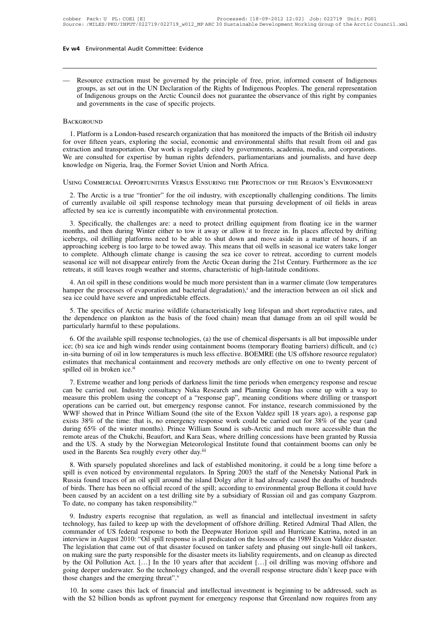Ev w<sup>4</sup> Environmental Audit Committee: Evidence<br>
— Resource extraction must be governed by the principle of free, prior, informed consent of Indigenous<br>
groups, as set out in the UN Declaration of the Rights of Indigenous France extraction must be governed by the principle of free, prior, informed consent of Indigenous<br>groups, as set out in the UN Declaration of the Rights of Indigenous Peoples. The general representation<br>of Indigenous grou 4 Environmental Audit Committee: Evidence<br>Resource extraction must be governed by the principle of free, prior, informed consent of Indigenous<br>groups, as set out in the UN Declaration of the Rights of Indigenous Peoples. T Resource extraction must be governed by the princip<br>groups, as set out in the UN Declaration of the Rights<br>of Indigenous groups on the Arctic Council does not g<br>and governments in the case of specific projects.<br>KGROUND 1. Platform is a London-based research organization that has monitored the impacts of this right by companies<br>and governments in the case of specific projects.<br>ACKGROUND<br>1. Platform is a London-based research organization

# **BACKGROUND**

For a provide and governments in the case of specific projects.<br>
BACKGROUND<br>
1. Platform is a London-based research organization that has monitored the impacts of the British oil industry<br>
for over fifteen years, exploring extraction and governments in the case of specific projects.<br>
BACKGROUND<br>
1. Platform is a London-based research organization that has monitored the impacts of the British oil industry<br>
for over fifteen years, exploring th BACKGROUND<br>1. Platform is a London-based research organization that has monitored the impacts of the British oil industry<br>for over fifteen years, exploring the social, economic and environmental shifts that result from oil 1. Platform is a London-based research organization that has monitored the impacts of the British oil industry<br>for over fifteen years, exploring the social, economic and environmental shifts that result from oil and gas<br>ex BACKGROUND<br>1. Platform is a London-based research organization that has monitored the impacts of the British oil industry<br>for over fifteen years, exploring the social, economic and environmental shifts that result from oil Exercion and transportation. Our work is regularly cited by governments, academia, media, and corporations.<br>
The arc consulted for expertise by human rights defenders, parliamentarians and journalists, and have deep<br>
owled

We are consulted for expertise by human rights defenders, parliamentarians and journalists, and have deep<br>knowledge on Nigeria, Iraq, the Former Soviet Union and North Africa.<br>Using Commercial Opportunities Versus Ensueing 2. The Arctic is a true "frontier" for the oil industry, with exceptionally challenging conditions. The limits of currently available oil spill response technology mean that pursuing development of oil fields in areas affe SING COMMERCIAL OPPORTUNITIES VERSUS ENSURING THE PROTECTION OF THE REGION'S ENVIRONMENT<br>2. The Arctic is a true "frontier" for the oil industry, with exceptionally challenging conditions. The limits<br>currently available oi

USING COMMERCIAL OPPORTUNITIES VERSUS ENSURING THE PROTECTION OF THE REGION'S ENVIRONMENT<br>
2. The Arctic is a true "frontier" for the oil industry, with exceptionally challenging conditions. The limits<br>
of currently availa 2. The Arctic is a true "frontier" for the oil industry, with exceptionally challenging conditions. The limits of currently available oil spill response technology mean that pursuing development of oil fields in areas affe 2. The Arctic is a the Honder Tof the off modusty, whil exceptionary chanteriging conditions. The mints of currently available oil spill response technology mean that pursuing development of oil fields in areas affected by or currently avariable on spin response technology incant that pursuing development or on netas in ateas<br>affected by sea ice is currently incompatible with environmental protection.<br>3. Specifically, the challenges are: a n 3. Specifically, the challenges are: a need to protect drilling equipment from floating ice in the warmer months, and then during Winter either to tow it away or allow it to freeze in. In places affected by drifting iceber icebergs, oil drilling platforms need to be able to shut down and move aside in a matter of hours, if an approaching iceberg is too large to be towed away. This means that oil wells in seasonal ice waters take longer to co bergs, oil drilling platforms need to be able to shut down and move aside in a matter of hours, if an proaching iceberg is too large to be towed away. This means that oil wells in seasonal ice waters take longer complete. hamper to complete. Although climate change is causing the sea ice cover to retreat, according to current models seasonal ice will not disappear entirely from the Arctic Ocean during the 21st Century. Furthermore as the ic

retreats, it still leaves rough weather and storms, characteristic of high-latitude conditions.<br>4. An oil spill in these conditions would be much more persistent than in a warmer climate (low temperatures<br>hamper the proces Solutional ice will not disappear entirely from the Arctic Ocean during the 21st Century. Furthermore as the ice<br>reats, it still leaves rough weather and storms, characteristic of high-latitude conditions.<br>4. An oil spill

the dependence on plankton as the basis of the food chain) mean that damage from an oil spill would be all the interaction,<sup>i</sup> and the interaction between an oil slick and sea ice could have severe and unpredictable effect 4. An oil spill in these conditions would be n<br>hamper the processes of evaporation and bacts<br>sea ice could have severe and unpredictable ef<br>5. The specifics of Arctic marine wildlife (c<br>the dependence on plankton as the ba

mper the processes of evaporation and bacterial degradation),<sup>1</sup> and the interaction between an oil slick and<br>a ice could have severe and unpredictable effects.<br>5. The specifics of Arctic marine wildlife (characteristicall ice; (b) sea ice could have severe and unpredictable effects.<br>
5. The specifics of Arctic marine wildlife (characteristically long lifespan and short reproductive rates, and<br>
the dependence on plankton as the basis of the 5. The specifics of Arctic marine wildlife (characteristically long lifespan and short reproductive rates, and<br>the dependence on plankton as the basis of the food chain) mean that damage from an oil spill would be<br>particu Estimates that mechanical containment and recovery methods are only effective on one to twenty percent of spilled oil in broken ice,<sup>ii</sup> and recovery methods are only effective on one to twenty percent of spilled oil in b In the discussion of the time of the time and the dispersants is all but impossible under<br>ice; (b) sea ice and high winds render using containment booms (temporary floating barriers) difficult, and (c)<br>in  $\sin \sin \theta$  oil in l of the avanable spin response technologies, (a) the use of enclined uspersants is an out impossible under<br>ice; (b) sea ice and high winds render using containment booms (temporary floating barriers) difficult, and (c)<br>in-s

ice, (b) sea ice and ingn whites relater using containment booms (temporary hoating barriers) urneutt, and (c)<br>in-situ burning of oil in low temperatures is much less effective. BOEMRE (the US offshore resource regulator)<br> In-stid buring of off in fow temperatures is interfaces the carried (in the case of spilled out in broken ice.<sup>ii</sup><br>estimates that mechanical containment and recovery methods are only effective on one to twenty percent of<br>s Sulled oil in broken ice.<sup>ii</sup><br>7. Extreme weather and long periods of darkness limit the time periods when emergency response and rescue<br>can be carried out. Industry consultancy Nuka Research and Planning Group has come up 57. Extreme weather and long periods of darkness limit the time periods when emergency response and rescue can be carried out. Industry consultancy Nuka Research and Planning Group has come up with a way to measure this pr 7. Extreme weather and long periods of darkness limit the time periods when emergency response and rescue<br>can be carried out. Industry consultancy Nuka Research and Planning Group has come up with a way to<br>measure this pro can be carried out. Industry consultancy Nuka Research and Planning Group has come up with a way to measure this problem using the concept of a "response gap", meaning conditions where drilling or transport operations can measure this problem using the concept of a "response gap", meaning conditions where drilling or transport operations can be carried out, but emergency response cannot. For instance, research commissioned by the WWF showed operations can be carried out, but emergency response cannot. For instance, research commissioned by the WWF showed that in Prince William Sound (the site of the Exxon Valdez spill 18 years ago), a response gap exists 38% Exists 36% of the time: tirat is, no emergency response work cold of carried out for 36% of the year (and<br>during 65% of the winter months). Prince William Sound is sub-Arctic and much more accessible than the<br>remote areas

Three William Sound is sub-Arctic and interferior arosession than the remote areas of the Chukchi, Beaufort, and Kara Seas, where drilling concessions have been granted by Russia and the US. A study by the Norwegian Meteor Find the US. A study by the Norwegian Meteorological Institute found that containment booms can only be used in the Barents Sea roughly every other day.<sup>iii</sup><br>8. With sparsely populated shorelines and lack of established mo and the US. A study by the Norwegian Intectorological firstnice found that containment booms can only be<br>used in the Barents Sea roughly every other day.<sup>iii</sup><br>8. With sparsely populated shorelines and lack of established m 8. With sparsely populated shorelines and lack of established monitoring, it could be a long time before a spill is even noticed by environmental regulators. In Spring 2003 the staff of the Nenetsky National Park in Russia Spin is even noticed by environmental regulators. In spring 2005 the start of the rechessive radioal F ark in<br>Russia found traces of an oil spill around the island Dolgy after it had already caused the deaths of hundreds<br>o

Russia found fracts of an on-spin around the Island Doigy after it had ancady caused the dealits of hindreds of birds. There has been no official record of the spill; according to environmental group Bellona it could have Interview in August 2010: "Oil spill response is all predicated on the lessons of the spinal reduced and search and the level and a members. To date, no company has taken responsibility.<sup>iv</sup><br>9. Industry experts recognise t To date, no company has taken responsibility.<sup>iv</sup><br>9. Industry experts recognise that regulation, as well as financial and intellectual investment in safety<br>technology, has failed to keep up with the development of offshore For date, no company has taken responsionity.<br>
9. Industry experts recognise that regulation, as well as financial and intellectual investment in safety<br>
technology, has failed to keep up with the development of offshore d 9. Industry experts recognise that regulation, as well as financial and intellectual investment in safety technology, has failed to keep up with the development of offshore drilling. Retired Admiral Thad Allen, the comman technology, has failed to keep up with the development of offshore drilling. Retired Admiral Thad Allen, the commander of US federal response to both the Deepwater Horizon spill and Hurricane Katrina, noted in an interview commander of US federal response to both the Deepwater Horizon spill and Hurricane Katrina, noted in an interview in August 2010: "Oil spill response is all predicated on the lessons of the 1989 Exxon Valdez disaster. The The legislation that came out of that disaster focused on tanker safety and phasing out single-hull oil tankers,<br>on making sure the party responsible for the disaster meets its liability requirements, and on cleanup as dir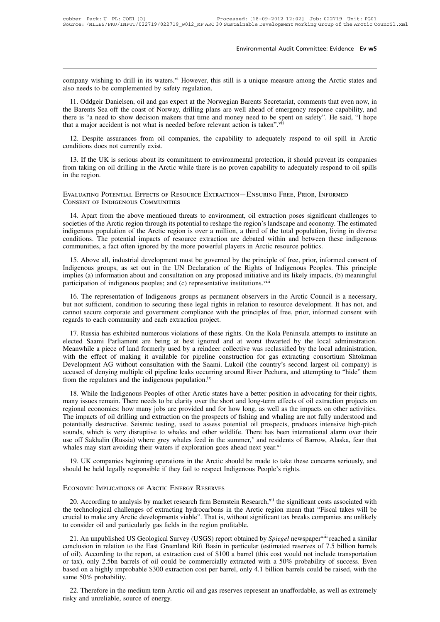Environmental Audit Committee: Evidence Ev w5<br>company wishing to drill in its waters.<sup>vi</sup> However, this still is a unique measure among the Arctic states and<br>also needs to be complemented by safety regulation. company wishing to drill in its waters.<sup>vi</sup> However, this st<br>also needs to be complemented by safety regulation.<br>11. Oddgeir Danielsen, oil and gas expert at the Norweg

mpany wishing to drill in its waters.<sup>vi</sup> However, this still is a unique measure among the Arctic states and<br>o needs to be complemented by safety regulation.<br>11. Oddgeir Danielsen, oil and gas expert at the Norwegian Bare The Barents Sea of the coast of Norway, drilling plans are well ahead of emergency response capability, and the Barents Sea off the coast of Norway, drilling plans are well ahead of emergency response capability, and there There is "a need to be complemented by safety regulation.<br>
11. Oddgeir Danielsen, oil and gas expert at the Norwegian Barents Secretariat, comments that even now, in<br>
the Barents Sea off the coast of Norway, drilling plans company wishing to drill in its waters.<sup>vi</sup> However, this still is a unique measure among the Arctic states and<br>also needs to be complemented by safety regulation.<br>11. Oddgeir Danielsen, oil and gas expert at the Norwegian 11. Oddgeir Danielsen, oil and gas express the Barents Sea off the coast of Norway<br>there is "a need to show decision maker<br>that a major accident is not what is need<br>12. Despite assurances from oil con<br>conditions does not c

Example 13. If the UK is serious about its commitment to environmental protection, it should prevent its companies that ready to adequately respond to oil spill in Arctic analyor accident is not what is needed before relev from taking on oil drilling in the Arctic while there is no proven capability to adequately respond to oil spill in Arctic conditions does not currently exist.<br>
13. If the UK is serious about its commitment to environmenta that a major accide<br>12. Despite assi<br>conditions does no<br>13. If the UK is<br>from taking on oil<br>in the region. EVALUATING POTENTIAL EFFECTS OF RESOURCE EXTRACTION—ENSURING FREE, PRIOR, INFORMED<br>EVALUATING POTENTIAL EFFECTS OF RESOURCE EXTRACTION—ENSURING FREE, PRIOR, INFORMED 12. Despite assurances from oil companies, th<br>conditions does not currently exist.<br>13. If the UK is serious about its commitment to<br>from taking on oil drilling in the Arctic while there<br>in the region.<br>EVALUATING POTENTIAL

14. Apart from the above mentioned threats to environment, oil extraction poses significant challenges to the Apart from the above mentioned threats to environment, oil extraction poses significant challenges to environmen in the region.<br>
EVALUATING POTENTIAL EFFECTS OF RESOURCE EXTRACTION—ENSURING FREE, PRIOR, INFORMED<br>
CONSENT OF INDIGENOUS COMMUNITIES<br>
14. Apart from the above mentioned threats to environment, oil extraction poses signifi EVALUATING POTENTIAL EFFECTS OF RESOURCE EXTRACTION—ENSURING FREE, PRIOR, INFORMED<br>CONSENT OF INDIGENOUS COMMUNITIES<br>14. Apart from the above mentioned threats to environment, oil extraction poses significant challenges to EVALUATING POTENTIAL EFFECTS OF RESOURCE EXTRACTION—ENSURING FREE, PRIOR, INFORMED<br>CONSENT OF INDIGENOUS COMMUNITIES<br>14. Apart from the above mentioned threats to environment, oil extraction poses significant challenges to CONSENT OF INDIGENOUS COMMUNITIES<br>CONSENT OF INDIGENOUS COMMUNITIES<br>14. Apart from the above mentioned threats to environment, oil extraction poses significant<br>societies of the Arctic region through its potential to reshap 14. Apart from the above mentioned threats to environment, oil extraction poses significant challenges to cieties of the Arctic region through its potential to reshape the region's landscape and economy. The estimated dige IT A span Hom the doove included unclears to christmane, on exaction poses significant changes to societies of the Arctic region through its potential to reshape the region  $\hat{s}$  landscape and economy. The estimated indig

indigenous population of the Arctic region about and orishape the region s interstept and economy. The estimated indigenous population of the Arctic region is over a million, a third of the total population, living in dive margenous peoples; and individual impacts of resource extraction are debated within and between these indigenous communities, a fact often ignored by the more powerful players in Arctic resource politics.<br>
15. Above all, i 15. Above all, industrial development must be governed by the principle of free, prior, informed consent of Indigenous groups, as set out in the UN Declaration of the Rights of Indigenous Peoples. This principle implies (a

Indigenous groups, as set out in the UN Declaration of the Rights of Indigenous Peoples. This principle implies (a) information about and consultation on any proposed initiative and its likely impacts, (b) meaningful parti regards and the CN Declaration of an implies (a) information about and consultation on any propose<br>participation of indigenous peoples; and (c) representative ins<br>16. The representation of Indigenous groups as permanen<br>but rticipation or indigenous peoples; and (c) representative institutions."..."<br>
16. The representation of Indigenous groups as permanent observers in the Arctic Council is a necessary,<br>
16. The representation to securing the

16. The representation of Indigenous groups as permanent observers in the Arctic Council is a necessary,<br>but not sufficient, condition to securing these legal rights in relation to resource development. It has not, and<br>can For the representation of malgements groups as permission to resource development. It has not, and cannot secure corporate and government compliance with the principles of free, prior, informed consent with regards to each be the same comporate and government compliance with the principles of free, prior, informed consent with regards to each community and each extraction project.<br>
17. Russia has exhibited numerous violations of these rights regards to each completion and government compinance with the principles of rice, prior, informed consent with<br>regards to each community and each extraction project.<br>17. Russia has exhibited numerous violations of these ri accused of denying multiple oil pipeline leaks occurring around River Pechora, and attempts to institute an elected Saami Parliament are being at best ignored and at worst thwarted by the local administration. Meanwhile a 17. Russia has exhibited numerous violations of these rights. On the Kola Peninsula attempts to institute an elected Saami Parliament are being at best ignored and at worst thwarted by the local administration. Meanwhile a many interest of making it available for pipeline construction for gas extracting consortium Shokman<br>Development AG without consultation with the Saami. Lukoil (the country's second largest oil company) is<br>accused of deny

For the enter of minimig it avalation with the Saami. Lukoil (the country's second largest oil company) is accused of denying multiple oil pipeline leaks occurring around River Pechora, and attempting to "hide" them from t Exercise of denying multiple oil pipeline leaks occurring around River Pechora, and attempting to "hide" them<br>from the regulators and the indigenous population.<sup>ix</sup><br>18. While the Indigenous Peoples of other Arctic states h potentially destructive. Seismic testing, used to assess potential oil prospects, produces intensive high-pitch<br>smany issues remain. There needs to be clarity over the short and long-term effects of oil extraction projects 18. While the Indigenous Peoples of other Arctic states have a better position in advocating for their rights, many issues remain. There needs to be clarity over the short and long-term effects of oil extraction projects 18. While the Indigenous Peoples of other Arctic states have a better position in advocating for their rights, many issues remain. There needs to be clarity over the short and long-term effects of oil extraction projects many issues remain. There needs to be clarity over the short and long-term effects of oil extraction projects on regional economies: how many jobs are provided and for how long, as well as the impacts on other activities. Free implacts of on ariting and extraction on the prospects of nsing and whating are not<br>potentially destructive. Seismic testing, used to assess potential oil prospects, produces<br>sounds, which is very disruptive to whales

20. According to analysis by market research firm Bernstein Research,<sup>xii</sup> the significant costs associated with<br>20. According to analysis by market research firm Bernstein Research,<sup>xii</sup> the significant costs associated w 19. UK companies beginning operations in the Arctic should be made to take these concerns seriously, and<br>should be held legally responsible if they fail to respect Indigenous People's rights.<br>ECONOMIC IMPLICATIONS OF ARCTI should be held legally responsible if they fail to respect Indigenous People's rights.<br>
ECONOMIC IMPLICATIONS OF ARCTIC ENERGY RESERVES<br>
20. According to analysis by market research firm Bernstein Research,<sup>xii</sup> the signif ECONOMIC IMPLICATIONS OF ARCTIC ENERGY RESERVES<br>
20. According to analysis by market research firm Bernstein Research<br>
the technological challenges of extracting hydrocarbons in the Arctic<br>
crucial to make any Arctic devel 20. According to analysis by market research firm Bernstein Research,<sup>xii</sup> the significant costs associated with the technological challenges of extracting hydrocarbons in the Arctic region mean that "Fiscal takes will be 20. According to analysis by market research firm Bernstein Research,<sup>xii</sup> the significant costs associated with<br>the technological challenges of extracting hydrocarbons in the Arctic region mean that "Fiscal takes will be<br>

the technological challenges of extracting hydrocarbons in the Arctic region mean that "Fiscal takes will be crucial to make any Arctic developments viable". That is, without significant tax breaks companies are unlikely t or tax), only 2.5bn barrels of oil could be commercially extracted with a 50% probability to consider oil and particularly gas fields in the region profitable.<br>
21. An unpublished US Geological Survey (USGS) report obtaine based on a highly improbable \$300 extraction cost per barrel, only 4.1 billion barrels companies are uninterly<br>to consider oil and particularly gas fields in the region profitable.<br>21. An unpublished US Geological Survey ( 21. An unpublished US G<br>conclusion in relation to the<br>of oil). According to the rep<br>or tax), only 2.5bn barrels<br>based on a highly improbab<br>same 50% probability.<br>22. Therefore in the medi 22. The mediation to the East Greenland Rift Basin in particular of estimate of 7.5 billion barrels oil). According to the report, at extraction cost of \$100 a barrel (this cost would not include transportation tax), only of oil). According to the report, at extraction cost of \$100 a barrel (this cost would not include transportation or tax), only 2.5bn barrels of oil could be commercially extracted with a 50% probability of success. Even b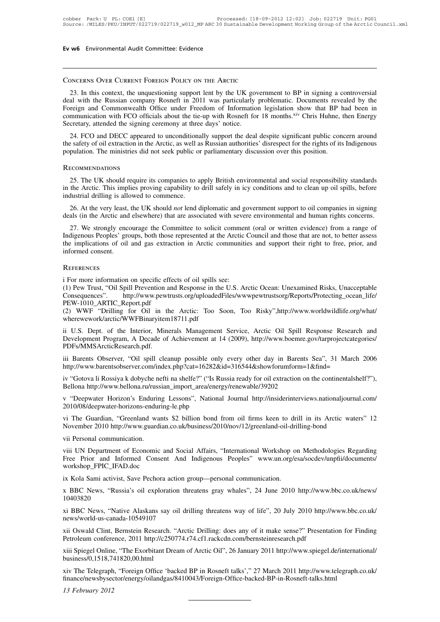# Concerns Over Current Foreign Policy on the Arctic

23. In this context, the unquestioning support lent by the UK government to BP in signing a controversial<br>23. In this context, the unquestioning support lent by the UK government to BP in signing a controversial<br>23. In thi CONCERNS OVER CURRENT FOREIGN POLICY ON THE ARCTIC<br>23. In this context, the unquestioning support lent by the UK government to BP in signing a controversial<br>deal with the Russian company Rosneft in 2011 was particularly pr CONCERNS OVER CURRENT FOREIGN POLICY ON THE ARCTIC<br>23. In this context, the unquestioning support lent by the UK government to BP in signing a controversial<br>deal with the Russian company Rosneft in 2011 was particularly pr CONCERNS OVER CURRENT FOREIGN POLICY ON THE ARCTIC<br>
23. In this context, the unquestioning support lent by the UK government to BP in signing a controversial<br>
deal with the Russian company Rosneft in 2011 was particularly CONCERNS OVER CURRENT FOREIGN POLICY ON THE ARCTIC<br>
23. In this context, the unquestioning support lent by the UK governed the signing ceremony Rosneft in 2011 was particularly<br>
Foreign and Commonwealth Office under Freedo 23. In this context, the unquestioning support lent by the UK government to BP in signing a controversial<br>al with the Russian company Rosneft in 2011 was particularly problematic. Documents revealed by the<br>reign and Common 25. In this collext, the unquestioning support left by the OK government to BP in sighting a controversian<br>deal with the Russian company Rosneft in 2011 was particularly problematic. Documents revealed by the<br>Foreign and Foreign and Commonwealth Office under Freedom of Information legislation show that BP had been in<br>communication with FCO officials about the tie-up with Rosneft for 18 months.<sup>xiv</sup> Chris Huhne, then Energy<br>Secretary, atten

24. FCO and DECC appeared to unconditionally support the deal despite significant public concern around<br>e safety of oil extraction in the Arctic, as well as Russian authorities' disrespect for the rights of its Indigenous<br>

# Recommendations

24. I CO and DDCC appeared to disconditionally support the each despite significant public concern around<br>the safety of oil extraction in the Arctic, as well as Russian authorities' disrespect for the rights of its Indigen 25. The UK should require its companies to apply British environmental and social responsibility standards<br>in the Arctic. This implies proving capability to drill safely in icy conditions and to clean up oil spills, before 26. The UK should require its companies to apply British environmental and social responsibility standards<br>the Arctic. This implies proving capability to drill safely in icy conditions and to clean up oil spills, before<br>du RECOMMENDATIONS<br>
25. The UK should require its companies to apply British environmental and social responsibility standards<br>
in the Arctic. This implies proving capability to drill safely in icy conditions and to clean up 25. The UK should require its companies to apply British environmental and social responsibility standards<br>the Arctic. This implies proving capability to drill safely in icy conditions and to clean up oil spills, before<br>du

in the Arctic. This implies proving capability to drill safely in icy conditions and to clean up oil spills, before industrial drilling is allowed to commence.<br>
26. At the very least, the UK should *not* lend diplomatic an industrial drilling is allowed to commence.<br>
26. At the very least, the UK should *not* lend diplomatic and government support to oil companies in signing<br>
deals (in the Arctic and elsewhere) that are associated with sever 27. We strongly encourage the Committee to solicit comment (oral or written evidence) from a range of Indigenous Peoples' groups, both those represented at the Arctic Council and those that are not, to better assess the im EV. We strongly chroating the Committee to solicit commit-<br>Indigenous Peoples' groups, both those represented at the Arctic<br>the implications of oil and gas extraction in Arctic communiti-<br>informed consent.<br>REFERENCES<br>i For

# **REFERENCES**

(1) Pew Trust, "Oil Spill Prevention and Response in the U.S. Arctic Ocean: Unexamined Risks, Unacceptable<br>The implications of oil and gas extraction in Arctic communities and support their right to free, prior, and<br>inform The EXECONS of the gas extraction in Treate communities and support then Tight to fice, prior, and<br>informed consent.<br>The more information on specific effects of oil spills see:<br>(1) Pew Trust, "Oil Spill Prevention and Resp PEW-1010\_ARTIC\_Report.pdf<br>(2) WWF "Drilling for Oil in the Arctic: Too Soon, Too Risky",http://www.worldwildlife.org/what/ REFERENCES<br>
i For more information on specific effects of oil spills see:<br>
(1) Pew Trust, "Oil Spill Prevention and Response in the U.S. Arctic Ocean: Unexamined Risks, Unacceptable<br>
Consequences". http://www.pewtrusts.org

wherewework/arctic/WWFBinaryitem18711.pdf

For more information on specific enects of on spins see.<br>
(1) Pew Trust, "Oil Spill Prevention and Response in the U.S. Arctic Ocean: Unexamined Risks, Unacceptable<br>
Consequences". http://www.pewtrusts.org/uploadedFiles/ww (1) Few Titst, Off Spin Flevelopment and Response in the U.S. Arctic Ocean. Unexamined Risks, Unacceptable<br>
Consequences". http://www.pewtrusts.org/uploadedFiles/wwwpewtrustsorg/Reports/Protecting\_ocean\_life/<br>
PEW-1010\_ART PDFs/MMSArcticResearch.pdf. (2) WWF "Drilling for Oil in the Arctic: Too Soon, Too Risky",http://www.worldwildlife.org/what/<br>wherewework/arctic/WWFBinaryitem18711.pdf<br>ii U.S. Dept. of the Interior, Minerals Management Service, Arctic Oil Spill Respon ii U.S. Dept. of the Interior, Minerals Management Service, Arctic Oil Spill Response Research and<br>Development Program, A Decade of Achievement at 14 (2009), http://www.boemre.gov/tarprojectcategories/<br>PDFs/MMSArcticResear Development Program, A Decade of Achievement at 14 (2009), http://www.boemre.gov/tarprojectcategories/<br>
PDFs/MMSArcticResearch.pdf.<br>
iii Barents Observer, "Oil spill cleanup possible only every other day in Barents Sea", 3

http://www.barentsobserver.com/index.php?cat=16282&id=316544&showforumform=1&find= iii Barents Observer, "Oil spill cleanup possible only every other day in Barents Sea", 31 March 2006<br>http://www.barentsobserver.com/index.php?cat=16282&id=316544&showforumform=1&find=<br>iv "Gotova li Rossiya k dobyche nefti

iv "Gotova li Rossiya k dobyche nefti na shelfe?" ("Is Russia ready for oil extraction on the continentalsh<br>Bellona http://www.bellona.ru/russian\_import\_area/energy/renewable/39202<br>v "Deepwater Horizon's Enduring Lessons",

2010/08/deepwater-horizons-enduring-le.php v "Deepwater Horizon's Endurity<br>2010/08/deepwater-horizons-endurity<br>2010/08/deepwater-horizons-endurity<br>wii The Guardian, "Greenland wa<br>November 2010 http://www.guard<br>vii Personal communication.

iv "Gotova li Rossiya k dobyche nefti na shelfe?" ("Is Russia ready for oil extraction on the continentalshelf?"),<br>Bellona http://www.bellona.ru/russian\_import\_area/energy/renewable/39202<br>v "Deepwater Horizon's Enduring Le

viid The Guardian, "Greenland wants \$2 billion bond from oil firms keen to drill in its Arctic waters" 12<br>November 2010 http://www.guardian.co.uk/business/2010/nov/12/greenland-oil-drilling-bond<br>vii Personal communication. Euroopacepwater horizons entanting ideptified to the different of the different of the Guardian.co.uk/business/2010/nov/12/greenland-oil-drilling-bond<br>vii Personal communication.<br>viii UN Department of Economic and Social A workshop\_FPIC\_IFAD.doc November 2010 http://www.guardian.co.uk/business/2010/nov/12/greenland-oil-drilling-bond<br>vii Personal communication.<br>vii UN Department of Economic and Social Affairs, "International Workshop on Methodologies Regarding<br>Free viii UN Department of Economic and Social Affairs, "International Workshop on Methodologies Regarding<br>Free Prior and Informed Consent And Indigenous Peoples" www.un.org/esa/socdev/unpfii/documents/<br>workshop\_FPIC\_IFAD.doc<br>i

10403820 xistable Density Alaskans say oil drilling threatens way of life", 20 July 2010 http://www.bbc.co.uk/news/<br>xi BBC News, "Russia's oil exploration threatens gray whales", 24 June 2010 http://www.bbc.co.uk/news/<br>xi BBC News, x BBC News, "Russia's oil exploration threatens gray whales", 24 June 2010 http://www.bbc.co.uk/news/<br>10403820<br>xi BBC News, "Native Alaskans say oil drilling threatens way of life", 20 July 2010 http://www.bbc.co.uk/<br>news

news/world-us-canada-10549107

xi BBC News, "Native Alaskans say oil drilling threatens way of life", 20 July 2010 http://www.bbc.co.uk/<br>news/world-us-canada-10549107<br>xii Oswald Clint, Bernstein Research. "Arctic Drilling: does any of it make sense?" Pr xi BBC News, "Native Alaskans say oil drilling threatens way of life", 20 July 2010 http://www.bbc.co.uk/<br>news/world-us-canada-10549107<br>xii Oswald Clint, Bernstein Research. "Arctic Drilling: does any of it make sense?" Pr xii Oswald Clint, Bernstein Research. "Arctic Drilling: does any of it make sense?" Presentation for Finding<br>Petroleum conference, 2011 http://c250774.r74.cf1.rackcdn.com/bernsteinresearch.pdf<br>xiii Spiegel Online, "The Exo

business/0,1518,741820,00.html xiii Spiegel Online<br>business/0,1518,74<br>xiv The Telegraph<br>finance/newsbysec<br>13 February 2012

finance/newsbysector/energy/oilandgas/8410043/Foreign-Office-backed-BP-in-Rosneft-talks.html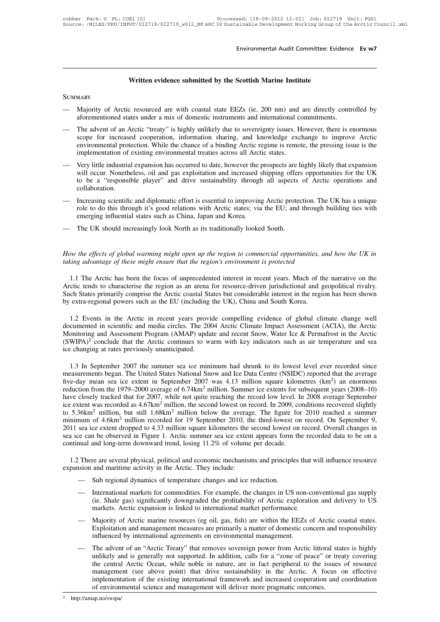# Environmental Audit Committee: Evice<br> **Written evidence submitted by the Scottish Marine Institute**

# **SUMMARY**

- Written evidence submitted by the Scottish Marine Institute<br>
SUMMARY<br>
 Majority of Arctic resourced are with coastal state EEZs (ie. 200 nm) and are directly controlled by<br>
aforementioned states under a mix of domestic in Written evidence submitted by the Scottish Marine Institute<br>Majority of Arctic resourced are with coastal state EEZs (ie. 200 nm) and are directly contraforementioned states under a mix of domestic instruments and internat
- Written evidence submitted by the Scottish Marine Institute<br>SUMMARY<br>— Majority of Arctic resourced are with coastal state EEZs (ie. 200 nm) and are directly controlled by<br>aforementioned states under a mix of domestic instr Majority of Arctic resourced are with coastal state EEZs (ie. 200 nm) and are directly controlled by<br>aforementioned states under a mix of domestic instruments and international commitments.<br>The advent of an Arctic "treaty" Majority of Arctic resourced are with coastal state EEZs (ie. 200 nm) and are directly controlled by aforementioned states under a mix of domestic instruments and international commitments.<br>The advent of an Arctic "treaty" Majority of Arctic resourced are with coastal state EEZs (ie. 200 nm) and aforementioned states under a mix of domestic instruments and international compare of the advent of an Arctic "treaty" is highly unlikely due to so aforementioned states under a mix of domestic instruments and international commitments.<br>
— The advent of an Arctic "treaty" is highly unlikely due to sovereignty issues. However, there is enormous<br>
scope for increased coo The advent of an Arctic "treaty" is highly unlikely due to sovereignty issues. However, there is enormous scope for increased cooperation, information sharing, and knowledge exchange to improve Arctic environmental protect
- The advent of an Arctic Treaty Ts highly unifiely due to sovereignty issues. However, there is enormous scope for increased cooperation, information sharing, and knowledge exchange to improve Arctic environmental protectio collaboration. implementation of existing environmental treaties across all Arctic states.<br>
— Very little industrial expansion has occurred to date, however the prospects are highly likely that expansion<br>
will occur. Nonetheless, oil and Very little industrial expansion has occurred to date, however the prospects are highly likely that expansion<br>will occur. Nonetheless, oil and gas exploitation and increased shipping offers opportunities for the UK<br>to be a Figure manustrial expansion has occurred to date, however the p<br>will occur. Nonetheless, oil and gas exploitation and increased s<br>to be a "responsible player" and drive sustainability through<br>collaboration.<br>Increasing scie
- to be a "responsible player" and drive sustainability through all aspects<br>collaboration.<br>— Increasing scientific and diplomatic effort is essential to improving Arctic protec<br>role to do this through it's good relations wit *How the effects of global warming might open up the region to commercial opportunities, and how the UK in*<br>How the effects of global warming might open up the region to commercial opportunities, and how the UK in<br>taking a
- 

*the taking advantage of these might energing influential states such as China, Japan and Korea.*<br> *taking advantage of global warming might open up the region to commercial opportunities, and taking advantage of these mig* 

1.1 The UK should increasingly look North as its traditionally looked South.<br>
The effects of global warming might open up the region to commercial opportunities, and how the UK in<br>
img advantage of these might ensure that How the effects of global warming might open up the region to commercial opportunities, and how the UK in taking advantage of these might ensure that the region's environment is protected<br>1.1 The Arctic has been the focus How the effects of global warming might open up the region to commercial opportunities, and how the UK in taking advantage of these might ensure that the region's environment is protected<br>1.1 The Arctic has been the focus How the effects of global warming might open up the region to commercial opportunities, c<br>taking advantage of these might ensure that the region's environment is protected<br>1.1 The Arctic has been the focus of unprecedented 1.1 The Arctic has been the focus of unprecedented interest in recent years. Much of the narrative on the cotic tends to characterise the region as an arena for resource-driven jurisdictional and geopolitical rivalry. Ch 1.1 The Arctic has been the focus of unprecedented interest in recent years. Much of the narrative on the Arctic tends to characterise the region as an arena for resource-driven jurisdictional and geopolitical rivalry.<br>Su

Arctic tends to characterise the region as an arena for resource-driven jurisdictional and geopolitical rivalry.<br>Such States primarily comprise the Arctic coastal States but considerable interest in the region has been sho Such States primarily comprise the Arctic coastal States but considerable interest in the region has been shown<br>by extra-regional powers such as the EU (including the UK), China and South Korea.<br>1.2 Events in the Arctic i by extra-regional powers such as the EU (including<br>1.2 Events in the Arctic in recent years provid<br>documented in scientific and media circles. The 20<br>Monitoring and Assessment Program (AMAP) upda<br>(SWIPA)<sup>2</sup> conclude that t 1.2 Events in the Arctic in recent years provide compelling evidence of global climate change well<br>cumented in scientific and media circles. The 2004 Arctic Climate Impact Assessment (ACIA), the Arctic<br>onitoring and Asses documented in scientific and media circles. The 2004 Arctic Climate Impact Assessment (ACIA), the Arctic Monitoring and Assessment Program (AMAP) update and recent Snow, Water Ice & Permafrost in the Arctic (SWIPA)<sup>2</sup> conc

Monitoring and Assessment Program (AMAP) update and recent Snow, Water Ice & Permafrost in the Arctic (SWIPA)<sup>2</sup> conclude that the Arctic continues to warm with key indicators such as air temperature and sea ice changing (SWIPA)<sup>2</sup> conclude that the Arctic continues to warm with key indicators such as air temperature and sea<br>ice changing at rates previously unanticipated.<br>1.3 In September 2007 the summer sea ice minimum had shrunk to its ice changing at rates previously unanticipated.<br>
1.3 In September 2007 the summer sea ice minimum had shrunk to its lowest level ever recorded since<br>
measurements began. The United States National Snow and Ice Data Centre 1.3 In September 2007 the summer sea ice minimum had shrunk to its lowest level ever recorded since measurements began. The United States National Snow and Ice Data Centre (NSIDC) reported that the average five-day mean s 1.3 In September 2007 the summer sea ice minimum had shrunk to its lowest level ever recorded since<br>measurements began. The United States National Snow and Ice Data Centre (NSIDC) reported that the average<br>five-day mean s measurements began. The United States National Snow and Ice Data Centre (NSIDC) reported that the average<br>five-day mean sea ice extent in September 2007 was 4.13 million square kilometres (km<sup>2</sup>) an enormous<br>reduction from five-day mean sea ice extent in September 2007 was 4.13 million square kilometres (km<sup>2</sup>) an enormous reduction from the 1979–2000 average of 6.74km<sup>2</sup> million. Summer ice extents for subsequent years (2008–10) have closel reduction from the 1979–2000 average of 6.74km<sup>2</sup> million. Summer ice extents for subsequent years (2008–10) have closely tracked that for 2007, while not quite reaching the record low level. In 2008 average September ice have closely tracked that for 2007, while not quite reaching the record low level. In<br>cice extent was recorded as 4.67km<sup>2</sup> million, the second lowest on record. In 2009, co<br>to 5.36km<sup>2</sup> million, but still 1.68km<sup>2</sup> millio 5.36km<sup>2</sup> million, but still 1.68km<sup>2</sup> million below the average. The figure for 2010 reached a summer<br>nimum of 4.6km<sup>2</sup> million recorded for 19 September 2010, the third-lowest on record. On September 9,<br>11 sea ice exten 2011 sea ice extent dropped to 4.33 million square kilometres the second lowest on record. Overall changes in<br>sea ice can be observed in Figure 1. Arctic summer sea ice extent appears form the recorded data to be on a<br>cont Sub regional dynamics and economic state is seen the appears form<br>nual and long-term downward trend, losing 11.2% of volume per decade.<br>There are several physical, political and economic mechanisms and principle<br>ision and

- 
- There are several physical, political and economic mechanisms and principles that will influence resource<br>
sion and maritime activity in the Arctic. They include:<br>
 Sub regional dynamics of temperature changes and ice red The gas significant and economic mechanisms and principles that will influence resource<br>and maritime activity in the Arctic. They include:<br>Sub regional dynamics of temperature changes and ice reduction.<br>International marke International markets for commodities. For example, the changes in US non-conventional gas supply<br>(ie. Shale gas) significantly downgraded the profitability of Arctic exploration and delivery to US<br>markets. Arctic expansio
- Sub regional dynamics of temperature changes and ice reduction.<br>
 International markets for commodities. For example, the changes in US non-conventional gas supply<br>
(ie. Shale gas) significantly downgraded the profitabi Sub regional dynamics of temperature changes and ice reduction.<br>International markets for commodities. For example, the changes in US non-conventional gas supply<br>(ie. Shale gas) significantly downgraded the profitability o (ie. Shale gas) significantly downgraded the profitability of Arctic exploration and delivery to US<br>markets. Arctic expansion is linked to international market performance.<br>— Majority of Arctic marine resources (eg oil, ga
- influenced by international agreements on environmental management.<br>The advent of an "Arctic Treaty" that removes sovereign power from Arctic littoral states is highly unlikely and is generally not supported. In addition, markets. Arctic expansion is linked to international market performance.<br>Majority of Arctic marine resources (eg oil, gas, fish) are within the EEZs of Arctic coastal states.<br>Exploitation and management measures are primar Majority of Arctic marine resources (eg oil, gas, fish) are within the EEZs of Arctic coastal states.<br>Exploitation and management measures are primarily a matter of domestic concern and responsibility<br>influenced by interna management of a "Arctic manne essuress" (eg on, gas, itsn) are within the EEZs of Arctic coastal states.<br>Exploitation and management measures are primarily a matter of domestic concern and responsibility<br>influenced by inte Exploitation and management measures are primarily a matter of domestic concern and responsibility<br>influenced by international agreements on environmental management.<br>The advent of an "Arctic Treaty" that removes sovereign The advent of an "Arctic Treaty" that removes sovereign power from Arctic littoral standikely and is generally not supported. In addition, calls for a "zone of peace" or tre the central Arctic Ocean, while noble in nature,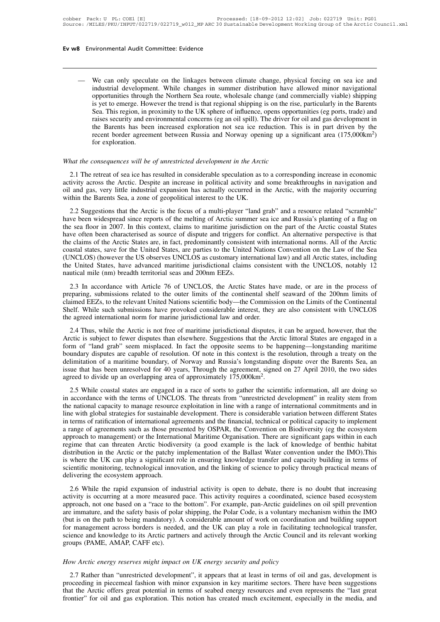Manuscular Superiors and and the Universe of the linkages between climate change, physical forcing on sea ice and<br>
industrial development. While changes in summer distribution have allowed minor navigational<br>
opportunities Vironmental Audit Committee: Evidence<br>We can only speculate on the linkages between climate change, physical forcing on sea ice and<br>industrial development. While changes in summer distribution have allowed minor navigation Vironmental Audit Committee: Evidence<br>
We can only speculate on the linkages between climate change, physical forcing on sea ice and<br>
industrial development. While changes in summer distribution have allowed minor navigati We can only speculate on the linkages between climate change, physical forcing on sea ice and<br>industrial development. While changes in summer distribution have allowed minor navigational<br>opportunities through the Northern We can only speculate on the linkages between climate change, physical forcing on sea ice and industrial development. While changes in summer distribution have allowed minor navigational opportunities through the Northern We can only speculate on the linkages between climate change, physical forcing on sea ice and<br>industrial development. While changes in summer distribution have allowed minor navigational<br>opportunities through the Northern We can only speculate on the linkages between climate change, physical forcing on sea ice and industrial development. While changes in summer distribution have allowed minor navigational opportunities through the Northern industrial development. While changes in summer distribution have allowed minor navigational<br>opportunities through the Northern Sea route, wholesale change (and commercially viable) shipping<br>is yet to emerge. However the t opportunities through the Northern Sea route, wholesale change (and commercially viable) shipping<br>is yet to emerge. However the trend is that regional shipping is on the rise, particularly in the Barents<br>Sea. This region, Sea. This region, in proximity to the UK sphere of influence, opens opportions are values are active and environmental concerns (eg an oil spill). The driver for the Barents has been increased exploration not sea ice reduc the Barents has been increased exploration not sea ice reduction. This is in part driven by the<br>recent border agreement between Russia and Norway opening up a significant area (175,000km<sup>2</sup>)<br>for exploration.<br>*hat the conse* 

recent border agreement between Russia and Norway opening up a significant area (175,000km<sup>2</sup>)<br>for exploration.<br>What the consequences will be of unrestricted development in the Arctic<br>2.1 The retreat of sea ice has resulte onidate the consequences will be of unrestricted development in the Arctic<br>
2.1 The retreat of sea ice has resulted in considerable speculation as to a corresponding increase in economic<br>
activity across the Arctic. Despit What the consequences will be of unrestricted development in the Arct<br>2.1 The retreat of sea ice has resulted in considerable speculation as a<br>activity across the Arctic. Despite an increase in political activity and<br>oil a 2.1 The retreat of sea ice has resulted in considerable speculation as to a corresponding increase in economic<br>activity across the Arctic. Despite an increase in political activity and some breakthroughs in navigation and<br>

2.1 The retreat of sea ice has resulted in considerable speculation as to a corresponding increase in economic<br>activity across the Arctic. Despite an increase in political activity and some breakthroughs in navigation and<br> 2.1 The redeat of sea floor instituted in considerable speculation as to a corresponding increase in economic<br>activity across the Arctic. Despite an increase in political activity and some breakthroughs in navigation and<br>o have often been characterised as source of dispute and triggers for conflict. An alternative gas, wery little industrial expansion has actually occurred in the Arctic, with the majority occurring within the Barents Sea, a ori and gas, very nite measural expansion has actually occurred in the Arctic, while majority occurring<br>within the Barents Sea, a zone of geopolitical interest to the UK.<br>2.2 Suggestions that the Arctic is the focus of a m whall the Batentis stat, a zone of geoporated interest to the OK.<br>2.2 Suggestions that the Arctic is the focus of a multi-player "land grab" and a resource related "scramble"<br>have been widespread since reports of the melti 2.2 Suggestions that the Arctic is the focus of a multi-player "land grab" and a resource related "scramble" have been widespread since reports of the melting of Arctic summer sea ice and Russia's planting of a flag on the have been widespread since reports of the melting of Arctic summer sea ice and Russia's planting of a flag on<br>the sea floor in 2007. In this context, claims to maritime jurisdiction on the part of the Arctic coastal States the sea floor in 2007. In this context, claims to maritime jurisdic<br>have often been characterised as source of dispute and triggers ft<br>the claims of the Arctic States are, in fact, predominantly consiste<br>coastal states, sa 2.3 In accordance with Article 76 of UNCLOS, the Arctic States have made, or are in the Arctic States are in fact, predominantly consistent with international norms. All of the Arctic States, save for the United States, ar incellates, save for the United States, are parties to the United Nations Convention on the Law of the Sea coastal states, save for the Usited States, are parties to the United Nations Convention on the Law of the Sea (UNC

colastar states, save for the United States, the parties to the United Nations Convention on the Eaw of the Ged<br>(UNCLOS) (however the US observes UNCLOS as customary international law) and all Arctic states, including<br>the The United States, have advanced maritime jurisdictional claims consistent with the UNCLOS, notably 12<br>nautical mile (nm) breadth territorial seas and 200nm EEZs.<br>2.3 In accordance with Article 76 of UNCLOS, the Arctic Sta natical mile (nm) breadth territorial seas and 200nm EEZs.<br>2.3 In accordance with Article 76 of UNCLOS, the Arctic States has<br>preparing, submissions related to the outer limits of the continental shel<br>claimed EEZs, to the 2.3 In accordance with Article 76 of UNCLOS, the Arctic States have made, or are in the process of eparing, submissions related to the outer limits of the continental shelf seaward of the 200nm limits of timed EEZs, to the 2.3 In accordance win Trick To of CreelDos, the Trick States have made, or are in the process of preparing, submissions related to the outer limits of chemical shelf seaward of the 200nm limits of chemical Shelf. While suc

preparmig, suomissions related to the other mints of the continental shelf seaward of the Eoomin mints of claimed EEZs, to the relevant United Nations scientific body—the Commission on the Limits of the Continental Shelf. boundary disputes are capable of resolution. Of note in this context is the resolution. The agreed international norm for marine jurisdictional law and order.<br>
2.4 Thus, while the Arctic is not free of maritime jurisdictio delimitation of a maritime boundary, of Norway and Russia's longstanding disputes, it can be argued, however, that the Arctic is subject to fewer disputes than elsewhere. Suggestions that the Arctic littoral States are eng 2.4 Thus, while the Arctic is not free of maritime jurisdictional disputes, it can be argued, however, that the Arctic is subject to fewer disputes than elsewhere. Suggestions that the Arctic littoral States are engaged in 2.4 Thus, while the Arctic is not free of maritime jurisdictional disputes, it Arctic is subject to fewer disputes than elsewhere. Suggestions that the Arctiform of "land grab" seem misplaced. In fact the opposite seems to East is stated to flower displaces diant elsewhete. Suggestions diant on the richter into an states are engaged in a<br>m of "land grab" seem misplaced. In fact the opposite seems to be happening—longstanding maritime<br>undary From the nation of a maritime boundary disputes are capable of resolution. Of note in this context is the resolution, through a treaty on the delimitation of a maritime boundary, of Norway and Russia's longstanding dispute

boundary displacs are capacite of resonation. Or hote in ans concext is are resonation, among a dreary on died imitation of a maritime boundary, of Norway and Russia's longstanding dispute over the Barents Sea, an issue th derinnation of a matrime boundary, of Norway and Russia s longstanding dispute over the Batents Sea, and<br>issue that has been unresolved for 40 years, Through the agreement, signed on 27 April 2010, the two sides<br>agreed to issue that has been unresorved for 40 years, Through the agreement, signed of 27 April 2010, the two staces agreed to divide up an overlapping area of approximately 175,000km<sup>2</sup>.<br>2.5 While coastal states are engaged in a r 2.5 While coastal states are engaged in a race of sorts to gather the scientific information, all are doing so<br>in accordance with the terms of UNCLOS. The threats from "unrestricted development" in reality stem from<br>the na 2.5 While coastal states are engaged in a race of sorts to gather the scientific information, all are doing so<br>in accordance with the terms of UNCLOS. The threats from "unrestricted development" in reality stem from<br>the na in accordance with the terms of UNCLOS. The threats from "unrestricted development" in reality stem from<br>the national capacity to manage resource exploitation in line with a range of international commitments and in<br>line w the national capacity to manage resource exploitation in line with a range of international commitments and in<br>line with global strategies for sustainable development. There is considerable variation between different Stat line with global strategies for sustainable development. There is considerable variation between different States<br>in terms of ratification of international agreements and the financial, technical or political capacity to i in terms of ratification of international agreements and the financial, technical or political capacity to implement<br>a range of agreements such as those presented by OSPAR, the Convention on Biodiversity (eg the ecosystem<br> a range of agreements such as those pre-<br>approach to management) or the Internat<br>regime that can threaten Arctic biodive<br>distribution in the Arctic or the patchy i<br>is where the UK can play a significant r<br>scientific monito 2.6 While the rapid expansion of industrial activity is open to debate, there is no doubt that increasing is the rapid expansion. There are significant gaps whilm in each given that tribution in the Arctic or the patchy im Example that can include the pactivity of good example is the fact of knowledge of octurribution in the Arctic or the patchy implementation of the Ballast Water convention under the IMO). This is where the UK can play a si

assuration in the Arctic of the paticipa imponentiation of the bandst water convention didet the INO). This is where the UK can play a significant role in ensuring knowledge transfer and capacity building in terms of scien are immature, and the safety basis of polar the safety basis of polar shipping, the safety basis of delivering the ecosystem approach.<br>
2.6 While the rapid expansion of industrial activity is open to debate, there is no do Sciencing the ecosystem approach.<br>
2.6 While the rapid expansion of industrial activity is open to debate, there is no doubt that increasing<br>
activity is occurring at a more measured pace. This activity requires a coordina 2.6 While the rapid expansion of industrial activity is open to debate, there is no doubt that increasing activity is occurring at a more measured pace. This activity requires a coordinated, science based ecosystem approac 2.6 While the rapid expansion of industrial activity is open to debate, there is no doubt that increasing activity is occurring at a more measured pace. This activity requires a coordinated, science based ecosystem approac activity is occurring at a more measured pace. This activity requires a coordinated, science based ecosystem approach, not one based on a "race to the bottom". For example, pan-Arctic guidelines on oil spill prevention are *How Arctic energy reserves might impact on UK energy security and policy*<br>*How Arctic energy reserves might impact on UK energy security and policy*<br>*2.7* Rather than "unrestricted development", it appears that at least i r management across borders is needed, and the UK can play a role in facilitating technological transfer,<br>ience and knowledge to its Arctic partners and actively through the Arctic Council and its relevant working<br>oups (PA

science and knowledge to its Arctic partners and actively through the Arctic Council and its relevant working<br>groups (PAME, AMAP, CAFF etc).<br>How Arctic energy reserves might impact on UK energy security and policy<br>2.7 Rath groups (PAME, AMAP, CAFF etc).<br>
How Arctic energy reserves might impact on UK energy security and policy<br>
2.7 Rather than "unrestricted development", it appears that at least in terms of oil and gas, development is<br>
procee How Arctic energy reserves might impact on UK energy security and policy<br>2.7 Rather than "unrestricted development", it appears that at least in terms of oil and gas, development is<br>proceeding in piecemeal fashion with min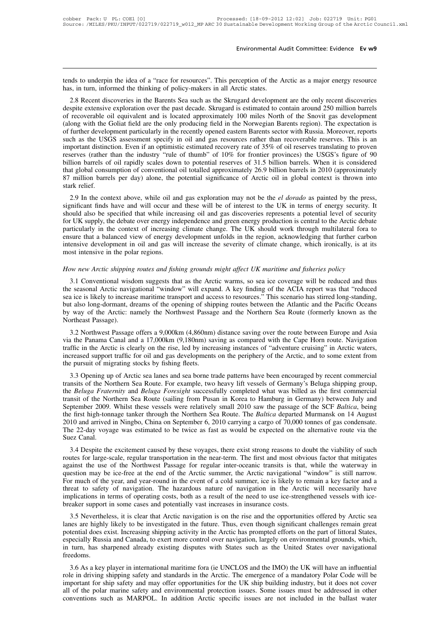Environmental Audit Committee: Evidence Ev w9<br>tends to underpin the idea of a "race for resources". This perception of the Arctic as a major energy resource<br>has, in turn, informed the thinking of policy-makers in all Arcti Environmental A<br>
tends to underpin the idea of a "race for resources". This perception of the *A*<br>
has, in turn, informed the thinking of policy-makers in all Arctic states.<br>
2.8 Recent discoveries in the Barents Sea such

2.8 Recent discoveries in the Barents Sea such as the Skrugard development are the only recent discoveries in the Barents Sea such as the Skrugard development are the only recent discoveries spite extensive exploration ove The stends to underpin the idea of a "race for resources". This perception of the Arctic as a major energy resource has, in turn, informed the thinking of policy-makers in all Arctic states.<br>
2.8 Recent discoveries in the The tends to underpin the idea of a "race for resources". This perception of the Arctic as a major energy resource has, in turn, informed the thinking of policy-makers in all Arctic states.<br>
2.8 Recent discoveries in the B tends to underpin the idea of a "race for resources". This perception of the Arctic as a major energy resource<br>has, in turn, informed the thinking of policy-makers in all Arctic states.<br>2.8 Recent discoveries in the Barent design the further development particularly in the recently opened as the Skrugard development are the only recent discoveries despite extensive exploration over the past decade. Skrugard development are the only recent di nas, in unit, informed the unity of poincy-inakers in an Arctic states.<br>
2.8 Recent discoveries in the Barents Sea such as the Skrugard development are the only recent discoveries<br>
despite extensive exploration over the pa 2.8 Recent discoveries in the Barents Sea such as the Skrugard development are the only recent discoveries despite extensive exploration over the past decade. Skrugard is estimated to contain around 250 million barrels of despite extensive exploration over the past decade. Skrugard is estimated to contain around 250 million barrels<br>of recoverable oil equivalent and is located approximately 100 miles North of the Snovit gas development<br>(alon of recoverable oil equivalent and is located approximately 100 miles North of the Snovit gas development (along with the Goliat field are the only producing field in the Norwegian Barents region). The expectation is of fur (along with the Goliat field are the only producing field in the Norwegian Barents region). The expectation is<br>of further development particularly in the recently opened eastern Barents sector with Russia. Moreover, report of further development particularly in the recently opened eastern Barents sector with Russia. Moreover, reports<br>such as the USGS assessment specify in oil and gas resources rather than recoverable reserves. This is an<br>imp such as the USGS assessment specify in oil and gas resources rather than recoverable reserves. This is an important distinction. Even if an optimistic estimated recovery rate of 35% of oil reserves translating to proven re portant distinction. Even it an optimistic estimated recovery rate or 35% or oil reserves translating to proven<br>erves (rather than the industry "rule of thumb" of 10% for frontier provinces) the USGS's figure of 90<br>lion ba Figure 1 and the many rule of multipuble of 10% for fromer provinces) the USOS s figure of 90<br>billion barrels of oil rapidly scales down to potential reserves of 31.5 billion barrels. When it is considered<br>that global cons

but but also be specified that while increasing oil and gas discoveries of 51.5 but also be specified that global consumption of conventional oil totalled approximately 26.9 billion barrels in 2010 (approximately 87 millio For UK supply, the debate over energy independence and green energy production is central to the press, significant finds have and will occur and gas exploration may not be the *el dorado* as painted by the press, signific by infinity in the context above, while oil and gas exploration may not be the *el dorado* as painted by the press, significant finds have and will occur and these will be of interest to the UK in terms of energy security. 2.9 In the context above, while oil and gas exploration may not be the *el dorado* as painted by the press, significant finds have and will occur and these will be of interest to the UK in terms of energy security. It shou 2.9 In the context above, while oil and gas exploration may not be the *el dorado* as painted by the press, significant finds have and will occur and these will be of interest to the UK in terms of energy security. It shou significant finds have and will occur and these will be of interest to the UK in terms of energy security. It should also be specified that while increasing oil and gas discoveries represents a potential level of security particularly in the context of increasing climate change. The UK should work through multilateral fora to ensure that a balanced view of energy development unfolds in the region, acknowledging that further carbon intensive Solutional wisdom suggests that as the Arctic warms, so sea ice coverage will be reduced and function ensive development in oil and gas will increase the severity of climate change, which ironically, is at its best intensi

then sive development in oil and gas will increase the severity of climate change, which ironically, is at its<br>most intensive in the polar regions.<br>How new Arctic shipping routes and fishing grounds might affect UK maritim sea increase in the polar regions.<br>
How new Arctic shipping routes and fishing grounds might affect UK maritime and fisheries policy<br>
3.1 Conventional wisdom suggests that as the Arctic warms, so sea ice coverage will be r How new Arctic shipping routes and fishing grounds might affect UK maritime and fisheries policy<br>3.1 Conventional wisdom suggests that as the Arctic warms, so sea ice coverage will be reduced and thus<br>the seasonal Arctic n How new Arctic shipping routes and fishing grounds might affect UK maritime and fisheries policy<br>3.1 Conventional wisdom suggests that as the Arctic warms, so sea ice coverage will be reduced and thus<br>the seasonal Arctic n The *New Arctic supping*<br>3.1 Conventional wisd<br>the seasonal Arctic navig<br>sea ice is likely to increase<br>but also long-dormant, dh<br>by way of the Arctic: na<br>Northeast Passage).<br>3.2 Northwest Passage 3.1 Conventional wisdom suggests that as the Atchet wanths, so sea the coverage win be reduced and thus<br>
is escasonal Arctic navigational "window" will expand. A key finding of the ACIA report was that "reduced<br>
a ice is l ine seasonal Arctic havigational Window Win expant. A key imang of the ACIA report was that reduced<br>sea ice is likely to increase maritime transport and access to resources." This scenario has stirred long-standing,<br>but al by way of the Arctic: namely the Northwest Passage and the Northern Sea Route (formerly known as the

but also long-dormant, dreams of the opening of shipping routes between the Atlantic and the Pacific Oceans<br>by way of the Arctic: namely the Northwest Passage and the Northern Sea Route (formerly known as the<br>Northeast Pas by way of the Afctic. hallery the Nothwest Passage<br>Northeast Passage).<br>3.2 Northwest Passage offers a 9,000km (4,860nm)<br>via the Panama Canal and a 17,000km (9,180nm) sa<br>traffic in the Arctic is clearly on the rise, led by 3.2 Northwest Passage offers a 9,000km (4,860nm) distance saving over the route between Europe and Asia<br>
i the Panama Canal and a 17,000km (9,180nm) saving as compared with the Cape Horn route. Navigation<br>
ffic in the Arct 3.2 Notuwest rassage offers a 9,000km (4,000mm) distance saving over the folde between Europe and Asta<br>via the Panama Canal and a 17,000km (9,180nm) saving as compared with the Cape Horn route. Navigation<br>traffic in the Ar

Via the *Panama* Canal and a 17,000km (9,180nm) saving as compared with the Cape Horn route. Navigation traffic in the Arctic is clearly on the rise, led by increasing instances of "adventure cruising" in Arctic waters, in The Northern Sea Route Schein Scheme This sea Route Culture Culture Culture Culture Culture Culture Sea Support traffic for oil and gas developments on the periphery of the Arctic, and to some extent from the pursuit of mi Increased support traine for on and gas developments on the periphery or the Arctic, and to some extent from<br>the pursuit of migrating stocks by fishing fleets.<br>3.3 Opening up of Arctic sea lanes and sea borne trade pattern 13.3 Opening up of Arctic sea lanes and sea borne trade patterns have been encouraged by recent commercial transits of the Northern Sea Route. For example, two heavy lift vessels of Germany's Beluga shipping group, the *Be* 3.3 Opening up of Arctic sea lanes and sea borne trade patterns have been encouraged by recent commercial transits of the Northern Sea Route. For example, two heavy lift vessels of Germany's Beluga shipping group, the *Bel* transits of the Northern Sea Route. For example, two heavy lift vessels of Germany's Beluga shipping group, the *Beluga Fraternity* and *Beluga Foresight* successfully completed what was billed as the first commercial tran transits of the Northern Sea Route. For example, two heavy lift vessels of Germany's Beluga shipping group, the *Beluga Fraternity* and *Beluga Foresight* successfully completed what was billed as the first commercial tran ISSI of the Nothern sea Route (saming from Pusan in Kotea to Framourg in Germany) between July and<br>ptember 2009. Whilst these vessels were relatively small 2010 saw the passage of the SCF *Baltica*, being<br>10 and arrived in September 2009. Whilst diese vessels were relatively sinant 2010 saw the passage of the SCF *Butitca*, being<br>the first high-tonnage tanker through the Northern Sea Route. The *Baltica* departed Murmansk on 14 August<br>2010 a

and a the use of the Northead to be twice as fast as would be expected on the alternative route via the Suez Canal.<br>The 22-day voyage was estimated to be twice as fast as would be expected on the alternative route via the 2010 and arrived in Ningtot, Clinta on September 0, 2010 carrying a cargo or 70,000 tomes or gas contensate.<br>The 22-day voyage was estimated to be twice as fast as would be expected on the alternative route via the<br>Suez Ca For much of the year, and year-round in the event of a cold summer, ice is likely to remain a key factor and a threat to safety of narge-round in the event of a cold summer, the first and most obvious factor that mitigates 3.4 Despite the excitement caused by these voyages, there exist strong reasons to doubt the viability of such routes for large-scale, regular transportation in the near-term. The first and most obvious factor that mitigate 3.4 Despite the excitement caused by these voyages, there exist strong reasons to doubt the viability of such<br>routes for large-scale, regular transportation in the near-term. The first and most obvious factor that mitigate routes for large-scale, regular transportation in the near-term. The first and most obut against the use of the Northwest Passage for regular inter-oceanic transits is that question may be ice-free at the end of the Arctic 2.5 Nevertheless, it is clear that Arctic navigation is on the rise and the part of littoral States, and year-<br>1910 and the event of a cold summer, the Arctic navigational "window" is still narrow.<br>
The much of the year, a question may be tee-free at the end of the Arctic summer, the Arctic navigational window is sun narrow.<br>For much of the year, and year-round in the event of a cold summer, ice is likely to remain a key factor and a<br>threat

For much of the yeal, and year-found in the event of a cold summer, ice is fixely to femant a key factor and a<br>threat to safety of navigation. The hazardous nature of navigation in the Arctic will necessarily have<br>implicat In the Kickel States in terms of operating costs, both as a result of the need to use ice-strengthened vessels with ice-<br>breaker support in some cases and potentially vast increases in insurance costs.<br>3.5 Nevertheless, it in turn, has sharpened already existing disputes with States such as the United States over navigation and position is on the rise and the opportunities offered by Arctic sea lanes are highly likely to be investigated in t freedoms. 3.5 Nevertheless, it is clear that Aften havigation is on the rise and the opportunities oriered by Aftenc sea<br>hes are highly likely to be investigated in the future. Thus, even though significant challenges remain great<br>t ration and the implay interval of the Hutstandard in the Finder. Thus, even though significant changings remain great<br>potential does exist. Increasing shipping activity in the Arctic has prompted efforts on the part of lit

potential does exist. Incleasing sinpping activity in the Arctic has prompted enorts on the part of intoral states, especially Russia and Canada, to exert more control over navigation, largely on environmental grounds, whi Expecially Russia and Canada, to exert inferential over havigation, hagery on environmental grounds, which, in turn, has sharpened already existing disputes with States such as the United States over navigational freedoms. In turn, has sharpened aneady existing disputes with states such as the United states over havigational freedoms.<br>
3.6 As a key player in international maritime fora (ie UNCLOS and the IMO) the UK will have an influential<br>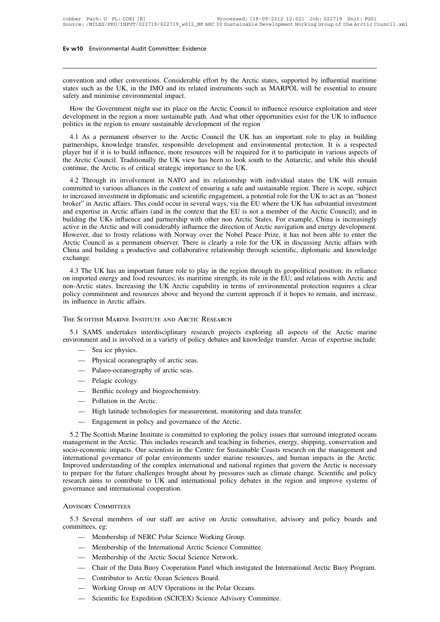Ev w10 Environmental Audit Committee: Evidence<br>
convention and other conventions. Considerable effort by the Arctic states, supported by influential maritime<br>
states such as the UK, in the IMO and its related instruments s states such as the UK, in the IMO and its related instruments such as MARPOL will be essential to ensure exactly and minimise environmental impact. Ev w10 Environmental Audit Committee: Evident<br>
convention and other conventions. Considerable<br>
states such as the UK, in the IMO and its relate<br>
safety and minimise environmental impact.<br>
How the Government might use its p Invention and other conventions. Considerable effort by the Arctic states, supported by influential maritime<br>tets such as the UK, in the IMO and its related instruments such as MARPOL will be essential to ensure<br>exploitati convention and other conventions. Considerable effort by the Arctic states, supported by influential maritime states such as the UK, in the IMO and its related instruments such as MARPOL will be essential to ensure safety convention and other conventions. Considerable effort by the Arctic states, supported by influential maritime<br>states such as the UK, in the IMO and its related instruments such as MARPOL will be essential to ensure<br>safety

thes such as the UK, in the IMO and its related instruments such as MARPOL will be essential to ensure<br>
fety and minimise environmental impact.<br>
How the Government might use its place on the Arctic Council to influence res safety and minimise environmental impact.<br>
How the Government might use its place on the Arctic Council to influence resource exploitation and steer<br>
development in the region a more sustainable path. And what other opport How the Government might use its place on the Arctic Council to influence resource exploitation and steer<br>development in the region a more sustainable path. And what other opportunities exist for the UK to influence<br>politi The Arctic Council. Traditionally the UK view has been to look south to the Antarctic Council and sice politics in the region a more sustainable path. And what other opportunities exist for the UK to influence politics in development in the region a more sustainable pain. And what other op<br>politics in the region to ensure sustainable development of the region<br>4.1 As a permanent observer to the Arctic Council the UK has<br>partnerships, knowled 4.1 As a permanent observer to the Arctic Council the UK has an important role to play in building<br>trherships, knowledge transfer, responsible development and environmental protection. It is a respected<br>ayer but if it is t 4.1 As a permanent observer to the Arctic Council the OK has an important fole to play in ounting<br>partnerships, knowledge transfer, responsible development and environmental protection. It is a respected<br>player but if it i

planticisings, knowlong transier, responsione development and environmental protection. It is a respected player but if it is to build influence, more resources will be required for it to participate in various aspects of player out in it is to ound immetice, more resources win to required for it to participate in various aspects of<br>the Arctic Council. Traditionally the UK view has been to look south to the Antarctic, and while this should<br> and expertise in Arctic sof critical strategic importance to the UK.<br>
4.2 Through its involvement in NATO and its relationship with individual states the UK will remain<br>
committed to various alliances in the context of ens building the Arctic is of entirear strategic importance to the OK.<br>
4.2 Through its involvement in NATO and its relationship with individual states the UK will remain<br>
committed to various alliances in the context of ensur 4.2 Through its involvement in NATO and its relationship with individual states the UK will remain committed to various alliances in the context of ensuring a safe and sustainable region. There is scope, subject to increas committed to various alliances in the context of ensuring a safe and sustainable region. There is scope, subject<br>to increased investment in diplomatic and scientific engagement, a potential role for the UK to act as an "ho to increased investment in diplomatic and scientific engagement, a potential role for the UK to act as an "honest<br>broker" in Arctic affairs. This could occur in several ways, via the EU where the UK has substantial investm broker" in Arctic affairs. This could occur in several ways, via the EU where the UK has substantial investment<br>and expertise in Arctic affairs (and in the context that the EU is not a member of the Arctic Council); and in exchange. Hampy the UK has an important future role to play in the region through its geopolical positions were, due to frosty relations with Norway over the Nobel Peace Prize, it has not been able to enter the cricic Council as a p active in the Arctic and win considerably infidence the direction of Arctic havigation and energy development.<br>However, due to frosty relations with Norway over the Nobel Peace Prize, it has not been able to enter the<br>Arct

nowever, une to nosty relations whil Norway over the Nobel Peace Prize, it has not been able to enter the Arctic Council as a permanent observer. There is clearly a role for the UK in discussing Arctic affairs with China a Active Council as a permanent observer. There is etcarly a fole for the OK in discussing Arctic arrans with<br>China and building a productive and collaborative relationship through scientific, diplomatic and knowledge<br>exchan Exchange.<br>
4.3 The UK has an important future role to play in the region through<br>
on imported energy and food resources; its maritime strength; its role in<br>
non-Arctic states. Increasing the UK Arctic capability in terms o n-Arctic states. Increasing the UK Arctic capability in terms of environmental protection requires a clear<br>licy commitment and resources above and beyond the current approach if it hopes to remain, and increase,<br>influence policy commitment and resources above and beyond the current approach if it hopes to remain, and increase,<br>its influence in Arctic affairs.<br>THE SCOTTISH MARINE INSTITUTE AND ARCTIC RESEARCH<br>5.1 SAMS undertakes interdiscipl

France in Arctic affairs.<br>
SCOTTISH MARINE INSTITU<br>
SAMS undertakes inter<br>
onment and is involved in<br>
— Sea ice physics.<br>
— Physical oceanograph SCOTTISH MARINE INSTITUTE AND ARCTIC RESI<br>
SAMS undertakes interdisciplinary research<br>
onment and is involved in a variety of policy de<br>
— Sea ice physics.<br>
— Physical oceanography of arctic seas.<br>
— Palaeo-oceanography of SAMS undertakes interdisciplinary research<br>
SAMS undertakes interdisciplinary research<br>
moment and is involved in a variety of policy compared<br>
— Physical oceanography of arctic seas.<br>
— Palaeo-oceanography of arctic seas. environment and is involved in a variety of policy debates and knowledge transfer. Areas of expertise include:<br>
— Sea ice physics.<br>
— Physical oceanography of arctic seas.<br>
— Palaeo-oceanography of arctic seas.<br>
— Pelagic

- 
- Sea ice physics.<br>
 Sea ice physics.<br>
 Physical oceanography of arctic seas.<br>
 Palaeo-oceanography of arctic seas.<br>
 Pelagic ecology.<br>
 Benthic ecology and biogeochemistry.<br>
 Pollution in the Arctic. — Sea ice physics.<br>
— Physical oceanography of arct<br>
— Palaeo-oceanography of arct<br>
— Pelagic ecology.<br>
— Benthic ecology and biogeod<br>
— Pollution in the Arctic.<br>
— High latitude technologies for
- 
- 
- 
- 
- Friystan oceanography of arctic seas.<br>
 Palaeo-oceanography of arctic seas.<br>
 Benthic ecology.<br>
 Benthic ecology and biogeochemistry.<br>
 High latitude technologies for measurement, monitoring and data transfer.<br>
 Hig
- 

— Falaeto-oceanography of arctic seas.<br>
— Pelagic ecology.<br>
— Benthic ecology and biogeochemistry.<br>
— Pollution in the Arctic.<br>
— High latitude technologies for measurement, monitoring a<br>
— Engagement in policy and governa 5.2 The Scottish Marine Institute is committed to exploring and data transfer.<br>
5.2 The Scottish Marine Institute is committed to exploring the policy issues that surround integrated oceans<br>
5.2 The Scottish Marine Institu management in the Arctic.<br>
Thigh latitude technologies for measurement, monitoring and data transfer.<br>
This includes research and teaching the policy issues that surround integrated oceans<br>
management in the Arctic. This i - Pollution in the Arctic.<br>
- High latitude technologies for measurement, monitoring and data transfer.<br>
- Engagement in policy and governance of the Arctic.<br>
5.2 The Scottish Marine Institute is committed to exploring the international governational governational governational data transfer.<br>
International governational governation of the Arctic.<br>
5.2 The Scottish Marine Institute is committed to exploring the policy issues that surround in — Engagement in policy and governance of the Arctic.<br>5.2 The Scottish Marine Institute is committed to exploring the policy issues that surround integrated oceans<br>management in the Arctic. This includes research and teachi to prepare for the future challenges brought about by pressures such as climate change. Scientific and policy 5.2 The Scottish Marine Institute is committed to exploring the policy issues that surround integrated oceans<br>management in the Arctic. This includes research and teaching in fisheries, energy, shipping, conservation and<br>s management in the Arctic. This includes researsocio-economic impacts. Our scientists in the Contentent<br>international governance of polar environment<br>Improved understanding of the complex internato<br>prepare for the future ch prepare for the future challenges brought about by pressures such as climate change. Scientific and policy<br>bearch aims to contribute to UK and international policy debates in the region and improve systems of<br>vernance and research aims to contribute to UK and international policy debates in the region and improve systems of<br>governance and international cooperation.<br>ADVISORY COMMITTEES<br>5.3 Several members of our staff are active on Arctic co

mance and international cooperation.<br>
SORY COMMITTEES<br>
Several members of our staff are active on Arctic consult<br>
inttees, eg:<br>
— Membership of NERC Polar Science Working Group.<br>
— Membership of the International Arctic Sc SORY COMMITTEES<br>
Several members of our staff are active on Arctic consultative,<br>
inttees, eg:<br>
— Membership of the International Arctic Science Committee.<br>
— Membership of the Arctic Social Science Network.<br>
— Charles Det Sokr Committees<br>
Several members of our staff are active on Arctic cons<br>
inttees, eg:<br>
— Membership of MERC Polar Science Working Group.<br>
— Membership of the International Arctic Science Committ<br>
— Membership of the Arctic Several members of our staff are active on Arctic consultative, advisory and policy boards and<br>
inttees, eg:<br>
— Membership of NERC Polar Science Working Group.<br>
— Membership of the International Arctic Science Committee.<br>

- 
- 
- 
- Membership of the Arctic Social Science Network.<br>
 Chair of the Data Buoy Cooperation Panel which instigated the In<br>
 Contributor to Arctic Ocean Sciences Board.<br>
 Working Group on AUV Operations in the Polar Oceans.<br> — Membership of NEKC Folar Science Working Group.<br>
— Membership of the International Arctic Science Committee.<br>
— Chair of the Data Buoy Cooperation Panel which instigated the<br>
— Contributor to Arctic Ocean Sciences Board. — Membership of the International Arctic Science Committee.<br>
— Membership of the Arctic Social Science Network.<br>
— Chair of the Data Buoy Cooperation Panel which instigated the In<br>
— Contributor to Arctic Ocean Sciences Bo
- 
- 
-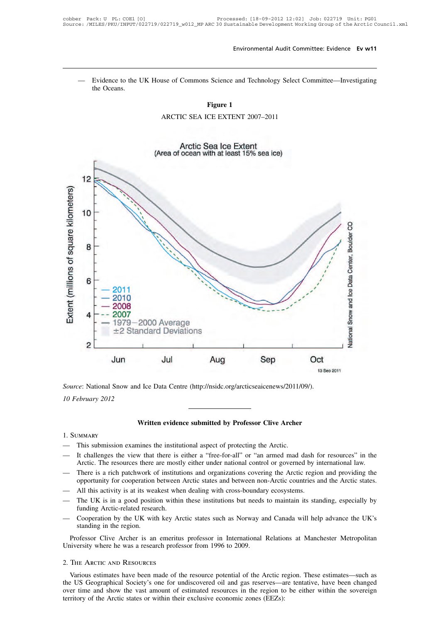Environmental Audit Committee: Evidence Ev w11<br>— Evidence to the UK House of Commons Science and Technology Select Committee—Investigating<br>the Oceans. Evidence to the I<br>the Oceans. **Figure 2**<br>**Figure 1**<br>**CE EXTENT 2007–11** Examples of Commons Science and Technology Select Contract Figure 1<br>ARCTIC SEA ICE EXTENT 2007–2011



d Ice Data Centre (http://nsidc.org/arcticseaicenews/2011/09/).<br> **Written evidence submitted by Professor Clive Archer** 

# 1. Summary

- 
- Written evidence submitted by Professor Clive Archer<br>1. SUMMARY<br>— This submission examines the institutional aspect of protecting the Arctic.<br>— It challenges the view that there is either a "free-for-all" or "an armed mad Written evidence submitted by Professor Clive Archer<br>
— This submission examines the institutional aspect of protecting the Arctic.<br>
— It challenges the view that there is either a "free-for-all" or "an armed mad dash for Written evidence submitted by Professor Clive Archer<br>This submission examines the institutional aspect of protecting the Arctic.<br>It challenges the view that there is either a "free-for-all" or "an armed mad dash for resour Written evidence submitted by Protessor Clive Archer<br>
— This submission examines the institutional aspect of protecting the Arctic.<br>
— It challenges the view that there is either a "free-for-all" or "an armed mad dash for DEN THIS SUDMINIST This submission examines the institutional aspect of protecting the Arctic.<br>
It challenges the view that there is either a "free-for-all" or "an armed mad dash for resources" in the Arctic. The resources — This submission examines the institutional aspect of protecting the Arctic.<br>
— It challenges the view that there is either a "free-for-all" or "an armed mad dash for<br>
Arctic. The resources there are mostly either under n — It challenges the view that there is either a "free-for-all" or "an armed mad dash for resources" in the Arctic. The resources there are mostly either under national control or governed by international law.<br>
— There is It challenges the view that there is either a "free-for-all" or "an armed mad dash for resources" in the Arctic. The resources there are mostly either under national control or governed by international law.<br>There is a ric
- There is a rich patchwork of institutions and organizations covering the Arctic region and providing the<br>
opportunity for cooperation between Arctic states and between non-Arctic countries and the Arctic states.<br>
 All t
- 
- The UK is in a good position within these institutions but needs to maintain its standing, especially by funding Arctic-related research.<br>Cooperation by the UK with key Arctic states such as Norway and Canada will help adv All this activity is at its weakest when dealing with cross-boundary ecosystems.<br>The UK is in a good position within these institutions but needs to maintain its standing, especially by funding Arctic-related research.<br>Coo — The UK is in a good position within these institutions but needs<br>funding Arctic-related research.<br>— Cooperation by the UK with key Arctic states such as Norway an<br>standing in the region.<br>Professor Clive Archer is an emer
- 

University where he was a research professor from 1996 to 2009.<br>2. THE ARCTIC AND RESOURCES

standing in the region.<br>
Professor Clive Archer is an emeritus professor in International Relations at Manchester Metropolitan<br>
iversity where he was a research professor from 1996 to 2009.<br>
THE ARCTIC AND RESOURCES<br>
Vario Professor Clive Archer is an emeritus professor in International Relations at Manchester Metropolitan<br>University where he was a research professor from 1996 to 2009.<br>2. THE ARCTIC AND RESOURCES<br>Various estimates have been University where he was a research professor from 1996 to 2009.<br>
2. THE ARCTIC AND RESOURCES<br>
Various estimates have been made of the resource potential of the Arctic region. These estimates—such as<br>
the US Geographical So Various estimates have been made of the resource potential of the Arctic region. These estimates—such as the US Geographical Society's one for undiscovered oil and gas reserves—are tentative, have been changed over time an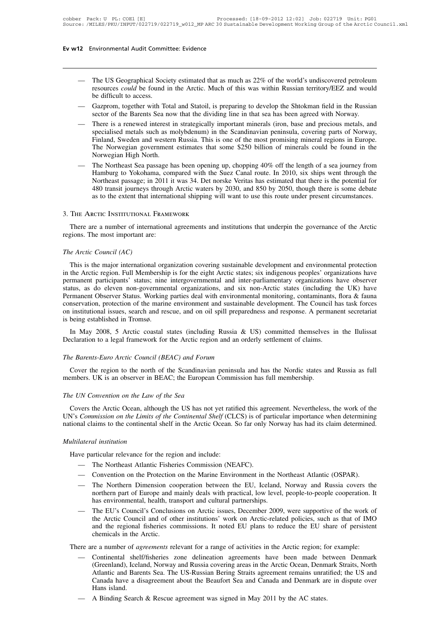- 12 Environmental Audit Committee: Evidence<br>
 The US Geographical Society estimated that as much as 22% of the world's undiscovered petroleum<br>
resources *could* be found in the Arctic. Much of this was within Russian terri The US Geographical Society estimated that as much as 22% of the world's undiscovered petroleum<br>resources *could* be found in the Arctic. Much of this was within Russian territory/EEZ and would<br>be difficult to access.<br>Gazn mortal Audit Comminor<br>The US Geographical Social<br>resources *could* be found in<br>the difficult to access.<br>Gazprom, together with To — The US Geographical Society estimated that as much as 22% of the world's undiscovered petroleum<br>resources *could* be found in the Arctic. Much of this was within Russian territory/EEZ and would<br>be difficult to access.<br>Ga The US Geographical Society estimated that as much as 22% of the world's undiscovered petroleum<br>resources *could* be found in the Arctic. Much of this was within Russian territory/EEZ and would<br>be difficult to access.<br>Gazp
- 
- The US Geographical Society estimated that as much as 22% of the world's undiscovered petroleum<br>resources *could* be found in the Arctic. Much of this was within Russian territory/EEZ and would<br>be difficult to access.<br>— Find the Success could be found in the Arctic. Much of this was within Russian territory/EEZ and would be difficult to access.<br>Gazprom, together with Total and Statoil, is preparing to develop the Shtokman field in the Ru Figures Collin and Station and Station of this was within Russian territory/EEE and would<br>be difficult to access.<br>Gazprom, together with Total and Station, is preparing to develop the Shtokman field in the Russian<br>sector o Gazprom, together with Total and Statoil, is preparing to develop the Shtokman field in the Russian<br>sector of the Barents Sea now that the dividing line in that sea has been agreed with Norway.<br>There is a renewed interest — Gazprom, together with Total and Statoil, is preparing to develop the Shtokman field in the Russian<br>sector of the Barents Sea now that the dividing line in that sea has been agreed with Norway.<br>— There is a renewed inter There is a renewed interest in strategically important minerals (iron, base and precious metals, and specialised metals such as molybdenum) in the Scandinavian peninsula, covering parts of Norway, Finland, Sweden and weste There is a renewed interest in strategically important minerals (iron, base and precious metals, and<br>specialised metals such as molybdenum) in the Scandinavian peninsula, covering parts of Norway,<br>Finland, Sweden and weste
- specialised metals such as molybdenum) in the Scandinavian peninsula, covering parts of Norway,<br>Finland, Sweden and western Russia. This is one of the most promising mineral regions in Europe.<br>The Norwegian government esti Finland, Sweden and western Russia. This is one of the most promising mineral regions in Europe.<br>The Norwegian government estimates that some \$250 billion of minerals could be found in the<br>Norwegian High North.<br>The Northea The Norwegian government estimates that some \$250 billion of minerals could be found in the<br>Norwegian High North.<br>The Northeast Sea passage has been opening up, chopping 40% off the length of a sea journey from<br>Hamburg to The Norwegian government estimates that so<br>Norwegian High North.<br>-- The Northeast Sea passage has been opening u<br>Hamburg to Yokohama, compared with the S<br>Northeast passage; in 2011 it was 34. Det nors<br>480 transit journeys Northeast passage; in 2011 it was 34. Det norske Veritas has estimated that there is the potential for 480 transit journeys through Arctic waters by 2030, and 850 by 2050, though there is some debate as to the extent that

480 transit journeys through<br>as to the extent that international<br>3. The Arcric INSTITUTIONAL FRAME<br>There are a number of international<br>regions. The most important are:<br>The Arctic Council (AC) 3. The Arctic Institutional<br>There are a number of intern<br>regions. The most important are<br>*The Arctic Council (AC)*<br>This is the major international

The ARCHC INSITIUTIONAL FRAMEWORK<br>There are a number of international agreements and institutions that underpin the governance of the Arctic<br>gions. The most important are:<br>e Arctic Council (AC)<br>This is the major internatio There are a number of international agreements and institutions that underpin the governance of the Arctic regions. The most important are:<br>
The Arctic Council (AC)<br>
This is the major international organization covering su The Arctic Council (AC)<br>The Arctic Council (AC)<br>This is the major international organization covering sustainable development and environmental protection<br>in the Arctic region. Full Membership is for the eight Arctic state The Arctic Council (AC)<br>
This is the major international organization covering sustainable development and environmental protection<br>
in the Arctic region. Full Membership is for the eight Arctic states; six indigenous peop The Arctic Council (AC)<br>
This is the major international organization covering sustainable development and environmental protection<br>
in the Arctic region. Full Membership is for the eight Arctic states; six indigenous peop The Arcia Council (AC)<br>
This is the major international organization covering sustainable development and environmental protection<br>
in the Arctic region. Full Membership is for the eight Arctic states; six indigenous peopl This is the major international organization covering sustainable development and environmental protection<br>in the Arctic region. Full Membership is for the eight Arctic states; six indigenous peoples' organizations have<br>pe in the Arctic region. Full Membershi<br>permanent participants' status; nine<br>status, as do eleven non-governme<br>Permanent Observer Status. Working<br>conservation, protection of the marin<br>on institutional issues, search and re<br>is Infiancin participants status, film intergovernmental and inter-parnamentaly organizations have observed<br>tus, as do eleven non-governmental organizations, and six non-Arctic states (including the UK) have<br>rmanent Observer status, as do crever non-governmentar organizations, and six non-Arctic states (including the Permanent Observer Status. Working parties deal with environmental monitoring, contaminants, conservation, protection of the mar

on institutional issues, search and rescue, and on oil spill preparedness and response. A permanent secretariat<br> *The Barents-Euro Arctic coastal states (including Russia & US) committed themselves in the Ilulissat<br>
Declar* In May 2008, 5 Arctic coastal states (including Russia & US) committed themselves in the Ilulissat eclaration to a legal framework for the Arctic region and an orderly settlement of claims.<br> *Le Barents-Euro Arctic Council* In May 2008, 5 Arctic coastal states (including Russia & US) committed themselves<br>Declaration to a legal framework for the Arctic region and an orderly settlement of claims.<br>The Barents-Euro Arctic Council (BEAC) and Foru

members. UK is an observer in BEAC; the European Commission has full membership.<br> *The UN Convention on the Law of the Sea*<br>
Covers the Arctic Ocean, although the US has not yet ratified this agreement. Nevertheless, the w Example Barents-Euro Arctic Council (BEAC) and Forum<br>Cover the region to the north of the Scandinavian peninsula and has the Nordic states and Russia as full<br>embers. UK is an observer in BEAC; the European Commission has f Cover the region to the north of the Scandinavian peninsula and has the Nordic states and Russia as full members. UK is an observer in BEAC; the European Commission has full membership.<br>
The UN Convention on the Law of the members. UK is an observer in BEAC; the European Commission has full membership.<br>
The UN Convention on the Law of the Sea<br>
Covers the Arctic Ocean, although the US has not yet ratified this agreement. Nevertheless, the wor *The UN Convention on the Law c*<br>Covers the Arctic Ocean, altho<br>UN's Commission on the Limits of<br>national claims to the continental<br>*Multilateral institution*<br>Have particular relevance for the Covers the Arctic Ocean, although the US has not yet ratified N's Commission on the Limits of the Continental Shelf (CLC tional claims to the continental shelf in the Arctic Ocean. Subsetiated institution<br>Have particular r Commission on the Limits of the Continental Shelf (CLCS) is of pa<br>hal claims to the continental shelf in the Arctic Ocean. So far only<br>lateral institution<br>we particular relevance for the region and include:<br>— The Northeast

- 
- 
- Multilateral institution<br>
 The Northeast Atlantic Fisheries Commission (NEAFC).<br>
 Convention on the Protection on the Marine Environment in the Northeast Atlantic (OSPAR).<br>
 The Northern Dimension cooperation between th Interal institution<br>
We particular relevance for the region and include:<br>
The Northeast Atlantic Fisheries Commission (NEAFC).<br>
The Northern Dimension cooperation between the EU, Iceland, Norway and Russia covers the<br>
nort northern part of the region and include:<br>The Northeast Atlantic Fisheries Commission (NEAFC).<br>Convention on the Protection on the Marine Environment in the Northeast Atlantic (OSPAR).<br>The Northern Dimension cooperation bet rticular relevance for the region and include:<br>The Northeast Atlantic Fisheries Commission (NEAFC).<br>Convention on the Protection on the Marine Environment in the Northern Dimension cooperation between the EU, Iceland,<br>nort — The Northeast Atlantic Fisheries Commission (NEAFC).<br>
— Convention on the Protection on the Marine Environment in the Northeast Atlantic (OSPAR).<br>
— The Northern Dimension cooperation between the EU, Iceland, Norway and
	- Convention on the Protection on the Marine Environment in the Northeast Atlantic (OSPAR).<br>The Northern Dimension cooperation between the EU, Iceland, Norway and Russia covers the<br>northern part of Europe and mainly deals wi Convention on the riotection on the Marine Environment in the Northeast Atlantic (CSTAR).<br>The Northern Dimension cooperation between the EU, Iceland, Norway and Russia covers the<br>northern part of Europe and mainly deals wi The Northern Dimension co<br>northern part of Europe and i<br>has environmental, health, tra<br>The EU's Council's Conclusi<br>the Arctic Council and of ot<br>and the regional fisheries co<br>chemicals in the Arctic.<br>re a number of *agreeme* The EU's Council's Conclusions on Arctic issues, December 2009, were supportive of the work of<br>the Arctic Council's Conclusions on Arctic issues, December 2009, were supportive of the work of<br>the Arctic Council and of othe — The EU's Council's Conclusions on Arctic issues, December 2009, were supportive of the work of<br>the Arctic Council and of other institutions' work on Arctic-related policies, such as that of IMO<br>and the regional fisheries

- the Arctic Council and of other institutions' work on Arctic-related policies, such as that of IMO<br>and the regional fisheries commissions. It noted EU plans to reduce the EU share of persistent<br>chemicals in the Arctic.<br>re and the regional fisheries commissions. It noted EU plans to reduce the EU share of persistent<br>chemicals in the Arctic.<br>re a number of *agreements* relevant for a range of activities in the Arctic region; for example:<br>Cont chemicals in the Arctic.<br>
The a number of *agreements* relevant for a range of activities in the Arctic region; for example:<br>
Continental shelf/fisheries zone delineation agreements have been made between Denmark<br>
(Greenla re a number of *ag*<br>Continental shelf<br>(Greenland), Icela<br>Atlantic and Bare<br>Canada have a di<br>Hans island.<br>A Binding Search — Continental shelf/fisheries zone delineation agreements have been made be<br>
(Greenland), Iceland, Norway and Russia covering areas in the Arctic Ocean, Denm<br>
Atlantic and Barents Sea. The US-Russian Bering Straits agreeme
-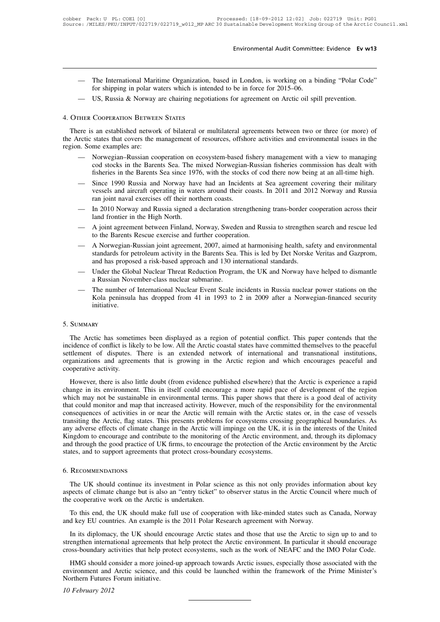- Environmental Audit Committee: Evidence Ev w13<br>
 The International Maritime Organization, based in London, is working on a binding "Polar Code"<br>
 IIS Russia & Norway are chairing peopliations for agreement on Arctic oil Forthermannical Audit Committee: Evidence Ev w13<br>
The International Maritime Organization, based in London, is working on a binding "Polar Code"<br>
for shipping in polar waters which is intended to be in force for 2015–06.<br> Environmental Audit Committee: Evidence EV W1<br>
— The International Maritime Organization, based in London, is working on a binding "Polar Code<br>
for shipping in polar waters which is intended to be in force for 2015–06.<br>
— The International Maritime Organization,<br>for shipping in polar waters which is inten<br>— US, Russia & Norway are chairing negotia<br>4. OTHER COOPERATION BETWEEN STATES
	-

The international Maritime Organization, based in London, is working on a binding Potar Code<br>for shipping in polar waters which is intended to be in force for 2015–06.<br>US, Russia & Norway are chairing negotiations for agre the Arctic states that covers the management of resources, offshore activities and environmental issues in the<br>
There is an established network of bilateral or multilateral agreements between two or three (or more) of<br>
the - US, Russia & Norway<br>4. OTHER COOPERATION BETWEE<br>There is an established networl<br>the Arctic states that covers the n<br>region. Some examples are:<br>- Norwegian-Russian coorders are:

- THER COOPERATION BETWEEN STATES<br>
ere is an established network of bilateral or multilateral agreements between two or three (or more) of<br>
rctic states that covers the management of resources, offshore activities and enviro COOPERATION BETWEEN STATES<br>
S an established network of bilateral or multilateral agreements between two or three (or more) of<br>
states that covers the management of resources, offshore activities and environmental issues i Figure 2013 an established network of bilateral or multilateral agreements between two or three (or more) of states that covers the management of resources, offshore activities and environmental issues in the me examples a Frectic states that covers the management of manifateral agreements between two of direct (of more) of rectic states that covers the management of resources, offshore activities and environmental issues in the .<br>
— Norwegi
- states and covers are management of resources, orishore activities and chvironmental issues in the<br>me examples are:<br>Norwegian-Russian cooperation on ecosystem-based fishery management with a view to managing<br>cod stocks in ran becausing the examples are.<br>
Norwegian-Russian cooperation on ecosystem-based fi<br>
cod stocks in the Barents Sea. The mixed Norwegian-<br>
fisheries in the Barents Sea since 1976, with the stocks<br>
Since 1990 Russia and Nor Forwegian Russian cooperation of ecosystem based ishery management with a view to maniging<br>cod stocks in the Barents Sea since 1976, with the stocks of cod there now being at an all-time high.<br>— Since 1990 Russia and Norwa fisheries in the Barents Sea. The T<br>fisheries in the Barents Sea since 197<br>Since 1990 Russia and Norway have<br>vessels and aircraft operating in water<br>an joint naval exercises off their nor<br>In 2010 Norway and Russia signed a — Since 1990 Russia and Norway have had an Incidents at Sea agreement covering their military<br>vessels and aircraft operating in waters around their coasts. In 2011 and 2012 Norway and Russia<br>ran joint naval exercises off t vessels and aircraft operating in waters around their coasts. In 2011 and 2012 Norway and Russia<br>
ran joint naval exercises off their northern coasts.<br>
— In 2010 Norway and Russia signed a declaration strengthening trans-b
- 
- 
- m 1 and a Norway and Russian signed a declaration strengthening trans-border cooperation across their<br>
1 and frontier in the High North.<br>
 A joint agreement between Finland, Norway, Sweden and Russia to strengthen search In 2010 Norway and Russia signed a declaration strengthening trans-border cooperation across their<br>land frontier in the High North.<br>A joint agreement between Finland, Norway, Sweden and Russia to strengthen search and resc and frontier in the High North.<br>A joint agreement between Finland, Norway, Sweden and Russia to strengthen<br>to the Barents Rescue exercise and further cooperation.<br>A Norwegian-Russian joint agreement, 2007, aimed at harmoni — A joint agreement between Finland, Norway, Sweden and Russia to strengthen search and rescue led<br>to the Barents Rescue exercise and further cooperation.<br>— A Norwegian-Russian joint agreement, 2007, aimed at harmonising h For John agreement between Timand, Norway, Sweet<br>to the Barents Rescue exercise and further cooperat<br>A Norwegian-Russian joint agreement, 2007, aimed<br>standards for petroleum activity in the Barents Sea.<br>and has proposed a — A Norwegian-Russian joint agreement, 2007, aimed at harmonising health, safety and environmental<br>standards for petroleum activity in the Barents Sea. This is led by Det Norske Veritas and Gazprom,<br>and has proposed a risk
- 
- XI Norwegian-Russian John agreement, 2007, annea ar hamnomising neamt, safety and environmentar<br>standards for petroleum activity in the Barents Sea. This is led by Det Norske Veritas and Gazprom,<br>and has proposed a risk-ba initiative.

# 5. Summary

The number of International Nuclear Event Scale incidents in Russia nuclear power stations on the<br>Kola peninsula has dropped from 41 in 1993 to 2 in 2009 after a Norwegian-financed security<br>initiative.<br>SUMMARY<br>The Arctic h Kola peninsula has dropped from 41 in 1993 to 2 in 2009 after a Norwegian-financed security<br>initiative.<br>5. SUMMARY<br>The Arctic has sometimes been displayed as a region of potential conflict. This paper contends that the<br>inc initiative.<br>
5. SUMMARY<br>
The Arctic has sometimes been displayed as a region of potential conflict. This paper contends that the<br>
incidence of conflict is likely to be low. All the Arctic coastal states have committed them 5. SUMMARY<br>The Arctic has sometimes been displayed as a region of potential conflict. This paper contends that the<br>incidence of conflict is likely to be low. All the Arctic coastal states have committed themselves to the p 5. SUMMARY<br>The Arctic has sometiincidence of conflict is like<br>settlement of disputes.<br>organizations and agreer<br>cooperative activity.<br>However, there is also The Arctic has sometimes been displayed as a region of potential conflict. This paper contends that the vidence of conflict is likely to be low. All the Arctic coastal states have committed themselves to the peaceful itlem In the change in its solutions of displayed as a region of potential conflict. This paper contends that the incidence of conflict is likely to be low. All the Arctic coastal states have committed themselves to the peaceful

mericant of disputes. There is an extended network of international and transnational institutions, organizations and agreements that is growing in the Arctic region and which encourages peaceful and cooperative activity.<br> or and a different could monitor and agreements that is growing in the Arctic region and which encourages peaceful and cooperative activity.<br>
However, there is also little doubt (from evidence published elsewhere) that the cooperative activity.<br>
However, there is also little doubt (from evidence published elsewhere) that the Arctic is experience a rapid<br>
change in its environment. This in itself could encourage a more rapid pace of developme Example a metal is also little doubt (from evidence published elsewhere) that the Arctic is experience a rapid<br>change in its environment. This in itself could encourage a more rapid pace of development of the region<br>which However, there is also little doubt (from evidence published elsewhere) that the Arctic is experience a rapid change in its environment. This in itself could encourage a more rapid pace of development of the region which m change in its environment. This in itself could encourage a more rapid pace of development of the region which may not be sustainable in environmental terms. This paper shows that there is a good deal of activity that coul which may not be sustainable in environmental terms. This paper shows that there is a good deal of activity that could monitor and map that increased activity. However, much of the responsibility for the environmental cons that could monitor and map that increased activity. However, much of the resp<br>consequences of activities in or near the Arctic will remain with the Arctic s<br>transiting the Arctic, flag states. This presents problems for ec In the UK should continue its investment in Polar science as this not only provides information by the Arctic<br>detes, and to support agreements that protect cross-boundary ecosystems.<br>The UK should continue its investment i

# 6. Recommendations

and through the good practice of UK firms, to encourage the protection of the Arctic environment by the Arctic<br>states, and to support agreements that protect cross-boundary ecosystems.<br>6. RECOMMENDATIONS<br>The UK should cont states, and to support agreements that protect cross-bou<br>6. RECOMMENDATIONS<br>The UK should continue its investment in Polar sc<br>aspects of climate change but is also an "entry ticket"<br>the cooperative work on the Arctic is un RECOMMENDATIONS<br>The UK should continue its investment in Polar science as this not only provides information about key<br>pects of climate change but is also an "entry ticket" to observer status in the Arctic Council where mu 6. RECOMMENDATIONS<br>The UK should continue its investment in Polar science as this not only provides inform<br>aspects of climate change but is also an "entry ticket" to observer status in the Arctic Counci<br>the cooperative wor

The UK should continue its investment in Polar science as this not only provides information about key<br>pects of climate change but is also an "entry ticket" to observer status in the Arctic Council where much of<br>e cooperat strengthen international agreements that help protect the Arctic environment. In particular it should make full use of cooperation with like-minded states such as Canada, Norway and key EU countries. An example is the 2011 To this end, the UK should make full use of cooperation with like-minded states such as Canada, Norway and key EU countries. An example is the 2011 Polar Research agreement with Norway.<br>In its diplomacy, the UK should enco

Io this end, the UK should make full use of cooperation with like-minded states such as Canada, Norway d key EU countries. An example is the 2011 Polar Research agreement with Norway.<br>In its diplomacy, the UK should encour and key EU countries. An example is the 2011 Polar Research agreement with Norway.<br>
In its diplomacy, the UK should encourage Arctic states and those that use the Arctic to sign up to and to<br>
strengthen international agree In its diplomacy, the UK should encorrengthen international agreements that cross-boundary activities that help prote HMG should consider a more joined-<br>environment and Arctic science, and the Northern Futures Forum initia *1* February accoss-boundary accoss-boundary according that<br>*HMG* should convironment and<br>*Northern Futures* 1<br>*10 February 2012*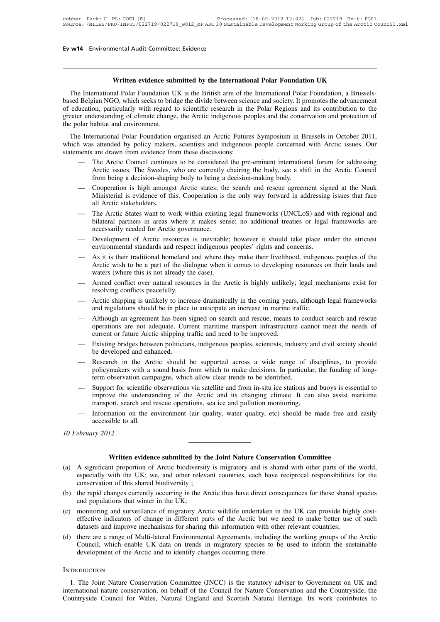**Written evidence submitted by the International Polar Foundation UK** Written evidence submittee: Evidence<br>Written evidence submitted by the International Polar Foundation UK<br>The International Polar Foundation UK is the British arm of the International Polar Foundation, a Brussels-<br>sed Belgi **based Belgian NGO, which seeks to bridge the divide between science and society.** It promotes the advancement of education, particularly with regard to scientific research in the Polar Regions and its contribution to the **Solution Written evidence submitted by the International Polar Foundation UK**<br>The International Polar Foundation UK is the British arm of the International Polar Foundation, a Brussels-<br>based Belgian NGO, which seeks to b Written evidence submitted by the International Polar Foundation UK<br>The International Polar Foundation, a Brussels-<br>based Belgian NGO, which seeks to bridge the divide between science and society. It promotes the advanceme **Written evidence sub**<br>The International Polar Foundation U<br>based Belgian NGO, which seeks to brid<br>of education, particularly with regard t<br>greater understanding of climate change<br>the polar habitat and environment.<br>The Int The International Polar Foundation UK is the British arm of the International Polar Foundation, a Brussels-<br>sed Belgian NGO, which seeks to bridge the divide between science and society. It promotes the advancement<br>educati Fine international Foat Foundation OK is the British and of the international Foat Foundation, a Brussels-<br>based Belgian NGO, which seeks to bridge the divide between science and society. It promotes the advancement<br>of edu based Bergian NOO, which seeks to onage the divide between select<br>of education, particularly with regard to scientific research in the<br>greater understanding of climate change, the Arctic indigenous peo<br>the polar habitat an

Exercise understanding of climate change, the Arctic indigenous peoples and the conservation and protection of<br>
plar habitat and environment.<br>
Exercision of plar Foundation organised an Arctic Futures Symposium in Brussels Arctic issues. The Swedes, who are currently chairing the body, see a shift in the Arctic Council<br>The Arctic Council continues to be considered the pre-eminent international forum for addressing<br>Arctic issues. The Swedes, Fractional Polar Foundation organised an Arctic Futures Symposium in B<br>s attended by policy makers, scientists and indigenous people concerned<br>are drawn from evidence from these discussions:<br>The Arctic Council continues to

- 
- 1 was attended by policy makers, scientists and indigenous people concerned with Arctic issues. Our nents are drawn from evidence from these discussions:<br>
 The Arctic Council continues to be considered the pre-eminent int Satellace by policy makers, selentists and margemous people concerned with Arctic issues. Our are drawn from evidence from these discussions:<br>The Arctic Council continues to be considered the pre-eminent international foru The Arctic Council continue<br>Arctic issues. The Swedes,<br>from being a decision-shapir<br>Cooperation is high amongs<br>Ministerial is evidence of the<br>all Arctic stakeholders.<br>The Arctic States want to whilateral partners in areas — The Arctic Council communes to be considered the pre-eminent international forum for addressing<br>Arctic issues. The Swedes, who are currently chairing the body, see a shift in the Arctic Council<br>from being a decision-shap
- From being a decision-shaping body to being a decision-making body, see a sint in the Arctic Council<br>from being a decision-shaping body to being a decision-making body.<br>Cooperation is high amongst Arctic states; the search from being a decision-shaping body to being a decision-making body.<br>Cooperation is high amongst Arctic states; the search and rescue agreement signed at the Nuuk<br>Ministerial is evidence of this. Cooperation is the only way — Cooperation is fight amongst Arctic states, the search and rescue agreement signed at the Nuk<br>Ministerial is evidence of this. Cooperation is the only way forward in addressing issues that face<br>all Arctic states want to Ministeriar is evidence of uns. Cooperation is the only way forward in addressing<br>all Arctic states want to work within existing legal frameworks (UNCLoS) and v<br>bilateral partners in areas where it makes sense; no addition — The Arctic States want to work within existing legal frameworks (UNCLoS) and with regional and<br>bilateral partners in areas where it makes sense; no additional treaties or legal frameworks are<br>necessarily needed for Arcti
- 
- The Arctic states want to work whill existing legal Haincworks (ONCLOS) and whil regional and<br>bilateral partners in areas where it makes sense; no additional treaties or legal frameworks are<br>necessarily needed for Arctic g environmental standards and respect indigenous peoples' rights and concerns.<br>
— As it is their traditional homeland and where they make their livelihood, indigenous peoples of the<br>
Arctic wish to be a part of the dialogue — Development of Arctic resources is inevitable; however it should take place under the strictest<br>
environmental standards and respect indigenous peoples' rights and concerns.<br>
— As it is their traditional homeland and whe Development of Arctic resources<br>environmental standards and respected<br>As it is their traditional homeland a<br>Arctic wish to be a part of the dial<br>waters (where this is not already th<br>Armed conflict over natural resour<br>resol — As it is their traditional homeland and where they make their livelihood, indigenous peoples of the<br>Arctic wish to be a part of the dialogue when it comes to developing resources on their lands and<br>waters (where this is Arctic wish to be a part of the dialogue when it comes to developing resources of waters (where this is not already the case).<br>Armed conflict over natural resources in the Arctic is highly unlikely; legal mecresolving conf
- 
- 
- Armed conflict over natural resources in the Arctic is highly unlikely; legal mechanisms exist for<br>resolving conflicts peacefully.<br>— Arctic shipping is unlikely to increase dramatically in the coming years, although lega Armed conflict over natural resources in the Arctic is highly unlikely; legal mechanisms exist for<br>resolving conflicts peacefully.<br>Arctic shipping is unlikely to increase dramatically in the coming years, although legal fr Armed connect over hadural resources in the Arctic is highly uninkery<br>resolving conflicts peacefully.<br>Arctic shipping is unlikely to increase dramatically in the coming year<br>and regulations should be in place to anticipate — Arctic shipping is unlikely to increase dramatically in the coming years, although legal frameworks<br>
and regulations should be in place to anticipate an increase in marine traffic.<br>
— Although an agreement has been signe Arctic sinpping is uninery to increase<br>and regulations should be in place<br>Although an agreement has been<br>operations are not adequate. Cur<br>current or future Arctic shipping t<br>Existing bridges between politicia<br>be developed — Although an agreement has been signed on search and rescue, means to conduct search and rescue<br>operations are not adequate. Current maritime transport infrastructure cannot meet the needs of<br>current or future Arctic ship
- 
- Annough an agreement has been signed on search and researc, means to conduct search and research operations are not adequate. Current maritime transport infrastructure cannot meet the needs of current or future Arctic ship operations are not adequate. Current mantime transport imrastructure can<br>current or future Arctic shipping traffic and need to be improved.<br>Existing bridges between politicians, indigenous peoples, scientists, industry<br>be
- Existing bridges between politicians, indigenous peoples, scientists, industry and civil society should<br>be developed and enhanced.<br>- Research in the Arctic should be supported across a wide range of disciplines, to provide Existing bridges between pointcrans, indigenous peoples, scientists, industry and civil society should<br>be developed and enhanced.<br>Research in the Arctic should be supported across a wide range of disciplines, to provide<br>po Research in the Arctic should be supported across a wide range of dispolicymakers with a sound basis from which to make decisions. In particular, term observation campaigns, which allow clear trends to be identified.<br>Suppo — Research in the Arctic should be supported across a wide range of disciplines, to provide<br>policymakers with a sound basis from which to make decisions. In particular, the funding of long-<br>term observation campaigns, whic poncymakers with a s<br>term observation camp<br>Support for scientific improve the understa<br>transport, search and information on the encodensity<br>accessible to all.<br>*xry* 2012 *10 February 2012*
	- mation on the environment (air quality, water quality, etc) should be made free and<br>
	ible to all.<br> **Written evidence submitted by the Joint Nature Conservation Committee**<br>
	ont proportion of Arctic biodiversity is migratory

- (a) A significant proportion of Arctic biodiversity is migratory and is shared with other parts of the world, especially with the UK; we, and other relevant countries, each have reciprocal responsibilities for the conserva ebruary 2012<br> **Example 1988**<br>
Written evidence submitted by the Joint Nature Conservation Committee<br>
A significant proportion of Arctic biodiversity is migratory and is shared with other parts of the world,<br>
especially wit ebruary 2012<br>
Written evidence submitted by the<br>
A significant proportion of Arctic biodiversity<br>
especially with the UK; we, and other releva<br>
conservation of this shared biodiversity;<br>
the rapid changes currently occurri Written evidence submitted by the Joint Nature Conservation Committee<br>
(a) A significant proportion of Arctic biodiversity is migratory and is shared with other parts of the world,<br>
especially with the UK; we, and other re **Written evidence submitted by** Equivalent A significant proportion of Arctic biodiversities<br>pecially with the UK; we, and other relevends conservation of this shared biodiversity;<br>the rapid changes currently occurring in
- 
- (a) A significant proportion of Arctic biodiversity is migratory and is shared with other parts of the world, especially with the UK; we, and other relevant countries, each have reciprocal responsibilities for the conserva Example in the UK; we, and other relevant countries, each have reciprocal responsibilities for the conservation of this shared biodiversity;<br>the rapid changes currently occurring in the Arctic thus have direct consequences especially with the OK, we, and other relevant countries, each have reciprocal responsionness<br>conservation of this shared biodiversity;<br>the rapid changes currently occurring in the Arctic thus have direct consequences for (b) the rapid changes currently occurring in the Arctic thus have direct consequences for those shared species and populations that winter in the UK;<br>
(c) monitoring and surveillance of migratory Arctic wildlife undertaken Including the Archive of migratory Arctic dius have direct consequences for those shared species<br>and populations that winter in the UK;<br>monitoring and surveillance of migratory Arctic wildlife undertaken in the UK can prov and populations that winter in the OK,<br>monitoring and surveillance of migratory Arctic wildlife undertaken in<br>effective indicators of change in different parts of the Arctic but we i<br>datasets and improve mechanisms for sha
- 1. The Joint Nature Conservation Committee (JNCC) is the statutory appears to be used to inform the sustainable<br>development of the Arctic and to identify changes occurring there.<br>TRODUCTION<br>1. The Joint Nature Conservation

# **INTRODUCTION**

international nature conservation committee (JNCC) is the statutory adviser to Government on UK and international nature Conservation Committee (JNCC) is the statutory adviser to Government on UK and international nature c development of the Arctic and to identify changes occurring there.<br>
INTRODUCTION<br>
1. The Joint Nature Conservation Committee (JNCC) is the statutory adviser to Government on UK and<br>
international nature conservation, on be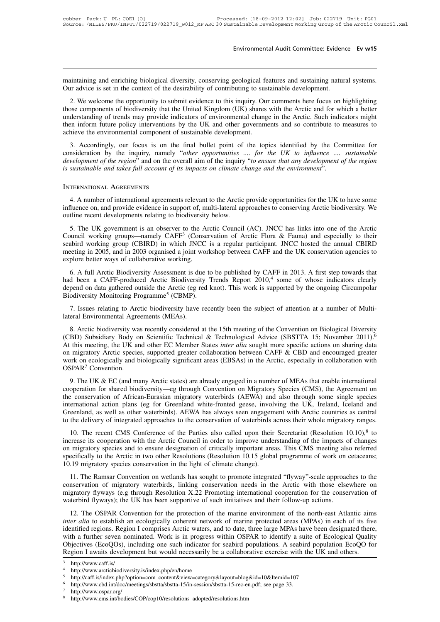Environmental Audit Committee: Evidence Ev w15<br>maintaining and enriching biological diversity, conserving geological features and sustaining natural systems.<br>Our advice is set in the context of the desirability of contribu Environmental Audit Committee: Evidence Ev w15<br>
Traintaining and enriching biological diversity, conserving geological features and sustaining natural systems.<br>
Our advice is set in the context of the desirability of contr

2. We welcome the opportunity to submit evidence to this inquiry. Our comments here focus on highlighting to submit evidence to this inquiry. Our comments here focus on highlighting the components of biodiversity to submit maintaining and enriching biological diversity, conserving geological features and sustaining natural systems.<br>Our advice is set in the context of the desirability of contributing to sustainable development.<br>2. We welcome maintaining and enriching biological diversity, conserving geological features and sustaining natural systems.<br>Our advice is set in the context of the desirability of contributing to sustainable development.<br>2. We welcome maintaining and enriching biological diversity, conserving geological features and sustaining natural systems.<br>Our advice is set in the context of the desirability of contributing to sustainable development.<br>2. We welcome those components of biodiversity that the United Kingdom (UK) shares with the Arctic and for which a better understanding of trends may provide indicators of environmental change in the Arctic. Such indicators might then i 2. We welcome the opportunity to submit evidence to this inquiry. Our comments here focus on highlighting ose components of biodiversity that the United Kingdom (UK) shares with the Arctic and for which a better derstandin 2. We welcome the opportunity to submit evidence to this inquiry. Our comments here focus on inginightng those components of biodiversity that the United Kingdom (UK) shares with the Arctic and for which a better understan

*development of the region*" and on the overall aim of the inquiry "*to ensure the Arctic*. Such indicators might then inform future policy interventions by the UK and other governments and so contribute to measures to ach *is sustainable and takes full account of its impacts on climate change in the Arctic. Such induction*<br>*is a Accordingly, our focus is on the final bullet point of the topics identified by the Coronsideration by the inquir* achieve the environmental component of sustainable development.<br>
3. Accordingly, our focus is on the final bullet point of the topics identified by the Committee for<br>
consideration by the inquiry, namely "other opportuniti moderation by the inquiry, namely "other opportunities .... for the UK to influence .... sustainable<br>velopment of the region" and on the overall aim of the inquiry "to ensure that any development of the region<br>sustainable

development of the region" and on the overall aim of the inquiry "to ensure that any development of the region<br>is sustainable and takes full account of its impacts on climate change and the environment".<br>INTERNATIONAL AGRE is sustainable and takes full account of its impacts on climate chinese the INTERNATIONAL AGREEMENTS<br>
4. A number of international agreements relevant to the Arctic<br>
influence on, and provide evidence in support of, multi-4. A number of international agreements relevant to the Arctic provide opportunities for the UK to have some<br>influence on, and provide evidence in support of, multi-lateral approaches to conserving Arctic biodiversity. We<br>

INTERNATIONAL AGREEMENTS<br>
4. A number of international agreements relevant to the Arctic provide opportunities for the UK to have some<br>
influence on, and provide evidence in support of, multi-lateral approaches to conserv 4. A number of international agreements relevant to the Arctic provide opportunities for the UK to have some<br>influence on, and provide evidence in support of, multi-lateral approaches to conserving Arctic biodiversity. We<br> mething in 2005, and in 2003 organised a joint workshop between CAFF and the UK conservation agencies to the Arctic Council working groups—namely CAFF<sup>3</sup> (Conservation of Arctic Flora & Fauna) and especially to their seab mination of the evidence in support of, in<br>outline recent developments relating to biodiversity<br>5. The UK government is an observer to the Arcouncil working groups—namely CAFF<sup>3</sup> (Conse<br>seabird working group (CBIRD) in whi 5. The UK government is an observer to the Arctic Council (AC). JNCC has links into one of the Arctic buncil working groups—namely CAFF<sup>3</sup> (Conservation of Arctic Flora & Fauna) and especially to their abbird working group For the OK government is an observer to the Arctic Collective Collective Collective Collective Collective Collective Collective Seabird working group (CBIRD) in which JNCC is a regular participant. JNCC hosted the annual

depend on data gathered outside the Arctic (eg red knot). This work is supported by the ongoing Circumpolar Biodiversity Assessment is due to be published by CAFF in 2013. A first step towards that had been a CAFF-produced Scaolid Working group (CBIKD) in which sixed is<br>meeting in 2005, and in 2003 organised a joint works<br>explore better ways of collaborative working.<br>6. A full Arctic Biodiversity Assessment is due to<br>had been a CAFF-produced explore better ways of collaborative working.<br>
6. A full Arctic Biodiversity Assessment is due to be published by CAFF in 2013. A first step towards that<br>
had been a CAFF-produced Arctic Biodiversity Trends Report 2010,<sup>4</sup>

Biodiversity Monitoring Programme<sup>5</sup> (CBMP).<br>
7. Issues relating to Arctic biodiversity have recently been the subject of attention at a number of Multi-<br>
1. Issues relating to Arctic biodiversity have recently been the su

d been a CAFF-produced Arctic Biodiversity Trends Report 2010,<sup>4</sup> some of whose indicators clearly<br>pend on data gathered outside the Arctic (eg red knot). This work is supported by the ongoing Circumpolar<br>odiversity Monit depend on data gathered outside the Arctic (eg red knot). This work is supported by the ongoing Circumpolar<br>Biodiversity Monitoring Programme<sup>5</sup> (CBMP).<br>7. Issues relating to Arctic biodiversity have recently been the subj 7. Issues relating to Arctic biodiversity have recently been the subject of attention at a number of Multi-<br>lateral Environmental Agreements (MEAs).<br>8. Arctic biodiversity was recently considered at the 15th meeting of th work on ecologically and biologically significant areas (EBSAs) in the Arctic, especially in collaboration with OSPAR<sup>7</sup> Convention.<br>
The Arctic significant areas (MEAs).<br>
At this meeting, the UK and other EC Member State OSPAR<sup>7</sup> Convention. 9. The UK & EC (and many Arctic states) are already engaged in a number of MEAs that enable international poperation for sharing data migratory Arctic species, supported greater collaboration between CAFF & CBD and encour (CBD) substituted biodiversity—eg through Convention on Migratory Species (CBSTTA 15), November 2011).<br>At this meeting, the UK and other EC Member States *inter alia* sought more specific actions on sharing data<br>on migrato

At this inceting, the OK and other Let Member States *liner* that sought more specific actions on sharing data<br>on migratory Arctic species, supported greater collaboration between CAFF & CBD and encouraged greater<br>work on international action plans (eg for Greenland white-fronted geese, involving the UK, Ireland international cooperation for shared biodiversity—eg through Convention on Migratory Species (CMS), the Agreement on the conservat OSPAR<sup>7</sup> Convention.<br>
9. The UK & EC (and many Arctic states) are already engaged in a number of MEAs that enable international<br>
cooperation for shared biodiversity—eg through Convention on Migratory Species (CMS), the Ag 9. The UK & EC (and many Arctic states) are already engaged in a number of MEAs that enable international cooperation for shared biodiversity—eg through Convention on Migratory Species (CMS), the Agreement on the conserva 2. The extracted biodiversity—eg through Convention on Migratory Species (CMS), the Agreement on conservation of African-Eurasian migratory waterbirds (AEWA) and also through some single species ernational action plans (e cooperation for stated bodiversity—ig unough convention on migratory spectes (cms), the Agreement of<br>the conservation of African-Eurasian migratory waterbirds (AEWA) and also through some single species<br>international actio

10. The recent CMS Conference of the Parties also called upon their Secretariat (Resolution 10.10), $8$  to international action plans (eg for Greenland white-fronted geese, involving the UK, Ireland, Iceland and Greenland, as well as other waterbirds). AEWA has always seen engagement with Arctic countries as central to the deli Specifically to the Arctic in two other Resolutions (Resolution 10.15 global programme of work on cetaceans;<br>
10. The recent CMS Conference of the Parties also called upon their Secretariat (Resolution 10.10),<sup>8</sup> to increa Greenland, as well as other waterbirds). AEWA has always seen engagement with Arctic countries as central<br>to the delivery of integrated approaches to the conservation of waterbirds across their whole migratory ranges.<br>10. 10. The recent CMS Conference of the Parties also called upon their Secretariat (Resolution 10.10),<sup>8</sup> to crease its cooperation with the Arctic Council in order to improve understanding of the impacts of changes migratory For the recent class conference of the Farles also called upon their secretariat (resolution 10.10), to<br>increase its cooperation with the Arctic Council in order to improve understanding of the impacts of changes<br>on migrat

mercase its cooperation with the Arctic Council in order to improve understanding of the impacts of changes<br>on migratory species and to ensure designation of critically important areas. This CMS meeting also referred<br>speci conservation of migratory waterbirds, linking conservation needs in the Arctic with those elsewhere on migratory flyways (e.g through Resolution X.22 Promoting international cooperation for the conservation of waterbird fl 19 migratory species conservation in the light of climate change).<br>
11. The Ramsar Convention on wetlands has sought to promote integrated "flyway"-scale approaches to the<br>
neservation of migratory waterbirds, linking cons

11. The Ramsar Convention on wetlands has sought to promote integrated "flyway"-scale approaches to the conservation of migratory thyways (e.g through Resolution X.22 Promoting international cooperation for the conservatio It. The Rainsal Convention on we<br>conservation of migratory waterbirds, linking conservation needs in the Arctic with those elsewhere on<br>migratory flyways (e.g through Resolution X.22 Promoting international cooperation for Example of Highary Waterburs, Hiking Conservation Recess in the Arctic with those essewhere on<br>migratory flyways (e.g through Resolution X.22 Promoting international cooperation for the conservation of<br>waterbird flyways); Ingracoly hyways (e.g unough Resolution X.22 Tromoting international cooperation for the conservation of waterbird flyways); the UK has been supportive of such initiatives and their follow-up actions.<br>
12. The OSPAR Conven watcrond hyways), the OK has been supportive of such initiatives and then follow-up actions.<br>
12. The OSPAR Convention for the protection of the marine environment of the north-east Atlantic aim<br>
inter alia to establish an Objectives (EcoQOs), including one such indicator for seabird populations. A seabird population EcoQO for<br>Region I awaits development but would necessarily be a collaborative exercise with the UK and others.<br>
A http://www

<sup>5</sup> http://caff.is/index.php?option=com\_content&view=category&layout=blog&id=10&Itemid=107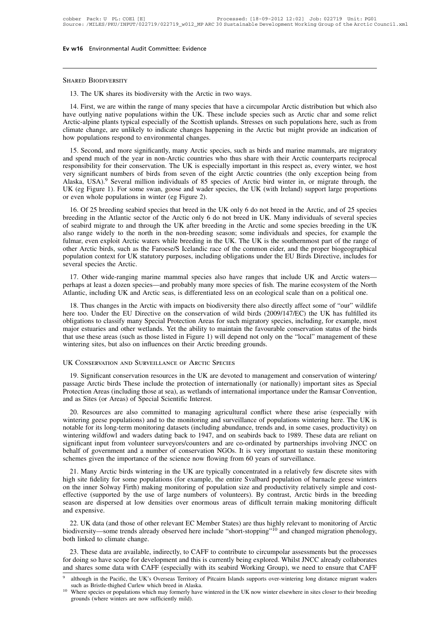Ev w16 Environmental Audit Committee: Evidence<br>
13. The UK shares its biodiversity with the Arctic in two ways.<br>
14. First, we are within the range of many species that have a circumpolar Arctic distribution but which also THE THE RESTRIM THAND IS THE URLEAD IN THE URLEAD IS.<br>The UK shares its biodiversity with the Arctic in two ways.<br>The First, we are within the range of many species that have a circumpolar Arctic distribution but which als SHARED BIODIVERSITY<br>
13. The UK shares its biodiversity with the Arctic in two ways.<br>
14. First, we are within the range of many species that have a circumpolar Arctic distribution but which also<br>
have outlying native popu SHARED BIODIVERSITY<br>13. The UK shares its biodiversity with the Arctic in two ways.<br>14. First, we are within the range of many species that have a circumpolar Arctic distribution but which also<br>have outlying native populat SHARED BIODIVERSITY<br>
13. The UK shares its biodiversity with the Arctic in two ways.<br>
14. First, we are within the range of many species that have a circumpolar Arctic distribution but which also<br>
have outlying native popu 13. The UK shares its biodiversity with the Arctic in to 14. First, we are within the range of many species that have outlying native populations within the UK. These Arctic-alpine plants typical especially of the Scottish 14. First, we are within the range of many species that have a circumpolar Arctic distribution but which also<br>ve outlying native populations within the UK. These include species such as Arctic char and some relict<br>ctic-alp Fr. 1 and spend much of the year in non-Arctic countries who thus share with the year in and some relict Arctic-alpine plants typical especially of the Scottish uplands. Stresses on such populations here, such as from clim

Factic-alpine plants typical especially of the Scottish uplands. Stresses on such populations here, such as from climate change, are unlikely to indicate changes happening in the Arctic but might provide an indication of h Execute applies plants typical especially of the secolus uplants. Sucsses of such populations field, such as folimed climate change, are unlikely to indicate changes happening in the Arctic but might provide an indication Final extractor of the extractor of the species, such as birds and marine mammals, are migratory and spend much of the year in non-Arctic countries who thus share with their Arctic counterparts reciprocal responsibility fo IS. Second, and more significantly, many Arctic species, such as birds and marine mammals, are migratory<br>and spend much of the year in non-Arctic countries who thus share with their Arctic counterparts reciprocal<br>responsib 15. Second, and more significantly, many Arctic speciand spend much of the year in non-Arctic countries wheresponsibility for their conservation. The UK is especial very significant numbers of birds from seven of the el Al 16. Of 25 breeding seabird species that breed in the UK only 6 do not breed in the Arctic, and of 25 species seabird migrate to and through the UK only 6 do not breed in the Arctic, and of 25 species of Arctic principle in besponsionity for their conservation. The OK is espectally important in this respect as, every winner, we nost<br>very significant numbers of birds from seven of the eight Arctic countries (the only exception being from<br>Alask

of seabird migrate to and through the UK after breeding in the UK (eg Figure 1). For some swan, goose and wader species of Arctic bird winter in, or migrate through, the UK (eg Figure 1). For some swan, goose and wader spe Alaska, USA). Several minion muvidials of 85 species of Arctic ond wincer in, of migrate unough, the UK (eg Figure 1). For some swan, goose and wader species, the UK (with Ireland) support large proportions or even whole p Full mar, even exploit Arctic waters while breeding in the UK only 6 do not breed in the Arctic, and of 25 species<br>breeding in the Atlantic sector of the Arctic only 6 do not of the UK. Many individuals of several species<br> of even whole populations in whiter (eg Figure 2).<br>
16. Of 25 breeding seabird species that breed in the UK only 6 do not breed in the Arctic, and of 25 species<br>
breeding in the Atlantic sector of the Arctic only 6 do not 16. Of 25 breeding seabird species that breed in the UK only 6 do not breed in the Arctic, and of 25 species breeding in the Atlantic sector of the Arctic only 6 do not breed in UK. Many individuals of several species of s breeding in the Atlantic sector<br>of seabird migrate to and throu<br>also range widely to the north<br>fulmar, even exploit Arctic wate<br>other Arctic birds, such as the l<br>population context for UK statu<br>several species the Arctic.<br> 17. Other wide-ranging marine mammal species also have ranges that include UK and Severity of the range of the range of the range of the range of the confluence of the common eider, and the proper biogeographical pulation ally many whether the non-otecting stast a done in the UK. The UK is the southernmost part of the range of other Arctic birds, such as the Faroese/S Icelandic race of the common eider, and the proper biogeographical popula Atlantic, including UK and Arctic waters when biological race of the common eider, and the proper biogeographical<br>population context for UK statutory purposes, including obligations under the EU Birds Directive, includes f

pulation context for UK statutory purposes, including obligations under the EU Birds Directive, includes for<br>veral species the Arctic.<br>17. Other wide-ranging marine mammal species also have ranges that include UK and Arcti

several species the Arctic.<br>
17. Other wide-ranging marine mammal species also have ranges that include UK and Arctic waters—<br>
perhaps at least a dozen species—and probably many more species of fish. The marine ecosystem o 17. Other wide-ranging marine mammal species also have ranges that include UK and Arctic waters—<br>perhaps at least a dozen species—and probably many more species of fish. The marine ecosystem of the North<br>Atlantic, includin Fr. Official wide-ranging matrix inalihinal species also have ranges that include OK and Arctic waters—<br>perhaps at least a dozen species—and probably many more species of fish. The marine ecosystem of the North<br>Atlantic, i perhaps at least a tozen species—and probably many more species of itsn. The matter ecosystem of the Form Atlantic, including UK and Arctic seas, is differentiated less on an ecological scale than on a political one.<br>18. T Atlantic, incriding UK and Arctic seas, is unterchitated ress on an ecological<br>18. Thus changes in the Arctic with impacts on biodiversity there also direct<br>here too. Under the EU Directive on the conservation of wild bird 19. Significant conservation resources in the UK are devoted to management and conservation status of the birds<br>the tuse these areas (such as those listed in Figure 1) will depend not only on the "local" management of thes

that use these areas (such as those listed in Figure 1) will depend not only on the "local" management of these<br>wintering sites, but also on influences on their Arctic breeding grounds.<br>UK CONSERVATION AND SURVEILLANCE OF WINTERT WARE SONGIFT AREAS (INCREDITED AREAS (INCREDITED AREAS (INCREDITED AREAS (INCREDITED AREAS (including those at sea), as wetlands of internationally (or nationally) important sites as Special Protection Areas (inclu UK Conservation and Survell Lance of Arctic Special 19. Significant conservation resources in the UK are depassage Arctic birds These include the protection of interest.<br>Protection Areas (including those at sea), as wetlan 20. Summitted to managing are also committed to management and conservation of wintering/<br>19. Significant conservation resources in the UK are devoted to management and conservation of wintering/<br>ssage Arctic birds These i 19. Significant conservation resources in the UK are devoted to management and conservation of wintering/<br>passage Arctic birds These include the protection of internationally (or nationally) important sites as Special<br>Prot

17. Sigmineant conservation resources in the extract do management and conservation of wintering<br>passage Arctic birds These include the protection of internationally (or nationally) important sites as Special<br>Protection Ar passage Arche onds These include the protection of internationally (or nationally) important sites as special<br>Protection Areas (including those at sea), as wetlands of international importance under the Ramsar Convention,<br> Frocedion Areas (including those at sea), as werdends of international importance under the reamsar convention, and as Sites (or Areas) of Special Scientific Interest.<br>
20. Resources are also committed to managing agricult 20. Resources are also committed to managing agricultural conflict where these arise (especially with wintering geese populations) and to the monitoring and surveillance of populations wintering here. The UK is notable for 20. Resources are also committed to managing agricultural conflict where these arise (especially with wintering geese populations) and to the monitoring and surveillance of populations wintering here. The UK is notable for neting gives populations) and to the monitoring and survemance of populations wintering ince. The OK is<br>table for its long-term monitoring datasets (including abundance, trends and, in some cases, productivity) on<br>netring hold to the some populations (for example, the entire Svalbard population of behalf of government and a number surveyors/counters and are co-ordinated by partnerships involving JNCC on behalf of government and a number of

or the inner Solway Firth) making monitoring of population size and production the inner Significant input from volunteer surveyors/counters and are co-ordinated by partnerships involving JNCC on behalf of government and a Supported by the importance of the science now flowing from 60 years of surveillance.<br>
Submeters given the importance of the science now flowing from 60 years of surveillance.<br>
21. Many Arctic birds wintering in the UK are schemes given the importance of the science now flowing from 60 years of surveillance.<br>
21. Many Arctic birds wintering in the UK are typically concentrated in a relatively few discrete sites with<br>
high site fidelity for s 21. Many Arctic I<br>
21. Many Arctic I<br>
high site fidelity for<br>
on the inner Solway<br>
effective (supported<br>
season are dispersed<br>
and expensive.<br>
22. UK data (and 22. UK data (and those of other relevant EC Member States) are thus highly relevant to monitoring of example, the entire Svalbard population of barnacle geese winters the inner Solway Firth) making monitoring of population biodiversity—some trends already observed here include "short-stopping"<sup>10</sup> and changed migration phenology, both linked to climate change.<br>
22. UK data (and those of other relevant EC Member States) are thus highly releva both the line of season are dispersed at low densited season are dispersed at low densited as a comparation of the season are dispersive.<br>22. UK data (and those of other rediodiversity—some trends already of both linked to

123. These data are available, indirectly, to CAFF to contribute to circumpolar assessments but the processes of thinked to climate change.<br>
23. These data are available, indirectly, to CAFF to contribute to circumpolar as 22. UK data (and those of other relevant EC Member States) are thus highly relevant to monitoring of Arctic<br>biodiversity—some trends already observed here include "short-stopping"<sup>10</sup> and changed migration phenology,<br>both 22. UK data (and those of other relevant EC Member States) are thus highly relevant to monitoring of Arctic<br>biodiversity—some trends already observed here include "short-stopping"<sup>10</sup> and changed migration phenology,<br>both

both linked to climate change.<br>
23. These data are available, indirectly, to CAFF to contribute to circumpolar assessments but the processes<br>
for doing so have scope for development and this is currently being explored. Wh 23. These data are available, indirectly, to CAFF to contribute to circumpolar assessments but the processes for doing so have scope for development and this is currently being explored. Whilst JNCC already collaborates an doing so have scope for development and t<br>d shares some data with CAFF (especially<br>although in the Pacific, the UK's Overseas Territo<br>such as Bristle-thighed Curlew which breed in Ala<br>Where species or populations which may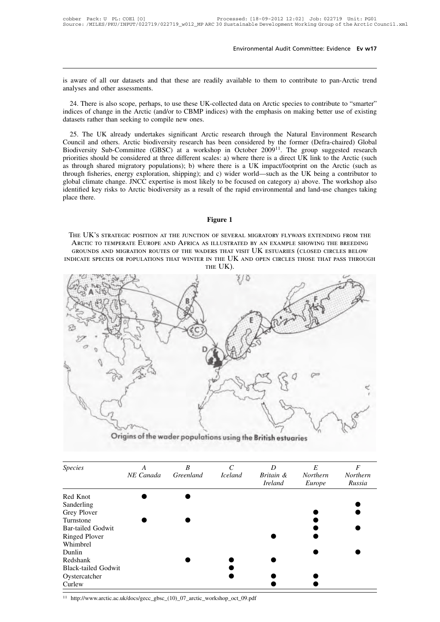Environmental Audit Committee: Evidence Ev w17<br>is aware of all our datasets and that these are readily available to them to contribute to pan-Arctic trend<br>analyses and other assessments. is aware of all our datasets and that<br>analyses and other assessments.<br>24. There is also scope, perhaps, to

24. There is also scope, perhaps, to use these UK-collected data on Arctic species to contribute to "smarter"<br>24. There is also scope, perhaps, to use these UK-collected data on Arctic species to contribute to "smarter"<br>di is aware of all our datasets and that these are readily available to them to contribute to pan-Arctic trend<br>analyses and other assessments.<br>24. There is also scope, perhaps, to use these UK-collected data on Arctic species is aware of all our datasets and that these are readily available to them to contribute to pan-Arctic trend<br>analyses and other assessments.<br>24. There is also scope, perhaps, to use these UK-collected data on Arctic species 24. There is also scope, perhaps, to use these UK-collected data on Arctic species to contribute to "smarter"<br>24. There is also scope, perhaps, to use these UK-collected data on Arctic species to contribute to "smarter"<br>25

24. There is also scope, perhaps, to use these UK-collected data on Arctic species to contribute to "smarter" indices of change in the Arctic (and/or to CBMP indices) with the emphasis on making better use of existing dat 24. There is also scope, perhaps, to use these UK-collected data on Arctic species to contribute to "smarter" indices of change in the Arctic (and/or to CBMP indices) with the emphasis on making better use of existing dat indices of change in the Arctic (and/or to CBMP indices) with the emphasis on making better use of existing<br>datasets rather than seeking to compile new ones.<br>25. The UK already undertakes significant Arctic research throug datasets rather than seeking to compile new ones.<br>
25. The UK already undertakes significant Arctic research through the Natural Environment Research<br>
Council and others. Arctic biodiversity research has been considered by 25. The UK already undertakes significant Arctic research through the Natural Environment Research Council and others. Arctic biodiversity research has been considered by the former (Defra-chaired) Global Biodiversity Sub 25. The UK already undertakes significant Arctic research through the Natural Environment Research Council and others. Arctic biodiversity research has been considered by the former (Defra-chaired) Global Biodiversity Sub-Council and others. Arctic biodiversity research has been considered by the former (Defra-chaired) Global Biodiversity Sub-Committee (GBSC) at a workshop in October 2009<sup>11</sup>. The group suggested research priorities should Biodiversity Sub<br>priorities should<br>as through share<br>through fisheries.<br>global climate ch<br>identified key ris<br>place there. as through shared migratory populations); b) where there is a UK impact/footprint on the Arctic (such as through fisheries, energy exploration, shipping); and c) wider world—such as the UK being a contributor to global cli The UK's strategic position, and the junction of several migratory and contributor to cobal climate change. JNCC expertise is most likely to be focused on category a) above. The workshop also entified key risks to Arctic b Arctic to temperate Europe and Africa as in the rapid environmental and land-use changes taking<br>the UK's strategic position at the junction of several migration and land-use changes taking<br>ce there.<br>**Figure 1**<br>The UK's str

Figure 1<br>International managers and migration routes of the rapid environmental and land-use changes taking<br>ce there.<br>The UK's strategic position at the junction of several migratory flyways extending from the<br>Arctic to te Figure 1<br>The UK's strategic position at the junction of several migratory flyways extending from the<br>Arctic to temperate Europe and Africa as illustrated by an example showing the breeding<br>GROUNDS AND MIGRATION ROUTES OF T **Figure 1**<br>N OF SEVERAL N<br>S ILLUSTRATED<br>DERS THAT VISIT<br>IN THE UK AN!<br>THE UK).



|                            | Origins of the wader populations using the British estuaries |           |                       |                |                 |                  |
|----------------------------|--------------------------------------------------------------|-----------|-----------------------|----------------|-----------------|------------------|
|                            |                                                              |           |                       |                |                 |                  |
|                            |                                                              |           |                       |                |                 |                  |
| <b>Species</b>             | A                                                            | B         | $\mathcal{C}_{0}^{0}$ | D              | E               | $\boldsymbol{F}$ |
|                            | NE Canada                                                    | Greenland | <b>Iceland</b>        | Britain &      | <b>Northern</b> | Northern         |
|                            |                                                              |           |                       | <b>Ireland</b> | Europe          | Russia           |
| Red Knot                   |                                                              |           |                       |                |                 |                  |
| Sanderling                 |                                                              |           |                       |                |                 |                  |
| Grey Plover                |                                                              |           |                       |                |                 |                  |
| Turnstone                  |                                                              |           |                       |                |                 |                  |
| <b>Bar-tailed Godwit</b>   |                                                              |           |                       |                |                 |                  |
| <b>Ringed Plover</b>       |                                                              |           |                       |                |                 |                  |
| Whimbrel                   |                                                              |           |                       |                |                 |                  |
| Dunlin                     |                                                              |           |                       |                |                 |                  |
| Redshank                   |                                                              |           |                       |                |                 |                  |
| <b>Black-tailed Godwit</b> |                                                              |           |                       |                |                 |                  |
| Oystercatcher              |                                                              |           |                       |                |                 |                  |
| Curlew                     |                                                              |           |                       |                |                 |                  |

<sup>11</sup> http://www.arctic.ac.uk/docs/gecc\_gbsc\_(10)\_07\_arctic\_workshop\_oct\_09.pdf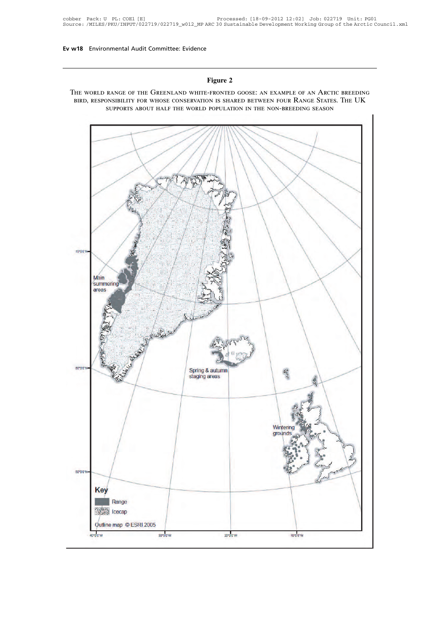

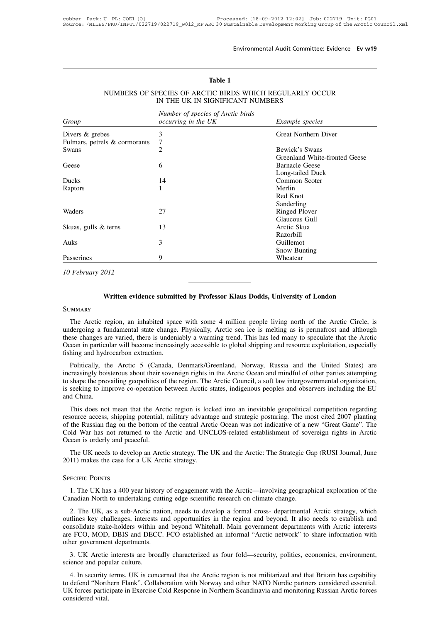| NUMBERS OF SPECIES OF ARCTIC BIRDS WHICH REGULARLY OCCUR<br>IN THE UK IN SIGNIFICANT NUMBERS |                                                                           |                               |  |  |  |  |  |  |
|----------------------------------------------------------------------------------------------|---------------------------------------------------------------------------|-------------------------------|--|--|--|--|--|--|
| Group                                                                                        | Number of species of Arctic birds<br>occurring in the UK                  | <i>Example species</i>        |  |  |  |  |  |  |
| Divers & grebes                                                                              | 3                                                                         | <b>Great Northern Diver</b>   |  |  |  |  |  |  |
| Fulmars, petrels & cormorants                                                                | 7                                                                         |                               |  |  |  |  |  |  |
| Swans                                                                                        | $\overline{c}$                                                            | Bewick's Swans                |  |  |  |  |  |  |
|                                                                                              |                                                                           | Greenland White-fronted Geese |  |  |  |  |  |  |
| Geese                                                                                        | 6                                                                         | <b>Barnacle Geese</b>         |  |  |  |  |  |  |
|                                                                                              |                                                                           | Long-tailed Duck              |  |  |  |  |  |  |
| <b>Ducks</b>                                                                                 | 14                                                                        | Common Scoter                 |  |  |  |  |  |  |
| Raptors                                                                                      | 1                                                                         | Merlin                        |  |  |  |  |  |  |
|                                                                                              |                                                                           | Red Knot                      |  |  |  |  |  |  |
|                                                                                              |                                                                           | Sanderling                    |  |  |  |  |  |  |
| Waders                                                                                       | 27                                                                        | <b>Ringed Plover</b>          |  |  |  |  |  |  |
|                                                                                              |                                                                           | Glaucous Gull                 |  |  |  |  |  |  |
| Skuas, gulls & terns                                                                         | 13                                                                        | Arctic Skua                   |  |  |  |  |  |  |
|                                                                                              |                                                                           | <b>Razorbill</b>              |  |  |  |  |  |  |
| Auks                                                                                         | 3                                                                         | Guillemot                     |  |  |  |  |  |  |
|                                                                                              |                                                                           | Snow Bunting                  |  |  |  |  |  |  |
| Passerines                                                                                   | 9                                                                         | Wheatear                      |  |  |  |  |  |  |
|                                                                                              |                                                                           |                               |  |  |  |  |  |  |
| 10 February 2012                                                                             |                                                                           |                               |  |  |  |  |  |  |
|                                                                                              |                                                                           |                               |  |  |  |  |  |  |
|                                                                                              |                                                                           |                               |  |  |  |  |  |  |
|                                                                                              | Written evidence submitted by Professor Klaus Dodds, University of London |                               |  |  |  |  |  |  |
| SUMMARY                                                                                      |                                                                           |                               |  |  |  |  |  |  |
|                                                                                              |                                                                           |                               |  |  |  |  |  |  |

# Environme<br> **Table 1**<br>
TC BIRDS WHICI Environmental Audit Committee: Evidence Ev w19<br>
Table 1<br>
NUMBERS OF SPECIES OF ARCTIC BIRDS WHICH REGULARLY OCCUR<br>
IN THE UK IN SIGNIFICANT NUMBERS Table 1<br>
Table 1<br>
PECIES OF ARCTIC BIRDS WHICH REGULARLY OF THE UK IN SIGNIFICANT NUMBERS<br>
Number of species of Arctic birds

# **SUMMARY**

Written evidence submitted by Professor Klaus Dodds, University of London<br>
MMARY<br>
The Arctic region, an inhabited space with some 4 million people living north of the Arctic Circle, is<br>
dergoing a fundamental state change. Written evidence submitted by Professor Klaus Dodds, University of London<br>SUMMARY<br>The Arctic region, an inhabited space with some 4 million people living north of the Arctic Circle, is<br>undergoing a fundamental state change Written evidence submitted by Professor Klaus Dodds, University of London<br>SUMMARY<br>The Arctic region, an inhabited space with some 4 million people living north of the Arctic Circle, is<br>undergoing a fundamental state change Written evidence submitted by Professor Klaus Dodds, University of London<br>
SUMMARY<br>
The Arctic region, an inhabited space with some 4 million people living north of the Arctic Circle, is<br>
undergoing a fundamental state cha SUMMARY<br>The Arctic region, an inhabited space<br>undergoing a fundamental state change.<br>these changes are varied, there is undeni<br>Ocean in particular will become increasin<br>fishing and hydrocarbon extraction.<br>Politically, the The Arctic region, an inhabited space with some 4 million people living north of the Arctic Circle, is dergoing a fundamental state change. Physically, Arctic sea ice is melting as is permafrost and although sese changes a increasingly a fundamental state change. Physically, Arctic sea ice is melting as is permafrost and although these changes are varied, there is undeniably a warming trend. This has led many to speculate that the Arctic Oce

Intergoring a fundamental state enarge. Thysteary, Arctic sea fee is including as is permatiost and antiought<br>these changes are varied, there is undeniably a warming trend. This has led many to specialte that the Arctic<br>Oc is seeking to improve co-operation between Arctic states, indigenous peoples and observers including the EU and China.<br>This has no many of specially fishing and hydrocarbon extraction.<br>Politically, the Arctic 5 (Canada, De France fishing and hydr<br>fishing and hydr<br>Politically, the<br>increasingly bois<br>to shape the previse seeking to impand China.<br>This does not Politically, the Arctic 5 (Canada, Denmark/Greenland, Norway, Russia and the United States) are<br>creasingly boisterous about their sovereign rights in the Arctic Ocean and mindful of other parties attempting<br>shape the preva rontically, the Arctic 5 (Canada, Definital, Norway, Nussia and the Office states) are<br>increasingly boisterous about their sovereign rights in the Arctic Ocean and mindful of other parties attempting<br>to shape the prevailin

increasingly boistrous about then sovereign rights in the Arctic Ocean and inhidular of other parties attempting<br>to shape the prevailing geopolities of the region. The Arctic Council, a soft law intergovernmental organizat The *Cold War has not returned to the Arctic and UNCLOS-related establishment of sovereign rights in Arctic Ocean is orderly and peaceful.*<br>This does not mean that the Arctic region is locked into an inevitable geopolitica Solid and China.<br>
and China.<br>
This does not mean that the Arc<br>
resource access, shipping potential,<br>
of the Russian flag on the bottom of<br>
Cold War has not returned to the<br>
Ocean is orderly and peaceful.<br>
The UK needs to d This does not mean that the Arctic region is locked into an inevitable geopolitical competition regarding<br>source access, shipping potential, military advantage and strategic posturing. The most cited 2007 planting<br>the Russ This does not healt that the Arctic region is foel<br>resource access, shipping potential, military advanta<br>of the Russian flag on the bottom of the central Arct<br>Cold War has not returned to the Arctic and UNC<br>Ocean is orderl This does not hear that<br>resource access, shipping<br>of the Russian flag on the<br>Cold War has not returne<br>Ocean is orderly and peace<br>The UK needs to develo<br>2011) makes the case for a<br>SPECIFIC POINTS

The UK needs to develop an Arctic strategy. The UK and the Arctic: The Strategic Ga<br>
2011) makes the case for a UK Arctic strategy.<br>
SPECIFIC POINTS<br>
1. The UK has a 400 year history of engagement with the Arctic—involving

1. The UK needs to develop an Arctic strategy. The UK and the Arctic: The Strategic Gap (RUSI Journal, June 11) makes the case for a UK Arctic strategy.<br>
1. The UK has a 400 year history of engagement with the Arctic—invol

ECIFIC POINTS<br>
1. The UK has a 400 year history of engagement with the Arctic—involving geographical exploration of the<br>
madian North to undertaking cutting edge scientific research on climate change.<br>
2. The UK, as a sub-SPECIFIC POINTS<br>1. The UK has a 400 year history of engagement with the Arctic—involving geographical exploration of the<br>Canadian North to undertaking cutting edge scientific research on climate change.<br>2. The UK, as a sub SPECIFIC POINTS<br>1. The UK has a 400 year history of engagement with the Arctic—involving geographical exploration of the<br>Canadian North to undertaking cutting edge scientific research on climate change.<br>2. The UK, as a sub 1. The UK has a 400 year history of engagement with the Arctic—involving geographical exploration of the Canadian North to undertaking cutting edge scientific research on climate change.<br>
2. The UK, as a sub-Arctic nation, 1. The OK has a 400 year history<br>Canadian North to undertaking cuttin<br>2. The UK, as a sub-Arctic natio<br>outlines key challenges, interests an<br>consolidate stake-holders within and<br>are FCO, MOD, DBIS and DECC.<br>other governmen 2. The UK, as a sub-Arctic nation, needs to develop a formal cross- departmental Arctic strategy, which<br>tlines key challenges, interests and opportunities in the region and beyond. It also needs to establish and<br>nsolidate 2. The OK, as a sub-Arctic lia<br>
outlines key challenges, interests<br>
consolidate stake-holders within<br>
are FCO, MOD, DBIS and DEC<br>
other government departments.<br>
3. UK Arctic interests are bros<br>
science and popular culture.

In solidate stake-holders within and beyond Whitehall. Main government departments with Arctic interests<br>FCO, MOD, DBIS and DECC. FCO established an informal "Arctic network" to share information with<br>the provernment depar are FCO, MOD, DBIS and DECC. FCO established an informal "Arctic network" to share information with<br>other government departments.<br>3. UK Arctic interests are broadly characterized as four fold—security, politics, economics, other government departments.<br>
3. UK Arctic interests are broadly characterized as four fold—security, politics, economics, environment,<br>
science and popular culture.<br>
4. In security terms, UK is concerned that the Arctic 3. UK Arctic interests are broadly characterized as four fold—security, politics, economics, environment, science and popular culture.<br>4. In security terms, UK is concerned that the Arctic region is not militarized and tha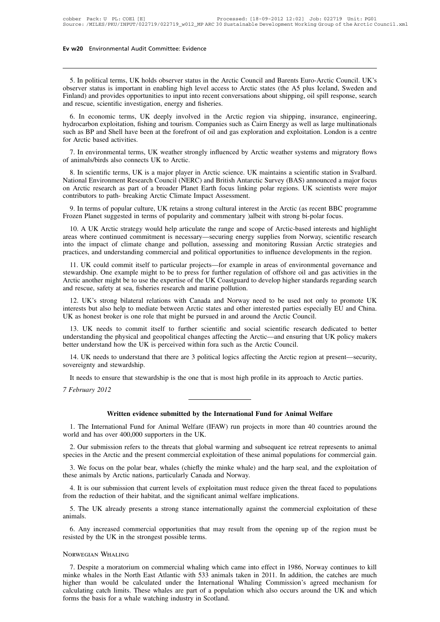15. In political terms, UK holds observer status in the Arctic Council and Barents Euro-Arctic Council. UK's<br>
15. In political terms, UK holds observer status in the Arctic Council and Barents Euro-Arctic Council. UK's<br>
16 **EV W20** Environmental Audit Committee: Evidence<br>
5. In political terms, UK holds observer status in the Arctic Council and Barents Euro-Arctic Council. UK's<br>
observer status is important in enabling high level access to A Finland) and provides opportunities to input into access to Arctic Council and Barents Euro-Arctic Council. UK's<br>observer status is important in enabling high level access to Arctic states (the A5 plus Iceland, Sweden and<br> 5. In political terms, UK holds observer status in the Arctic<br>observer status is important in enabling high level access to<br>Finland) and provides opportunities to input into recent conve<br>and rescue, scientific investigatio 5. In political terms, UK holds observer status in the Arctic Council and Barents Euro-Arctic Council. UK's server status is important in enabling high level access to Arctic states (the A5 plus Iceland, Sweden and pland) 5. In political terms, UK holds observer status in the Arctic Council and Barents Euro-Arctic Council. UK's observer status is important in enabling high level access to Arctic states (the A5 plus Iceland, Sweden and Finla

S. In pointear terms, OK holds observer status in the Atetic Council and Batellis Euro-Atetic Council. OK s<br>observer status is important in enabling high level access to Arctic states (the A5 plus Iceland, Sweden and<br>Finla Finland) and provides opportuni<br>Finland) and provides opportuni<br>and rescue, scientific investigati<br>6. In economic terms, UK<br>hydrocarbon exploitation, fishing<br>such as BP and Shell have been<br>for Arctic based activities.<br>7. I d rescue, scientific investigation, energy and fisheries.<br>
6. In economic terms, UK deeply involved in the Arctic region via shipping, insurance, engineering,<br>
drocarbon exploitation, fishing and tourism. Companies such as 6. In economic terms, UK deeply involved in<br>hydrocarbon exploitation, fishing and tourism. Cor<br>such as BP and Shell have been at the forefront of<br>for Arctic based activities.<br>7. In environmental terms, UK weather strongly<br>

drocarbon exploitation, fishing and tourism. Companies such as Cairn Energy as well as large multinationals<br>ch as BP and Shell have been at the forefront of oil and gas exploration and exploitation. London is a centre<br>fact Such as BP and Shell have been at the forefront of oil and gas exploration and exploitation. London is a centre<br>for Arctic based activities.<br>7. In environmental terms, UK weather strongly influenced by Arctic weather syste The must of a broader strongly influenced by Arctic weather systems and migratory flows<br>of animals/birds also connects UK to Arctic.<br>8. In scientific terms, UK is a major player in Arctic science. UK maintains a scientific 7. In environmental terms, UK weather strongly influenced by Arctic of animals/birds also connects UK to Arctic.<br>8. In scientific terms, UK is a major player in Arctic science. UK manufactional Environment Research Council animals/birds also connects UK to Arctic.<br>
8. In scientific terms, UK is a major player in Arctic science. UK maintains a scientific station in Svalbard.<br>
18. In scientific terms of popular Culture, URERC) and British Anta 8. In scientific terms, UK is a major player in Arctic science. UK maintains a scientific station in Svational Environment Research Council (NERC) and British Antarctic Survey (BAS) announced a major on Arctic research as

10. A UK Arctic strategy would help articulate the range and score of Arctic strategies and<br>
10. A UK Arctic strategy would help articulate the range and scope of Arctic (as recent BBC programme<br>
10. A UK Arctic-strategy w on Arctic research as part of a broader Planet Earth focus linking polar regions. UK scientists were major<br>contributors to path- breaking Arctic Climate Impact Assessment.<br>9. In terms of popular culture, UK retains a stron contributors to path- breaking Arctic Climate Impact Assessment.<br>
9. In terms of popular culture, UK retains a strong cultural interest in the Arctic (as recent BBC programme<br>
Frozen Planet suggested in terms of popularity 9. In terms of popular culture, UK retains a strong cultural interest in the Arctic (as recent BBC programme<br>Frozen Planet suggested in terms of popularity and commentary )albeit with strong bi-polar focus.<br>10. A UK Arctic ozen Planet suggested in terms of popularity and commentary )albeit with strong bi-polar focus.<br>
10. A UK Arctic strategy would help articulate the range and scope of Arctic-based interests and highlight<br>
eas where continu 10. A UK Arctic strategy would help articulate the range and scope of Arctic-based interests and highlight areas where continued commitment is necessary—securing energy supplies from Norway, scientific research into the im

For A OK Arctic stractery would help articulate the range and scope of Arctic-based interests and inginight areas where continued commitment is necessary—securing energy supplies from Norway, scientific research into the i into the impact of climate change and pollution, assessing and monitoring Russian Arctic strategies and practices, and understanding commercial and political opportunities to influence developments in the region.<br>
11. UK c actices, and understanding commercial and political opportunities to influence developments in the region.<br>
11. UK could commit itself to particular projects—for example in areas of environmental governance and<br>
wardship. interests but also help to particular projects—for example in areas of environmental governance and<br>stewardship. One example might to be to press for further regulation of offshore oil and gas activities in the<br>Arctic anot IT. OK Could collimit lised to particular projects—tot example in ateas of environmental stewardship. One example might to be to press for further regulation of offshore oil and gas Arctic another might be to use the exper

is a different might be to use the expertise of the UK Coastguard to develop higher standards regarding search<br>d rescue, safety at sea, fisheries research and marine pollution.<br>12. UK's strong bilateral relations with Cana and rescue, safety at sea, fisheries research and marine pollution.<br>
12. UK's strong bilateral relations with Canada and Norway need to be used not only to promote UK<br>
interests but also help to mediate between Arctic stat 12. UK's strong bilateral relations with Canada and Norway need to be used not interests but also help to mediate between Arctic states and other interested parties espect UK as honest broker is one role that might be purs 14. UK needs to understand that there are 3 political logics affecting the Arctic regional Media China.<br>
15. UK needs to commit itself to further scientific and social scientific research dedicated to better derstanding th UK as honest broker is one role th<br>13. UK needs to commit itse<br>understanding the physical and gec<br>better understand how the UK is p<br>14. UK needs to understand tha<br>sovereignty and stewardship.<br>It needs to ensure that stewar 13. UK needs to commit itself to further scientific and social scientific research dedicated to better derstanding the physical and geopolitical changes affecting the Arctic—and ensuring that UK policy makers there underst

*Physical examplement* and the U<br>*14.* UK needs to understand how the U<br>*14.* UK needs to understand sovereignty and stewardship<br>It needs to ensure that ste<br>*7 February 2012* 

I stewardship.<br>
Sure that stewardship is the one that is most high profile in its approach to Arctic parties<br>
2<br> **Written evidence submitted by the International Fund for Animal Welfare**<br>
pational Fund for Animal Welfare ( 1. The International Fund for Animal Welfare<br>
1. The International Fund for Animal Welfare<br>
1. The International Fund for Animal Welfare<br>
1. The International Fund for Animal Welfare<br>
1. The International Fund for Animal W The Stephary 2012<br>
Written evidence submitted by the Int<br>
1. The International Fund for Animal Welfare (IFAV<br>
world and has over 400,000 supporters in the UK.<br>
2. Our submission refers to the threats that global was 1. The International Fund for Animal Welfare (IFAW) run projects world and has over 400,000 supporters in the UK.<br>
2. Our submission refers to the threats that global warming and subspecies in the Arctic and the present co

**2.** Our submission refers to the threats that global warming and subsequent ice retreat represents to animal exists in the UK.<br>2. Our submission refers to the threats that global warming and subsequent ice retreat represe Species in the Arctic and the present commercial exploitation of these animal welfare<br>
1. The International Fund for Animal Welfare (IFAW) run projects in more than 40 countries around the<br>
1. Our submission refers to the 3. The International Fund for Animal Welfare (IFAW) run projects in more than 40 countries around the product and the bear, what is the UK.<br>
2. Our submission refers to the threats that global warming and subsequent ice re 2. Our submission refers to the threats that global warming and subsequent ice retreat represents to animal ecies in the Arctic and the present commercial exploitation of these animal populations for commercial gain.<br>3. W From the Arctic and the present stothe threats that global warming and subsequent ice retreat represents to animal<br>species in the Arctic and the present commercial exploitation of these animal populations for commercial ga

5. We focus on the polar bear, whales (chiefly the minke whale) and the harp seal, and the exploitation of see animals by Arctic nations, particularly Canada and Norway.<br>4. It is our submission that current levels of explo

animals.

4. It is our submission that current levels of exploitation must reduce given the threat faced to populations<br>om the reduction of their habitat, and the significant animal welfare implications.<br>5. The UK already presents a 4. It is our submission that current levels of exploitat<br>from the reduction of their habitat, and the significant at<br>5. The UK already presents a strong stance internat<br>animals.<br>6. Any increased commercial opportunities th 4. It is our submission that curre<br>from the reduction of their habitat,<br>5. The UK already presents a s<br>animals.<br>6. Any increased commercial of<br>resisted by the UK in the strongest<br>Norwegian WhallNG

1. Any increased commercial opportunities that may result from the opening up of the region must be<br>16. Any increased commercial opportunities that may result from the opening up of the region must be<br>16. Despite a morator 6. Any increased commercial opportunities that may result from the opening up of the region must be<br>resisted by the UK in the strongest possible terms.<br>Norwegian WHALING<br>7. Despite a moratorium on commercial whaling which How than would be that would be calculated under the International Whaling Commission's agreed mechanism for<br>T. Despite a moratorium on commercial whaling which came into effect in 1986, Norway continues to kill<br>minke whal NORWEGIAN WHALING<br>7. Despite a moratorium on commercial whaling which came into effect in 1986, Norway continues to kill<br>minke whales in the North East Atlantic with 533 animals taken in 2011. In addition, the catches are NORWEGIAN WHALING<br>7. Despite a moratorium on commercial whaling which came into effect in 1986, Norway continues to kill<br>minke whales in the North East Atlantic with 533 animals taken in 2011. In addition, the catches are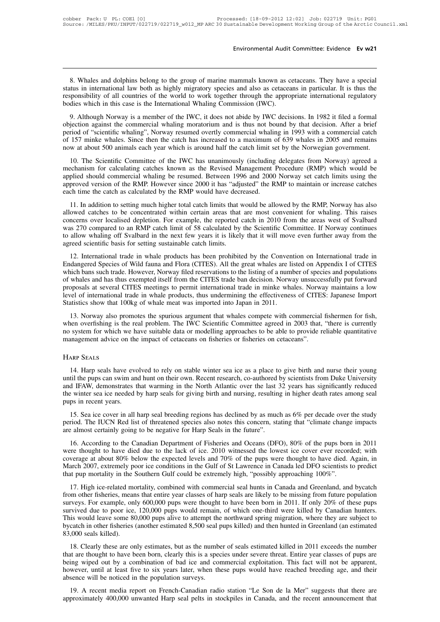8. Whales and dolphins belong to the group of marine mammals known as cetaceans. They have a special<br>B. Whales and dolphins belong to the group of marine mammals known as cetaceans. They have a special<br>trus in internationa **Environmental Audit Committee: Evidence Ev w21**<br>8. Whales and dolphins belong to the group of marine mammals known as cetaceans. They have a special<br>status in international law both as highly migratory species and also as Environmental Audit Committee: Evidence Evidence Evidence<br>
8. Whales and dolphins belong to the group of marine mammals known as cetaceans. They have a special<br>
status in international law both as highly migratory species 8. Whales and dolphins belong to the group of marine mammals known as c status in international law both as highly migratory species and also as cetacear responsibility of all countries of the world to work together throug 8. Whales and dolphins belong to the group of marine mammals known as cetaceans. They have a special<br>tius in international law both as highly migratory species and also as cetaceans in particular. It is thus the<br>sponsibili 8. Whales and dolphins belong to the group of marine mammals known as cetaceans. They have a special<br>status in international law both as highly migratory species and also as cetaceans in particular. It is thus the<br>responsi

between the method of "scientific whaling", Norway resumed but half the catch limit set by the Norwegian government.<br>
They have a special status in international law both as highly migratory species and also as cetaceans i of 157 minke whales. Since then the catch has increased to a maximum of 639 whales in 2005 and remains now at about 500 animals each year. The catch has increased to a maximum of 639 whales in 2005 and remains now at about now bodies which in this case is the International Whaling Commission (IWC).<br>
9. Although Norway is a member of the IWC, it does not abide by IWC decisions. In 1982 it filed a formal<br>
objection against the commercial whali 9. Although Norway is a member of the IWC, it does not abide by IWC decisions. In 1982 it filed a formal jection against the commercial whaling moratorium and is thus not bound by that decision. After a brief riod of "scie 2. Entitling in Noway is a member of the FWC, it does not abdee by TWC decisions. In 1962 it med a format objection against the commercial whaling moratorium and is thus not bound by that decision. After a brief period of

beriod of "scientific whaling", Norway resumed overtly commercial whaling in 1993 with a commercial catch<br>of 157 minke whales. Since then the catch has increased to a maximum of 639 whales in 2005 and remains<br>now at about approved version of the RMP. However since 2000 it has the RMP to maintain or increase catches in 2005 and remains<br>now at about 500 animals each year which is around half the catch limit set by the Norwegian government.<br>10 approved version of the RMP. However since 2000 it has "adjusted" the RMP to maintain or increase catches 10. The Scientific Committee of the IWC has unanimously (including delegates from Norway) agreed a echanism for calculating catches known as the Revised Management Procedure (RMP) which would be plied should commercial wha For the setcheme commuted of the two has unanimously (including detegates from Norway) agreed a<br>mechanism for calculating catches known as the Revised Management Procedure (RMP) which would be<br>approved version of the RMP.

incentration of Catedrating catents known as the Kevised Management Trocedure (KMT) which would be approved version of the RMP. However since 2000 it has "adjusted" the RMP to maintain or increase catches each time the cat approved version of the RMP. However since 2000 it has "adjusted" the RMP to maintain or increase catches each time the catch as calculated by the RMP would have decreased.<br>
11. In addition to setting much higher total cat to allow whaling off Svalbard in the next few years it is likely that it will nove even further away has also<br>through a state of the next few years of the next few years of Svalbard<br>allowed catches to be concentrated withi allowed catches to be concentrated within certain areas that are most convenient for whaling. This raises<br>concerns over localised depletion. For example, the reported catch in 2010 from the areas west of Svalbard<br>was 270 c 11. In addition to scaling international carta films that would be allowed by the KiVH, IVO way has also owed catches to be concentrated within certain areas that are most convenient for whaling. This raises ncerns over lo Endangered Species of Wild fauna and Flora (CITES) that when desired a mumber of Wildman and Species of Svalbard was 270 compared to an RMP catch limit of 58 calculated by the Scientific Committee. If Norway continues to a

Example, the reported catch in 2010 from the actas west of Syahard<br>was 270 compared to an RMP catch limit of 58 calculated by the Scientific Committee. If Norway continues<br>to allow whaling off Svalbard in the next few year was 270 compared to an KWH caten Hillm of 36 calculated by the Scientific commutee. If Norway continues<br>to allow whaling off Svalbard in the next few years it is likely that it will move even further away from the<br>agreed s be anow what any of syaboat in the field tew years it is intery that it win move even future away from the agreed scientific basis for setting sustainable catch limits.<br>
12. International trade in whale products has been p 12. International trade in whale products has been prohibited by the Convention on International trade in Endangered Species of Wild fauna and Flora (CITES). All the great whales are listed on Appendix I of CITES which ban 12. International trade in whale products has been prohibited by the Conven<br>Endangered Species of Wild fauna and Flora (CITES). All the great whales are li<br>which bans such trade. However, Norway filed reservations to the l not be spectral spectra of which radina and Flora (CFLS). An the great whates are issed on Appendix For CFLS<br>arich bans such trade. However, Norway filed reservations to the listing of a number of species and populations<br>w which basis such trade. However, Notway med Esservations to the Islang of a hamber of species and populations<br>of whales and has thus exempted itself from the CITES trade ban decision. Norway unsuccessfully put forward<br>prop

or whates and has thus exempted itself from the CFLES trade oan decision. Not way unsuccessitiny put forward<br>proposals at several CITES meetings to permit international trade in minke whales. Norway maintains a low<br>level o proposars at several CFES incerngs to permit international trade in influe whates. Notwatelevel of international trade in whale products, thus undermining the effectiveness of CITES Statistics show that 100kg of whale meat 14. Harp seals have evolved to rely on stable winter sea ice as a place to give birth and nurse their young<br>14. Harp seals have evolved to rely on stable winter sea ice as a place to give birth and nurse their young<br>14. Ha

no system for which we have suitable data or modelling approaches to be able to provide reliable quantitative<br>management advice on the impact of cetaceans on fisheries or fisheries on cetaceans".<br>HARP SEALS<br>14. Harp seals management advice on the impact of cetaceans on fisheries or fisheries on cetaceans".<br>
HARP SEALS<br>
14. Harp seals have evolved to rely on stable winter sea ice as a place to give birth and nurse their young<br>
until the pups HARP SEALS<br>14. Harp seals have evolved to rely on stable winter sea ice as a place to give birth and nurse their young<br>until the pups can swim and hunt on their own. Recent research, co-authored by scientists from Duke Uni HARP SEALS<br>14. Harp seals have every<br>until the pups can swim and<br>and IFAW, demonstrates t<br>the winter sea ice needed pups in recent years.<br>15. Sea ice cover in all 14. Harp seals have evolved to rely on stable winter sea ice as a place to give birth and nurse their young til the pups can swim and hunt on their own. Recent research, co-authored by scientists from Duke University d IFA period. The IUCN Red list of threatened species also notes this concern, stating that "climate change impacts are almost certainly going birth and nursing, resulting in higher death rates among seal pups in recent years.<br> and IFAW, demonstrates that warming in the North Atlantic over the last 3 the winter sea ice needed by harp seals for giving birth and nursing, resulting pups in recent years.<br>15. Sea ice cover in all harp seal breeding re

Exercise is vinter sea ice needed by harp seals for giving birth and nursing, resulting in higher death rates among seal<br>ps in recent years.<br>15. Sea ice cover in all harp seal breeding regions has declined by as much as 6%

pups in recent years.<br>
15. Sea ice cover in all harp seal breeding regions has declined by as much as 6% per decade over the study<br>
period. The IUCN Red list of threatened species also notes this concern, stating that "cli 15. Sea ice cover in all harp seal breeding regions has declined by as much as  $6\%$  per decade over the study period. The IUCN Red list of threatened species also notes this concern, stating that "climate change impacts For searce cover in an halp search coding regions has decimed by as much as 0% per decade over the study<br>period. The IUCN Red list of threatened species also notes this concern, stating that "climate change impacts<br>are alm that pup mortality going to be negative for Harp Seals in the future".<br>16. According to the Canadian Department of Fisheries and Oceans (DFO), 80% of the pups born<br>were thought to have died due to the lack of ice. 2010 wit 16. According to the Canadian Department of Fisheries and Oceans (DFO), 80% of the pups born in 2011<br>rer thought to have died due to the lack of ice. 2010 witnessed the lowest ice cover ever recorded; with<br>verage at about From other fisheries, means that entire year classes of harp seals (Dr. 2010, 80% of the pups solid m 2011 were thought to have died due to the lack of ice. 2010 witnessed the lowest ice cover ever recorded; with coverage

surveys. For example, only 600,000 pups would remain, of which one-third were killed by Canadian hunters.<br>This would leave some 80,000 pups were thought to have died. Again, in March 2007, extremely poor ice conditions in survived and solution of the conditions in the Gulf of St Lawrence in Canada led DFO scientists to predict that pup mortality in the Southern Gulf could be extremely high, "possibly approaching 100%".<br>17. High ice-related Match 2007, externety poor ice conditions in the Gun of St Eawlence in Canada ice Dr O sciences that pup mortality in the Southern Gulf could be extremely high, "possibly approaching 100%".<br>17. High ice-related mortality, that pup motality in the solution ount could be extremely high, possibly approaching 100%.<br>
17. High ice-related mortality, combined with commercial seal hunts in Canada and Greenland, and bycatch<br>
from other fisheries, m 17. High ice-related mortality, combined with commercial seal hunts in Canada and Greenland, and bycatch from other fisheries, means that entire year classes of harp seals are likely to be missing from future population su 18. Clearly these are only estimates, but as the number of seals estimated killed by Canadian hunters.<br>
18. Clearly these pups would remain, of which one-third were killed by Canadian hunters.<br>
18. Clearly these some 80,00 Surveys. For example, only 600,000 pups well diought to have been born in 2011. If omy 20% of diese pups<br>survived due to poor ice, 120,000 pups would remain, of which one-third were killed by Canadian hunters.<br>This would

Survived due to poor ice, 120,000 paps would femall, or which one-time were kined by Canadian naniers.<br>This would leave some 80,000 pups alive to attempt the northward spring migration, where they are subject to<br>by catch i however, until at least five to six years later, when these pups would have reached breeding age, and their absence will be noticed in the population surveys. be 83,000 seals killed).<br>
18. Clearly these are only estimates, but as the number that are thought to have been born, clearly this is a specified in the population of bad ice and conduction surveys.<br>
19. A recent media rep 18. Clearly these are only estimates, but as the number of seals estimated killed in 2011 exceeds the number<br>at are thought to have been born, clearly this is a species under severe threat. Entire year classes of pups are<br> For Creative these are only estimates, out as the hallocet of seals estimated kined in 2011 exceeds the hallocet<br>that are thought to have been born, clearly this is a species under severe threat. Entire year classes of pup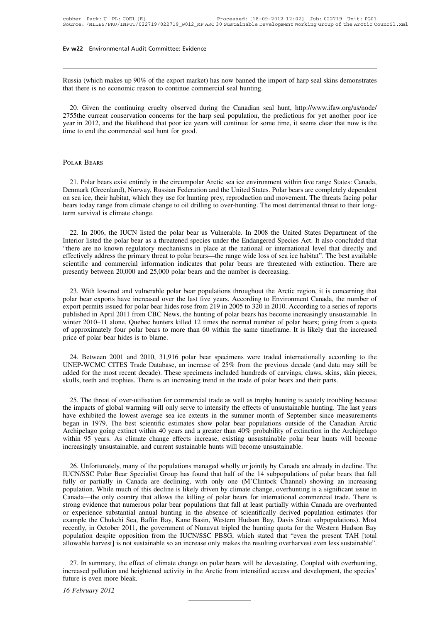Ev w22 Environmental Audit Committee: Evidence<br>
Russia (which makes up 90% of the export market) has now banned the import of harp seal skins demonstrates<br>
that there is no economic reason to continue commercial seal hunti Ev w22 Environmental Audit Committee: Evidence<br>
Russia (which makes up 90% of the export market) has now banned the imp<br>
that there is no economic reason to continue commercial seal hunting.<br>
20 Given the explicition are t

20. Given the continuing cruelty observed during the Canadian seal hunt, http://www.ifaw.org/us/node/<br>20. Given the continuing cruelty observed during the Canadian seal hunt, http://www.ifaw.org/us/node/<br>20. Given the cont 2755the current conservation concerns for the harp seal population, the predictions for yet another conservation concerns for the harp seal population, the predictions for yet another poor ice year in 2012, and the likelih Russia (which makes up 90% of the export market) has now banned the import of harp seal skins demonstrates that there is no economic reason to continue commercial seal hunting.<br>20. Given the continuing cruelty observed dur Russia (which makes up 90% of the export market) in<br>that there is no economic reason to continue commer<br>20. Given the continuing cruelty observed durin<br>2755the current conservation concerns for the harp<br>year in 2012, and t 20. Given the continer<br>2755the current conserved year in 2012, and the lift<br>time to end the commer<br>Polar Bears

EXAR BEARS<br>21. Polar bears exist entirely in the circumpolar Arctic sea ice environment within five range States: Canada,<br>21. Polar bears exist entirely in the circumpolar Arctic sea ice environment within five range State POLAR BEARS<br>
21. Polar bears exist entirely in the circumpolar Arctic sea ice environment within five range States: Canada,<br>
Denmark (Greenland), Norway, Russian Federation and the United States. Polar bears are completely POLAR BEARS<br>21. Polar bears exist entirely in the circumpolar Arctic sea ice environment within five range States: Canada,<br>Denmark (Greenland), Norway, Russian Federation and the United States. Polar bears are completely d POLAR BEARS<br>21. Polar bears exist entirely in the circumpolar Arctic sea ice environment within five range States: Canada,<br>Denmark (Greenland), Norway, Russian Federation and the United States. Polar bears are completely d POLAR BEARS<br>21. Polar bears exist entirely in the<br>Denmark (Greenland), Norway, Russi<br>on sea ice, their habitat, which they u<br>bears today range from climate change.<br>22. Je 2006, the HKN litted the 21. Fouar bears exist entirely in the circumpolar Arcuc sea ice environment within live range states: Canada,<br>
enmark (Greenland), Norway, Russian Federation and the United States. Polar bears are completely dependent<br>
sea

Definal Coreeniano), Norway, Kussian Federation and the United States. Folar bears are completely dependent<br>on sea ice, their habitat, which they use for hunting prey, reproduction and movement. The threats facing polar<br>be The mean text are no known regulatory mechanisms in place at the national or international direct their long-<br>term survival is climate change.<br>22. In 2006, the IUCN listed the polar bear as Vulnerable. In 2008 the United S bears today range from climate change to on drining to over-hunting. The most detrimental tireat to their fong-<br>term survival is climate change.<br>22. In 2006, the IUCN listed the polar bear as Vulnerable. In 2008 the United 22. In 2006, the IUCN listed the polar bear as Vulnerable. In 2008 the United States Department of the Interior listed the polar bear as a threatened species under the Endangered Species Act. It also concluded that "there 22. In 2006, the IUCN listed the polar bear as Vulnerable. In 2008 the United Summer interior listed the polar bear as a threatened species under the Endangered Species A "there are no known regulatory mechanisms in place Exercise the polar bear as a threatened species under the Endangered Species Act. It also concluded that ever are no known regulatory mechanisms in place at the national or international level that directly and ectively ad

Free the increased by mechanisms in place at the hautonal or international level that directly and effectively address the primary threat to polar bears—the range wide loss of sea ice habitat". The best available scientifi enectively at commercial information indicates that polar bears are threatened with extinction. There are presently between 20,000 and 25,000 polar bears and the number is decreasing.<br>
23. With lowered and vulnerable polar scientific and commercial information indicates that polar bears are threatened with extinction. There are<br>presently between 20,000 and 25,000 polar bears and the number is decreasing.<br>23. With lowered and vulnerable polar presently between 20,000 and 25,000 polar bears and the number is decreasing.<br>
23. With lowered and vulnerable polar bear populations throughout the Arctic region, it is concerning that<br>
polar bear exports have increased o 23. With lowered and vulnerable polar bear populations throughout the Arctic region, it is concerning that polar bear exports have increased over the last five years. According to Environment Canada, the number of export p 23. With lowered and vulnerable polar<br>polar bear exports have increased over the<br>export permits issued for polar bear hides re<br>published in April 2011 from CBC News, winter 2010–11 alone, Quebec hunters kill<br>of approximate bort permits issued for polar bear fildes rose from 219 in 2003 to 320 in 2010. According to a series of reports<br>blished in April 2011 from CBC News, the hunting of polar bears has become increasingly unsustainable. In<br>nte

published in April 2011 from CBC News, the numiting of polar bears has become increasingly unsustantable. In winter 2010–11 alone, Quebec hunters killed 12 times the normal number of polar bears; going from a quota of appr winter 2010–11 alone, Quebec numers kined 12 times the normal number of polar bears; going from a quota of approximately four polar bears to more than 60 within the same timeframe. It is likely that the increased price of Skulls, teeth and trophies. There is an increasing trend in the trade of polar bears and their and trophies. There is an increase of 25% from the previous decade (and data may added for the most recent decade). These speci 24. Between 2001 and 2010, 31,916 polar bear specimens were traded internationally according to the NEP-WCMC CITES Trade Database, an increase of 25% from the previous decade (and data may still be ded for the most recent

24. Between 2001 and 2010, 31,916 polar bear specimens were traded internationally according to the<br>UNEP-WCMC CITES Trade Database, an increase of 25% from the previous decade (and data may still be<br>added for the most rece UNEF-WCMC CITES Trade Database, an increase of  $23%$  from the previous decade (and data may still be added for the most recent decade). These specimens included hundreds of carvings, claws, skins, skin pieces, skulls, tee added for the most recent decade). These specifients included nundreds of carvings, claws, skins, skin pieces,<br>skulls, teeth and trophies. There is an increasing trend in the trade of polar bears and their parts.<br>25. The t SKUIIS, teen and trophies. There is an increasing trend in the trade of polar bears and their parts.<br>
25. The threat of over-utilisation for commercial trade as well as trophy hunting is acutely troubling because<br>
the impa 25. The threat of over-utilisation for commercial trade as well as trophy hunting is acutely troubling because<br>the impacts of global warming will only serve to intensify the effects of unsustainable hunting. The last years 25. The threat of over-utilisation for commercial trade as well as trophy hunting is acute<br>the impacts of global warming will only serve to intensify the effects of unsustainable hu<br>have exhibited the lowest average sea ic ve exhibited the lowest average sea ice extens in the summer month of september since measurements<br>gan in 1979. The best scientific estimates show polar bear populations outside of the Canadian Arctic<br>chipelago going extin

Degan in 1979. The best scientific estimates show polar bear populations outside of the Canadian Arctic Archipelago going extinct within 40 years and a greater than 40% probability of extinction in the Archipelago within 9 Fully or partially in Canada are declining, with only one (M'Clintock Channel) in the Archipeiago within 95 years. As climate change effects increase, existing unsustainable polar bear hunts will become increasingly unsust much a sy ears. As chinate change effects increase, existing unsustainable polar bear nunts will become<br>increasingly unsustainable, and current sustainable hunts will become unsustainable.<br>26. Unfortunately, many of the po Increasingly unsustainable, and current sustainable nunts will become unsustainable.<br>
26. Unfortunately, many of the populations managed wholly or jointly by Canada are already in decline. The<br>
IUCN/SSC Polar Bear Speciali 26. Unfortunately, many of the populations managed wholly or jointly by Canada are already in decline. The IUCN/SSC Polar Bear Specialist Group has found that half of the 14 subpopulations of polar bears that fall fully or 26. Unfortunately, many of the populations managed wholly or jointly by Canada are already in decline. The IUCN/SSC Polar Bear Specialist Group has found that half of the 14 subpopulations of polar bears that fall fully or IUCN/SSC Polar Bear Specialist Group has found that half of the 14 subpopulations of polar bears that fall fully or partially in Canada are declining, with only one (M'Clintock Channel) showing an increasing population. Wh fully or partially in Canada are declining, with only one (M'Clintock Channel) showing an increasing population. While much of this decline is likely driven by climate change, overhunting is a significant issue in Canada—t population. While much of this decline is likely driven by climate change, overhunting is a significant issue in Canada—the only country that allows the killing of polar bears for international commercial trade. There is s Canada—the only country that allows the killing of polar bears for international commercial trade. There is<br>strong evidence that numerous polar bear populations that fall at least partially within Canada are overhunted<br>or experience substantial annual nunting in the absence of scientificarly derived population estimates (for ample the Chukchi Sea, Baffin Bay, Kane Basin, Western Hudson Bay, Davis Strait subpopulations). Most ently, in Octob Example the Chukchi Sea, Baltin Bay, Kalle Bashi, western Hudson Bay, Davis Stratt subpopulations). Most<br>recently, in October 2011, the government of Nunavut tripled the hunting quota for the Western Hudson Bay<br>population recently, in October 2011, the government of Nunavut tripled the hunting quota for the Western Hudson Bay<br>population despite opposition from the IUCN/SSC PBSG, which stated that "even the present TAH [total<br>allowable harve

increased pollution and heightened activity in the Arctic from intensified access and development, the species'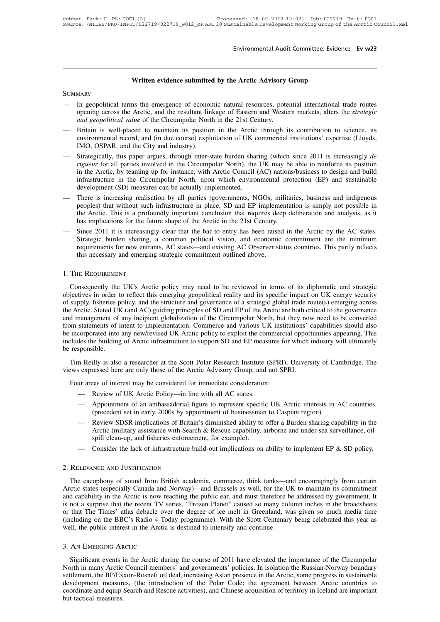# Environmental Audit Committee: Evider<br>**Written evidence submitted by the Arctic Advisory Group**

# **SUMMARY**

- Written evidence submitted by the Arctic Advisory Group<br>
SUMMARY<br>
 In geopolitical terms the emergence of economic natural resources, potential international trade routes<br>
opening across the Arctic, and the resultant link **Solution Exercic Submitted by the Arctic Advisory Group**<br>
In geopolitical terms the emergence of economic natural resources, potential international trade routes<br>
opening across the Arctic, and the resultant linkage of Ea **414 and geopolitical terms** the emergence of economic natural resources, potential international trade routes<br> **and geopolitical value** of the resultant linkage of Eastern and Western markets, alters the *strategic*<br> *a*
- Written evidence submitted by the Arctic Advisory Group<br>
 In geopolitical terms the emergence of economic natural resources, potential international trade routes<br>
opening across the Arctic, and the resultant linkage of Ea MARY<br>In geopolitical terms the emergence of economic natural resources, potential international trade routes<br>opening across the Arctic, and the resultant linkage of Eastern and Western markets, alters the *strategic<br>and ge* m geopolitical terms are entergence of economic hadian resources, potential incrimational trade roates opening across the Arctic, and the resultant linkage of Eastern and Western markets, alters the *strategic* and *geopol*
- IMO, OSPAR, and the City and industry).<br>Strategically, this paper argues, through inter-state burden sharing (which since 2011 is increasingly *de*<br>rigueur for all parties involved in the Circumpolar North), the UK may be *rigueur* for all parties involved in the Circumpolar North in the 21st Century.<br> **Britain is well-placed to maintain its position in the Arctic through its contribution to science, its<br>
environmental record, and (in due c** *inda geopolancea viane* of the Cheampolar Form in the 21st Century.<br>Britain is well-placed to maintain its position in the Arctic through its contribution to science, its<br>environmental record, and (in due course) exploita Britain is well-placed to maintain its position in the Arctic through its contribution to science, its<br>environmental record, and (in due course) exploitation of UK commercial institutions' expertise (Lloyds,<br>IMO, OSPAR, an environmental record, and (in due course) exploitation of UK c<br>IMO, OSPAR, and the City and industry).<br>Strategically, this paper argues, through inter-state burden shar<br>*rigueur* for all parties involved in the Circumpolar Strategically, this paper argues, through inter-state burden sharing (which since 2011 is increasingly *de*<br> *rigueur* for all parties involved in the Circumpolar North), the UK may be able to reinforce its position<br>
in th Strategically, this paper argues, through inter-state burden sharing (which since 2011 is increasingly *de* rigueur for all parties involved in the Circumpolar North), the UK may be able to reinforce its position in the A
- *rigueur* for all parties involved in the Circumpolar North), the UK may be able to reinforce its position in the Arctic, by teaming up for instance, with Arctic Council (AC) nations/business to design and build infrastruc infrastructure in the Circumpolar North, upon which environmental protection (EP) and sustainable development (SD) measures can be actually implemented.<br>There is increasing realisation by all parties (governments, NGOs, mi musated in the Cheampona Forth, upon winen environmental protection (Er) and statuative<br>development (SD) measures can be actually implemented.<br>— There is increasing realisation by all parties (governments, NGOs, militaries
- development (SD) measures can be actually implemented.<br>There is increasing realisation by all parties (governments, NGOs, militaries, business and indigenous<br>peoples) that without such infrastructure in place, SD and EP im There is increasing realisation by all parties (governments, NGOs, militaries, business and indigenous peoples) that without such infrastructure in place, SD and EP implementation is simply not possible in the Arctic. This peoples) that without such infrastructure in place, SD and EP impleme<br>the Arctic. This is a profoundly important conclusion that requires dee<br>has implications for the future shape of the Arctic in the 21st Century.<br>Since 2 prophes) that whilout such<br>the Arctic. This is a profol<br>has implications for the fut<br>— Since 2011 it is increasing<br>Strategic burden sharing,<br>requirements for new entra<br>this necessary and emergin Strategic burden sharing, a common political vision, and economic commitment are the minimum<br>requirements for new entrants, AC states—and existing AC Observer status countries. This partly reflects<br>this necessary and emerg

requirements for new entrants, AC states—and existing AC Observer status countries. This partly reflects<br>this necessary and emerging strategic commitment outlined above.<br>1. THE REQUIREMENT<br>Consequently the UK's Arctic poli this necessary and emerging strategic commitment outlined above.<br>
1. THE REQUIREMENT<br>
Consequently the UK's Arctic policy may need to be reviewed in terms of its diplomatic and strategic<br>
objectives in order to reflect thi 1. The ReQUIREMENT<br>Consequently the UK's Arctic policy may need to be reviewed in terms of its diplomatic and strategic<br>objectives in order to reflect this emerging geopolitical reality and its specific impact on UK energy 1. THE REQUIREMENT<br>Consequently the UK's Arctic policy may need to be reviewed in terms of its diplomatic and strategic<br>objectives in order to reflect this emerging geopolitical reality and its specific impact on UK energy From REQUIREMENT<br>Consequently the UK's Arctic policy may need to be reviewed in terms of its diplomatic and strategic<br>objectives in order to reflect this emerging geopolitical reality and its specific impact on UK energy s Consequently the UK's Arctic policy may need to be reviewed in terms of its diplomatic and strategic objectives in order to reflect this emerging geopolitical reality and its specific impact on UK energy security of supply objectives in order to reflect this emerging geopolitical reality and its specific impact on UK energy security<br>of supply, fisheries policy, and the structure and governance of a strategic global trade route(s) emerging ac of supply, fisheries policy, and the structure and governance of a strategic global trade route(s) emerging across<br>the Arctic. Stated UK (and AC) guiding principles of SD and EP of the Arctic are both critical to the gover The Content of any incipient globalization of the Circumpolar North, but they now need to be converted<br>a management of any incipient globalization of the Circumpolar North, but they now need to be converted<br>im statements o and management of any merprent grootanzation of the encamporal Frorm, out they not<br>from statements of intent to implementation. Commerce and various UK institutions' of<br>be incorporated into any new/revised UK Arctic policy Incorporated into any new/revised UK Arctic policy to exploit the commerci-<br>
Eludes the building of Arctic infrastructure to support SD and EP measures for<br>
Four Reilly is also a researcher at the Scott Polar Research Inst

sponsible.<br>
In Reilly is also a researcher at the Scott Polar Research Institute (<br>
Expressed here are only those of the Arctic Advisory Group, and it<br>
ur areas of interest may be considered for immediate consideration:<br>
A m Reilly is also a researcher at the Scott Polar Research Institute (SPRI), University of Cambridge. The<br>
expressed here are only those of the Arctic Advisory Group, and not SPRI.<br>
ur areas of interest may be considered fo

- 
- IIIy is also a researcher at the Scott Polar Research Institute (SPRI), University of Cameressed here are only those of the Arctic Advisory Group, and not SPRI.<br>
Review of UK Arctic Policy—in line with all AC states.<br>
Appo (precedent set in early 2000s by appointment of businessman to Caspian region).
- Let the state way be considered for immediate consideration:<br>
The view of UK Arctic Policy—in line with all AC states.<br>
Appointment of an ambassadorial figure to represent specific UK Arctic interests in AC countries.<br>
(pr Four areas of interest may be considered for immediate consideration:<br>
— Review of UK Arctic Policy—in line with all AC states.<br>
— Appointment of an ambassadorial figure to represent specific UK Arctic interests in AC coun — Appointment of an ambassadorial figure to represent specific UK Arctic interests in AC countries.<br>
(precedent set in early 2000s by appointment of businessman to Caspian region)<br>
— Review SDSR implications of Britain's d - Appointment of an ambassadorial figure<br>
(precedent set in early 2000s by appoi<br>
- Review SDSR implications of Britain'<br>
Arctic (military assistance with Search<br>
spill clean-up, and fisheries enforceme<br>
- Consider the lac
	-

Arctic (initiary assistance with search  $\alpha$  Rescue capability, afforme and under-sea surventance, on-<br>spill clean-up, and fisheries enforcement, for example).<br>— Consider the lack of infrastructure build-out implications spin ciean-up, and insheries enforcement, for example).<br>
— Consider the lack of infrastructure build-out implications on ability to implement EP & SD policy.<br>
2. RELEVANCE AND JUSTIFICATION<br>
The cacophony of sound from Bri - Consider the lack of infrastructure build-out implications on ability to implement EP & SD policy.<br>
2. RELEVANCE AND JUSTIFICATION<br>
The cacophony of sound from British academia, commerce, think tanks—and encouragingly fr 2. RELEVANCE AND JUSTIFICATION<br>The cacophony of sound from British academia, commerce, think tanks—and encouragingly from certain<br>Arctic states (especially Canada and Norway)—and Brussels as well, for the UK to maintain it 2. RELEVANCE AND JUSTIFICATION<br>The cacophony of sound from British academia, commerce, think tanks—and encouragingly from certain<br>Arctic states (especially Canada and Norway)—and Brussels as well, for the UK to maintain it 2. RELEVANCE AND JOSHTREATION<br>The cacophony of sound from British academia, commerce, think tanks—and encouragingly from certain<br>Arctic states (especially Canada and Norway)—and Brussels as well, for the UK to maintain its The cacophony of sound from British academia, commerce, think tanks—and Arctic states (especially Canada and Norway)—and Brussels as well, for the U and capability in the Arctic is now reaching the public ear, and must the that The Times' atlas debacle over the degree of ice melt in Greenland, was given so much media time<br>cluding on the BBC's Radio 4 Today programme). With the Scott Centenary being celebrated this year as<br>ell, the public int

(including on the BBC's Radio 4 Today programme). With the Scott Centenary being celebrated this year as<br>well, the public interest in the Arctic is destined to intensify and continue.<br>3. An EMERGING ARCTIC<br>Significant even well, the public interest in the Arctic is destined to intensify and continue.<br>
3. AN EMERGING ARCTIC<br>
Significant events in the Arctic during the course of 2011 have elevated the importance of the Circumpolar<br>
North in ma 3. AN EMERGING ARCTIC<br>Significant events in the Arctic during the course of 2011 have elevated the importance of the Circumpolar<br>North in many Arctic Council members' and governments' policies. In isolation the Russian-Nor 3. AN EMERGING ARCTIC<br>Significant events in the Arctic during the course of 2011 have elevated the importance of the Circumpolar<br>North in many Arctic Council members' and governments' policies. In isolation the Russian-Nor **SEXET SEXET SEXET SEXET SEXET SEXET SEXET SEXET SEXET SEXET SEXET SEXET SEXET SEXET SEXET SEXET SEXET SEXET SEXET SEXET SEXET SEXET SEXET SEXET SEXET SEXET SEXET SEXET SEXET SEXET SEXET SEXET SEXET SEXET SEXET SEXET SEXET**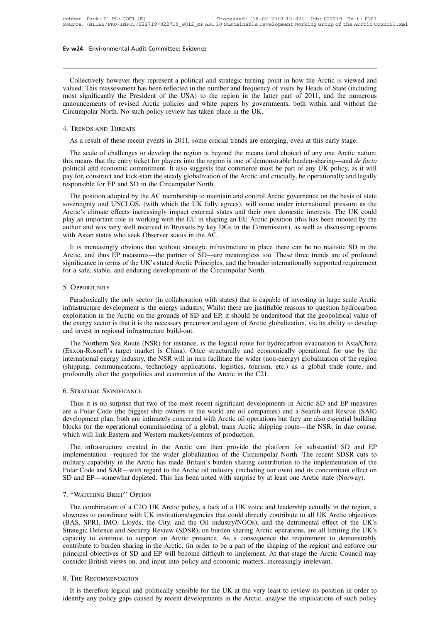**Collectively however they represent a political and strategic turning point in how the Arctic is viewed and lued. This reassessment has been reflected in the number and frequency of visits by Heads of State (including bot Ev w24** Environmental Audit Committee: Evidence<br>
Collectively however they represent a political and strategic turning point in how the Arctic is viewed and<br>
valued. This reassessment has been reflected in the number and **Ev w24** Environmental Audit Committee: Evidence<br>
Collectively however they represent a political and strategic turning point in how the Arctic is viewed and<br>
valued. This reassessment has been reflected in the number and Collectively however they represent a political and strategic turning point in how the Arctic is viewed and valued. This reassessment has been reflected in the number and frequency of visits by Heads of State (including mo Collectively however they represent a political and strategic turning point in how the Arctic is viewed and valued. This reassessment has been reflected in the number and frequency of visits by Heads of State (including mo Collectively however they repres<br>
valued. This reassessment has been<br>
most significantly the President o<br>
announcements of revised Arctic<br>
Circumpolar North. No such policy<br>
4. TRENDS AND THREATS As a result of these recent events in 2011, some crucial trends are emerging, even at this early stage.<br>The scale of revised Arctic policies and white papers by governments, both within and without the reumpolar North. No

nouncements of revised Arctic policies and white papers by governments, both within and without the<br>reumpolar North. No such policy review has taken place in the UK.<br>TRENDS AND THREATS<br>As a result of these recent events in Circumpolar North. No such policy review has taken place in the UK.<br>4. TRENDS AND THREATS<br>As a result of these recent events in 2011, some crucial trends are emerging, even at this early stage.<br>The scale of challenges to d 4. TRENDS AND THREATS<br>As a result of these recent events in 2011, some crucial trends are emerging, even at this early stage.<br>The scale of challenges to develop the region is beyond the means (and choice) of any one Arctic 4. TRENDS AND THREATS<br>As a result of these recent events in 2011, some crucial trends are emerging, even at this early stage.<br>The scale of challenges to develop the region is beyond the means (and choice) of any one Arcti As a result of these recent events in 2011, some crucial<br>The scale of challenges to develop the region is beyond<br>this means that the entry ticket for players into the region is<br>political and economic commitment. It also su The scale of challenges to develop the region is beyond the means (and choice) of any one Arctic nation;<br>s means that the entry ticket for players into the region is one of demonstrable burden-sharing—and *de facto*<br>litica The scale of challenges to develop the region is beyond the means (and choice) of any one Arctic hation, this means that the entry ticket for players into the region is one of demonstrable burden-sharing—and *de facto* pol

arctic's climate effects increasingly impact external states and their commission), as it will pay for, construct and kick-start the steady globalization of the Arctic and crucially, be operationally and legally responsibl pointed and economic communient. It also suggests that commerce must be part of any OK poincy, as it win<br>pay for, construct and kick-start the steady globalization of the Arctic and crucially, be operationally and legally<br> pay for, construct and KEK-start the steady grobanzation of the Aftele and cructary, be operationary and regary<br>responsible for EP and SD in the Circumpolar North.<br>The position adopted by the AC membership to maintain and responsible for Er and SD in the Circumpolar North.<br>The position adopted by the AC membership to maintain is<br>sovereignty and UNCLOS, (with which the UK fully agree<br>Arctic's climate effects increasingly impact external stat The position adopted by the AC inembership to manitant and control Arctic governance on the basis of state<br>vereignty and UNCLOS, (with which the UK fully agrees), will come under international pressure as the<br>ctic's climat Sovereignty and ONCLOS, (while which the OK Hury agrees), whi come under international pessure as the Arctic's climate effects increasingly impact external states and their own domestic interests. The UK could play an impo

Arctic s cinnate enects increasingly impact external states and their own domestic interests. The OK could<br>play an important role in working with the EU in shaping an EU Arctic position (this has been mooted by the<br>author play an important fore in working with the EO in shaping an EO Atche post<br>author and was very well received in Brussels by key DGs in the Commissio<br>with Asian states who seek Observer status in the AC.<br>It is increasingly o Paradoxism of the DK's stated Arctic Principles, and the broader internationally supported requirement ratio. and that is capable of investing in large scale Arctic and that is capable, and enduring development of the Circ

# 5. Opportunity

is inficance in terms of the UK's stated Arctic Principles, and the broader internationally supported requirement<br>for a safe, stable, and enduring development of the Circumpolar North.<br>5. OPPORTUNITY<br>Paradoxically the only Exploration in the Arctic on the Grounds of the Circumpolar North.<br>
5. OPPORTUNITY<br>
Paradoxically the only sector (in collaboration with states) that is capable of investing in large scale Arctic<br>
infrastructure developmen the energy sector is that it is the necessary precursor and agent of Arctic globalization, via its ability to development is the energy industry. Whilst there are justifiable reasons to question hydrocarbon exploitation in 5. OPPORTUNITY<br>
Paradoxically the only sector (in collaboration w<br>
infrastructure development is the energy industry. V<br>
exploitation in the Arctic on the grounds of SD and<br>
the energy sector is that it is the necessary pr Paradoxically the only sector (in collaboration with states) that is capable of investing in large scale Arctic<br>frastructure development is the energy industry. Whilst there are justifiable reasons to question hydrocarbon<br> Faladoxically the only sector (in contaboration with states) that is capable of investing in large scale Arctic<br>infrastructure development is the energy industry. Whilst there are justifiable reasons to question hydrocarbo

intrastructure development is the energy mustuy. Whilst the are justinable reasons to question hydrocarbon exploitation in the Arctic on the grounds of SD and EP, it should be understood that the geopolitical value of the Exploration in the Atcheon the grounds of SD and Er, it should be understood that the geopolitical value of the energy sector is that it is the necessary precursor and agent of Arctic globalization, via its ability to deve ine energy sector is that it is the hecessary precursor and agent or Arctic grobal<br>and invest in regional infrastructure build-out.<br>The Northern Sea Route (NSR) for instance, is the logical route for hydrod<br>(Exxon-Rosneft' the energy sector is that it is the necessional invest in regional infrastructure bu<br>The Northern Sea Route (NSR) for<br>(Exxon-Rosneft's target market is Ch<br>international energy industry, the NSR<br>(shipping, communications, t Example 10. Thus it is no surprise that two of the most recent significant developments of the most recent significant developments in Arctic SD and EP measures a Polar Code (the biggest ship owners in the world are oil co

Are a Communications, technology applications, logistics, tourism, etc.) as a global trade route, and<br>profoundly alter the geopolitics and economics of the Arctic in the C21.<br>6. STRATEGIC SIGNIFICANCE<br>Thus it is no surpris (suppring), commented geopolities and economics of the Arctic in the C21.<br>
Thus it is no surprise that two of the most recent significant developments in Arctic SD and EP measures<br>
are a Polar Code (the biggest ship owners blocks for the operational commissioning of a global, trans Arctic SD and EP measures are a Polar Code (the biggest ship owners in the world are oil companies) and a Search and Rescue (SAR) development plan; both are intim 6. STRATEGIC SIGNIFICANCE<br>Thus it is no surprise that two of the most recent significant developer<br>are a Polar Code (the biggest ship owners in the world are oil compani<br>development plan; both are intimately concerned with Thus it is no surprise that two of the most recent significant developments in Arctic SD and EP measures<br>
e a Polar Code (the biggest ship owners in the world are oil companies) and a Search and Rescue (SAR)<br>
velopment pla Finds it is no surprise that two of the most recent significant developments in Arctic 5D and Er measures<br>are a Polar Code (the biggest ship owners in the world are oil companies) and a Search and Rescue (SAR)<br>development

are a rotal Code (the biggest sinp owners in the world are on companies) and a search and rescue (SAR) development plan; both are intimately concerned with Arctic oil operations but they are also essential building blocks development plant, bout are intimately concerned with Arctic on operations out they are also essential outing<br>blocks for the operational commissioning of a global, trans Arctic shipping route—the NSR, in due course,<br>which SHOCKS FOT the operational commissioning of a grootal, transfactor surprepare transfer in the course, which will link Eastern and Western markets/centres of production.<br>The infrastructure created in the Arctic can then pro permemation of the Arctic has made Britain's burden sharing contribution to the implementation of the lar Code and SAR—with regard to the Arctic oil industry (including our own) and its concomitant effect on and EP—somewha

Solar Code and SAR—with regard to the Arctic oil industry (including our own) and its concomitant effect on SD and EP—somewhat depleted. This has been noted with surprise by at least one Arctic state (Norway).<br>T. "WATCHING (BAS) and EP—somewhat depleted. This has been noted with surprise by at least one Arctic state (Norway).<br>T. "WATCHING BRIEF" OPTION<br>The combination of a C2O UK Arctic policy, a lack of a UK voice and leadership actually in T. "WATCHING BRIEF" OPTION<br>The combination of a C2O UK Arctic policy, a lack of a UK voice and leadership actually in the region, a<br>slowness to coordinate with UK institutions/agencies that could directly contribute to all 7. "WATCHING BRIEF" OPTION<br>The combination of a C2O UK Arctic policy, a lack of a UK voice and leadership actually in the region, a<br>slowness to coordinate with UK institutions/agencies that could directly contribute to all 7. WATCHING BRIEF OPTION<br>The combination of a C2O UK Arctic policy, a lack of a UK voice and leadership actually in the region, a<br>slowness to coordinate with UK institutions/agencies that could directly contribute to all U The combination of a C2O UK Arctic policy, a lack of a UK voice and leadership actually in the region, a slowness to coordinate with UK institutions/agencies that could directly contribute to all UK Arctic objectives (BAS, slowness to coordinate with UK institutions/agencies that could directly contribute to all UK Arctic (BAS, SPRI, IMO, Lloyds, the City, and the Oil industry/NGOs), and the detrimental effect of Strategic Defence and Securi It is therefore logical and politically sensible for the UK at the very least to review its position in order our incipal objectives of SD and EP will become difficult to implement. At that stage the Arctic Council may ins interior contribute to burden sharing in the Arctic, (in order to be a part of the shaping of the region) and enforce our principal objectives of SD and EP will become difficult to implement. At that stage the Arctic Counc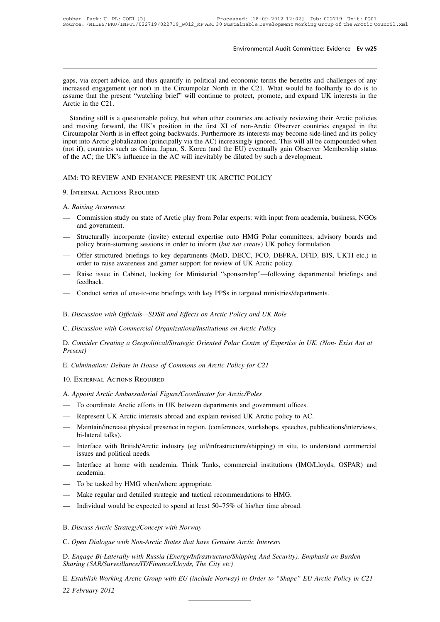Environmental Audit Committee: Evidence Ev w25<br>gaps, via expert advice, and thus quantify in political and economic terms the benefits and challenges of any<br>increased engagement (or not) in the Circumpolar North in the C21 Environmental Audit Committee: Evidence Ev w25<br>gaps, via expert advice, and thus quantify in political and economic terms the benefits and challenges of any<br>increased engagement (or not) in the Circumpolar North in the C21 Environmental Audit Committee: Evidence Ev w25<br>gaps, via expert advice, and thus quantify in political and economic terms the benefits and challenges of any<br>increased engagement (or not) in the Circumpolar North in the C21 gaps, via expert advice, and thus quantify in political and economic terms the benefits and challenges of any<br>increased engagement (or not) in the Circumpolar North in the C21. What would be foolhardy to do is to<br>assume th ps, via expert advice, and thus quantify in political and economic terms the benefits and challenges of any creased engagement (or not) in the Circumpolar North in the C21. What would be foolhardy to do is to sume that the

gaps, via expert advice, and thus quantify in political and economic terms the benefits and challenges of any<br>increased engagement (or not) in the Circumpolar North in the C21. What would be foolhardy to do is to<br>assume th Exercise dengagement (or not) in the Circumpolar North in the C21. What would be foolhardy to do is to assume that the present "watching brief" will continue to protect, promote, and expand UK interests in the Arctic in th income and moving the present "watching brief" will continue to protect, promote, and expand UK interests in the Arctic in the C21.<br>Standing still is a questionable policy, but when other countries are actively reviewing t (a) Arctic in the C21.<br>
Standing still is a questionable policy, but when other countries are actively reviewing their Arctic policies<br>
and moving forward, the UK's position in the first XI of non-Arctic Observer countries Standing still is a questionable policy, but when other countries are actively reviewing their *A* and moving forward, the UK's position in the first XI of non-Arctic Observer countries er Circumpolar North is in effect go and moving forward, the UK's position in the first XI of non-Arctic Observer count<br>Circumpolar North is in effect going backwards. Furthermore its interests may become sid<br>input into Arctic globalization (principally via t

- of the AC; the UK's influence<br>AIM: TO REVIEW AND ENI<br>9. INTERNAL ACTIONS REQUII<br>A. *Raising Awareness*<br>— Commission study on stat MIM: TO REVIEW AND ENHANCE PRESENT UK ARCTIC POLICY<br>
9. INTERNAL ACTIONS REQUIRED<br>
A. Raising Awareness<br>
— Commission study on state of Arctic play from Polar experts: with input from academia, business, NGOs<br>
and governme ETO REVIEW AND I<br>TERNAL ACTIONS REC<br>*aising Awareness*<br>Commission study on<br>and government.<br>Structurally incorpora
- 9. INTERNAL ACTIONS REQUIRED<br>
A. Raising Awareness<br>
 Commission study on state of Arctic play from Polar experts: with input from academia, business, NGOs<br>
and government.<br>
 Structurally incorporate (invite) external exp TERNAL ACHONS NEQUIRED<br>
aising Awareness<br>
Commission study on state of Arctic play from Polar experts: with input from academia, busine<br>
and government.<br>
Structurally incorporate (invite) external expertise onto HMG Polar A. Raising Awareness<br>
— Commission study on state of Arctic play from Polar experts: with input from academia, business, NGOs<br>
and government.<br>
— Structurally incorporate (invite) external expertise onto HMG Polar committe Commission study on state of Arctic play from Polar experts: with input from aca<br>and government.<br>Structurally incorporate (invite) external expertise onto HMG Polar committee<br>policy brain-storming sessions in order to info and government.<br>
— Structurally incorporate (invite) external expertise onto HMG Polar committees, advisory boards and<br>
policy brain-storming sessions in order to inform (*but not create*) UK policy formulation.<br>
— Offer s
- policy brain-storming sessions in order to inform (*but not create*) UK policy formulation.<br>
 Offer structured briefings to key departments (MoD, DECC, FCO, DEFRA, DFID, BIS, UK<br>
order to raise awareness and garner suppor
- feedback. order to raise awareness and garner support for review of UK Arctic policy.<br>
— Raise issue in Cabinet, looking for Ministerial "sponsorship"—following depart<br>
reedback.<br>
— Conduct series of one-to-one briefings with key PP Feedback.<br>
— Conduct series of one-to-one briefings with key PPSs in targeted ministries/departicles.<br>
B. *Discussion with Officials—SDSR and Effects on Arctic Policy and UK Role*<br>
C. *Discussion with Commercial Organizati*
- 
- 

— Conduct series of one-to-one briefings with key PPSs in targeted ministries/departments.<br>
B. *Discussion with Officials—SDSR and Effects on Arctic Policy and UK Role*<br>
C. *Discussion with Commercial Organizations/Institu Present)* E. *Discussion with Commercial Organizations/Institutions on Arctic Policy*<br>C. *Discussion with Commercial Organizations/Institutions on Arctic Policy*<br>D. *Consider Creating a Geopolitical/Strategic Oriented Polar Centre o* B. Discussion with Officials—SDSR and Effects on Arctic Policy and UK Role<br>
C. Discussion with Commercial Organizations/Institutions on Arctic Policy<br>
D. Consider Creating a Geopolitical/Strategic Oriented Polar Centre of D. Consider Creating a Geopolitical/Strategic Oriented Polar Centre of Exper<br>Present)<br>E. Culmination: Debate in House of Commons on Arctic Policy for C21<br>10. External Actions Require<br>A. Appoint Arctic Ambassadorial Figure/

- 
- E. Culmination: Debate in House of Commons on Arctic Policy for C21<br>10. EXTERNAL ACTIONS REQUIRED<br>A. Appoint Arctic Ambassadorial Figure/Coordinator for Arctic/Poles<br>— To coordinate Arctic efforts in UK between departments
- E. Cummation: *Debate* in House of Commons on Arctic Policy for C21<br>
10. EXTERNAL ACTIONS REQUIRED<br>
A. Appoint Arctic Ambassadorial Figure/Coordinator for Arctic/Poles<br>
 To coordinate Arctic efforts in UK between departme 10. EXTERNAL ACTIONS REQUIRED<br>
A. Appoint Arctic Ambassadorial Figure/Coordinator for Arctic/Poles<br>
— To coordinate Arctic efforts in UK between departments and government offices.<br>
— Represent UK Arctic interests abroad a mort Arctic Ambass<br>To coordinate Arctic<br>Represent UK Arctic<br>Maintain/increase phy<br>bi-lateral talks).<br>Interface with British The Coordinate Arctic efforts in UK between departments and government offices.<br>
— Represent UK Arctic interests abroad and explain revised UK Arctic policy to AC.<br>
— Maintain/increase physical presence in region, (confere - Represent UK Arctic interests abroad and explain revised UK Arctic policy to AC.<br>
- Maintain/increase physical presence in region, (conferences, workshops, speeches, publications/interviews,<br>
bi-lateral talks).<br>
- Interf — Represent UK Arctic interests abroad and explain revised UK Arctic policy to AC.<br>
— Maintain/increase physical presence in region, (conferences, workshops, speeches, publications/interviews,<br>
bi-lateral talks).<br>
— Interf
- bi-lateral talks).<br>
 Interface with British/Arctic industry (eg oil/infrastr<br>
issues and political needs.<br>
 Interface at home with academia, Think Tanks, co<br>
academia.<br>
 To be tasked by HMG when/where appropriate.<br>
 Ma
- academia. — Interface with British/Arctic industry (eg oil/infrastructure/shipping) in situ, to issues and political needs.<br>
— Interface at home with academia, Think Tanks, commercial institutions (IMe) academia.<br>
— To be tasked by — Interface at home with academia, Think Tanks, commercial institutions (IMO/L<br>academia.<br>— To be tasked by HMG when/where appropriate.<br>— Make regular and detailed strategic and tactical recommendations to HMG.<br>— Individual
- 
- 
- To be tasked by HMG when/where appropriate.<br>
 Make regular and detailed strategic and tactical recon<br>
 Individual would be expected to spend at least 50–75<br>
B. Discuss Arctic Strategy/Concept with Norway<br>
C. Open Dialo
- 
- 

Make regular and detailed strategic and tactical recommendations to HMG.<br>
— Individual would be expected to spend at least 50–75% of his/her time abroad.<br>
B. *Discuss Arctic Strategy/Concept with Norway*<br>
C. *Open Dialogue* matricular would be expected to spend at least 50–75% of his/her time abroad.<br>B. Discuss Arctic Strategy/Concept with Norway<br>C. Open Dialogue with Non-Arctic States that have Genuine Arctic Interests<br>D. Engage Bi-Laterally *S. Discuss Arctic Strategy/Concept with Norway*<br>*C. Open Dialogue with Non-Arctic States that have Genuine Arctic*<br>*D. Engage Bi-Laterally with Russia (Energy/Infrastructure/Shippin*<br>*Sharing (SAR/Surveillance/IT/Finance/* 

B. Discuss Arctic Strategy/Concept with Norway<br>C. Open Dialogue with Non-Arctic States that have Genuine Arctic Interests<br>D. Engage Bi-Laterally with Russia (Energy/Infrastructure/Shipping And Security). Emphasis on Burden **C. Open Dialogue<br>D. Engage Bi-Late<br>Sharing (SAR/Sury<br>E. Establish Work.<br>22 February 2012**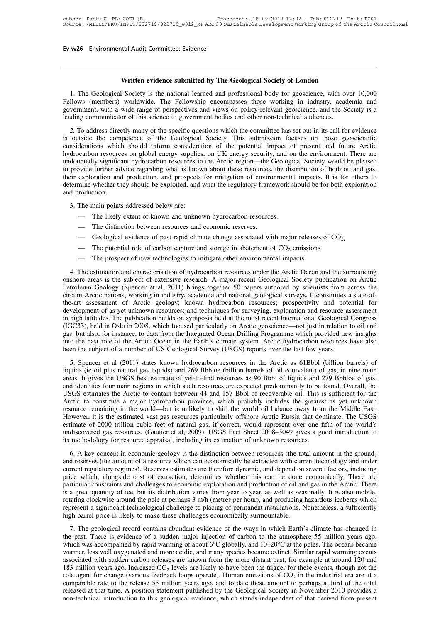**Kal Audit Committee: Evidence<br>Written evidence submitted by The Geological Society of London<br>| Society is the national learned and professional body for geoscience, with over** 1. The Geological Society is the national learned and professional body for geoscience, with over 10,000<br>1. The Geological Society is the national learned and professional body for geoscience, with over 10,000<br>1 llows (mem **Fellows (members)**<br>Fellows (members) worldwide. The Fellowship encompasses those working in industry, academia and government, with a wide range of perspectives and views on policy-relevant geoscience, and the Society is Written evidence submitted by The Geological Society of London<br>1. The Geological Society is the national learned and professional body for geoscience, with over 10,000<br>Fellows (members) worldwide. The Fellowship encompasse Written evidence submitted by The Geological Society of London<br>1. The Geological Society is the national learned and professional body for geoscience, with over 10,000<br>Fellows (members) worldwide. The Fellowship encompasse **2.** To address directly many of the specific questions which the potential impact of presections which specific material and vermment, with a wide range of perspectives and views on policy-relevant geoscience, and the Soc 1. The Geological Society is the national learned and professional body for geoscience, with over 10,000 Fellows (members) worldwide. The Fellowship encompasses those working in industry, academia and government, with a wi

Fellows (members) worldwide. The Fellowship encompasses those working in industry, academia and government, with a wide range of perspectives and views on policy-relevant geoscience, and the Society is a leading communicat Ferrors (included) wordwide. The Tenowsipp encourage of policy-relevant geoscience, and the Society is a leading communicator of this science to government bodies and other non-technical audiences.<br>
2. To address directly Leading communicator of this science to government bodies and other non-technical audiences.<br>
2. To address directly many of the specific questions which the committee has set out in its call for evidence<br>
is outside the c trading communicator of this setchce to government books and other non-ecentrical addictives.<br>
2. To address directly many of the specific questions which the committee has set out in its call for evidence<br>
is outside the 2. To address directly many of the specific questions which the committee has set out in its call for evidence is outside the competence of the Geological Society. This submission focuses on those geoscientific considerati is outside the competence of the Geological Society. This submission focuses on those geoscientific considerations which should inform consideration of the potential impact of present and future Arctic hydrocarbon resource considerations which<br>hydrocarbon resource<br>undoubtedly significa<br>to provide further ad<br>their exploration and<br>determine whether th<br>and production.<br>3. The main points undoubtedly significant hydrocarbon resources in the Arctic region—the Geological Society would be pleased<br>to provide further advice regarding what is known about these resources, the distribution of both oil and gas,<br>thei to provide further advice regarding what is known about these resources, the distribution of both oil and gas,<br>their exploration and production, and prospects for mitigation of environmental impacts. It is for others to<br>de determine whether they should be exploited, and what the regulatory framework should be for both exploration Froduction.<br>
The main points addressed below are:<br>
— The likely extent of known and unknown hydrocarbon resources.<br>
— The distinction between resources and economic reserves.<br>
— Geological evidence of past rapid climate c

- -
	-
	-
	-
	-

— The potential role of carbon capture and storage in abatement of  $CO_2$  emissions.<br>
— The prospect of new technologies to mitigate other environmental impacts.<br>
4. The estimation and characterisation of hydrocarbon resou - The distinction between resources and economic reserves.<br>
- Geological evidence of past rapid climate change associated with major releases of  $CO_2$ .<br>
- The potential role of carbon capture and storage in abatement of onshore areas is the subject of extensive research. A major releases of  $CO_2$ .<br>
The potential role of carbon capture and storage in abatement of  $CO_2$  emissions.<br>
The prospect of new technologies to mitigate other environ — Geological evidence of past rapid climate change associated with major releases of  $CO_2$ .<br>
— The prospect of new technologies to mitigate other environmental impacts.<br>
4. The estimation and characterisation of hydrocarb circum-Arctic nations, working in industry, academia and national geological surveys. It constitutes a state-of-<br>the-art assessment of Arctic geology; known hydrocarbon resources; prospectivity and potential for<br>developmen the-art assessment of Arctic geology; known hydrocarbon resources; prospectivity and potential for 4. The estimation and characterisation of hydrocarbon resources under the Arctic Ocean and the surrounding onshore areas is the subject of extensive research. A major recent Geological Society publication on Arctic Petrole 4. The estimation and characterisation of hydrocarbon resources under the Arctic Ocean and the surrounding onshore areas is the subject of extensive research. A major recent Geological Society publication on Arctic Petrole onshore areas is the subject of extensive research. A major recent Geological Society publication on Arctic Petroleum Geology (Spencer et al, 2011) brings together 50 papers authored by scientists from across the circum-Ar Petroleum Geology (Spencer et al, 2011) brings together 50 papers authored by scientists from across the circum-Arctic nations, working in industry, academia and national geological surveys. It constitutes a state-of-<br>thecircum-Arctic nations, working in industry, academia and national geological surveys. It constitutes a state-of-<br>the-art assessment of Arctic geology; known hydrocarbon resources; prospectivity and potential for<br>developmen the-art assessment of Arctic geology; known hydrocarbon resources; prospectivity and poted development of as yet unknown resources; and techniques for surveying, exploration and resource as in high latitudes. The publicati Figure of a publication builds on symposia held at he most recent International Geological Congress BC33), held in Oslo in 2008, which focused particularly on Arctic geoscience—not just in relation to oil and s, but also, If (IGC33), held in Oslo in 2008, which focused particularly on Arctic geoscience—not just in relation to oil and gas, but also, for instance, to data from the Integrated Ocean Drilling Programme which provided new insight

and interest of the Arctic Ocean in the Integrated Ocean Drilling Programme which provided new insights into the past role of the Arctic Ocean in the Earth's climate system. Arctic hydrocarbon resources have also been the gas, out also, for ansiet, to data from the Integrated obtain Diming Trogramme winen provided new misigns into the past role of the Arctic Ocean in the Earth's climate system. Arctic hydrocarbon resources have also been th The Arctic of an and the Arctic to contain between 44 and 157 Bbbl of recoverable oil. This is sufficient for the Arctic to contain regions in which such a provide serve the last few years.<br>
5. Spencer et al (2011) states been are stagleet of a namber of obs decological statedy (coologities) reports over are nast fow years.<br>
5. Spencer et al (2011) states known hydrocarbon resources in the Arctic as 61Bbbl (billion barrels) of<br>
liquids (ie 5. Spencer et al (2011) states known hydrocarbon resources in the Arctic as 61Bbbl (billion barrels) of liquids (ie oil plus natural gas liquids) and 269 Bbbloe (billion barrels of oil equivalent) of gas, in nine main area liquids (ie oil plus natural gas liquids) and 269 Bbbloe (billion barrels of oil equivalent) of gas, in nine main areas. It gives the USGS best estimate of yet-to-find resources as 90 Bbbl of liquids and 279 Bbbloe of gas, areas. It gives the USGS best estimate of yet-to-find resources as 90 Bbbl of liquids and 279 Bbbloe of gas, and identifies four main regions in which such resources are expected predominantly to be found. Overall, the USG and identifies four main regions in which such resources are expected predominantly to be found. Overall, the USGS estimates the Arctic to contain between 44 and 157 Bbbl of recoverable oil. This is sufficient for the Arct USGS estimates the Arctic to contain between 44 and 157 Bbbl of recoverable oil. This is Arctic to constitute a major hydrocarbon province, which probably includes the greates resource remaining in the world—but is unlikel Example 1. A key concept in economic geology is the distinction between resources and the world of balance away from the Middle East.<br>
Source remaining in the world—but is unlikely to shift the world oil balance away from Fowever, it is the estimated vast gas resources particularly offshore Arctic Russia that dominate. The USGS estimate of 2000 trillion cubic feet of natural gas, if correct, would represent over one fifth of the world's und

regiment of 2000 trillion cubic feet of natural gas, if correct, would represent over one fifth of the world's undiscovered gas resources. (Gautier et al, 2009). USGS Fact Sheet 2008–3049 gives a good introduction to its m undiscovered gas resources. (Gautier et al, 2009). USGS Fact Sheet 2008–3049 gives a good introduction to its methodology for resource appraisal, including its estimation of unknown resources.<br>6. A key concept in economic and the methodology for resources. (Calatier et al., 2009). C5035 Tatet Sheet 2000 3019 gives a good intodatedn to its methodology for resource appraisal, including its estimation of unknown resources.<br>6. A key concept in is included to provide approach, increasing its estimation of anknown resources.<br>
6. A key concept in economic geology is the distinction between resources (the total amount in the ground)<br>
and reserves (the amount of a r 6. A key concept in economic geology is the distinction between resources (the total amount in the ground) and reserves (the amount of a resource which can economically be extracted with current technology and under curren and reserves (the amount of a resource which can economically be extracted with current technology and under current regulatory regimes). Reserves estimates are therefore dynamic, and depend on several factors, including p current regulatory regimes). Reserves estimates are therefore dynamic, and depend on price which, alongside cost of extraction, determines whether this can be done particular constraints and challenges to economic explorat Fitcular constraints and challenges to economic exploration and production of oil and gas in the Arctic. There<br>a great quantity of ice, but its distribution varies from year to year, as well as seasonally. It is also mobil parational consultants and contains abundant exploration and procedure of a sudden in the state of a sudden major incentence of the ways in the atmosphere as a sufficiently represent a significant technological challenge t

which was accompanied by rapid warming of about 6°C globally, and producing hazardous icebergs which represent a significant technological challenge to placing of permanent installations. Nonetheless, a sufficiently high Frame is a significant technological challenge to placing of permanent installations. Nonetheless, a sufficiently high barrel price is likely to make these challenges economically surmountable.<br>
7. The geological record c Fighteria a significant demotion candidary of phemic in summountable.<br>
The geological record contains abundant evidence of the ways in which Earth's climate has changed in<br>
the past. There is evidence of a sudden major in 183 million years ago. Increased CO<sub>2</sub> levels are likely to have been the trigger for these conducts.<br>
183 million years ago, which was accompanied by rapid warming of about 6°C globally, and 10–20°C at the poles. The oce 7. The geological record contains abundant evidence of the ways in which Earth's cl<br>the past. There is evidence of a sudden major injection of carbon to the atmosphere 5<br>which was accompanied by rapid warming of about 6°C th's climate has changed in<br>bhere 55 million years ago,<br>ee poles. The oceans became<br>imilar rapid warming events<br>example at around 120 and<br>these events, though not the<br>in the industrial era are at a<br>perhaps a third of the t the past. There is evidence of a sudden major injection of carbon to the atmosphere 55 million years ago, which was accompanied by rapid warming of about 6°C globally, and  $10-20$ °C at the poles. The oceans became warmer, which was accompanied by rapid warming of about  $6^{\circ}C$  globally, and  $10-20^{\circ}C$  at the poles. The oceans became<br>warmer, less well oxygenated and more acidic, and many species became extinct. Similar rapid warming even warmer, less well oxygenated and more acidic, and many species became extinct. Similar rapid warming events associated with sudden carbon releases are known from the more distant past, for example at around 120 and 183 mi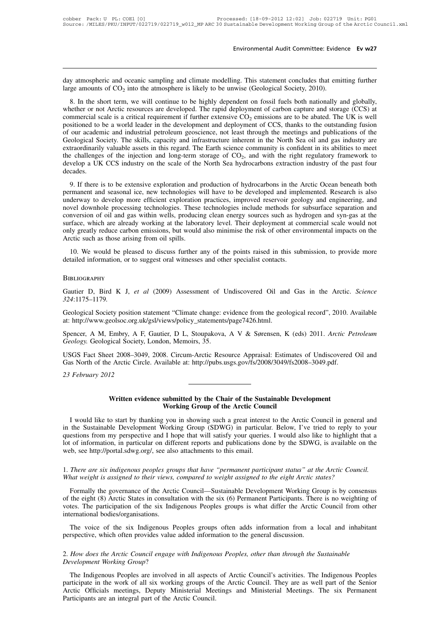Environmental Audit Committee: Evidence Ev w27<br>day atmospheric and oceanic sampling and climate modelling. This statement concludes that emitting further<br>large amounts of CO<sub>2</sub> into the atmosphere is likely to be unwise (G day atmospheric and oceanic<br>large amounts of CO<sub>2</sub> into th<br>8. In the short term, we w Environmental Audit Committee: Evidence Ev w27<br>
day atmospheric and oceanic sampling and climate modelling. This statement concludes that emitting further<br>
large amounts of CO<sub>2</sub> into the atmosphere is likely to be unwise

8. In the short term, we will continue to be highly dependent on fossil fuels both nationally and globally,<br>8. In the short term, we will continue to be highly dependent on fossil fuels both nationally and globally,<br>sethe day atmospheric and oceanic sampling and climate modelling. This statement concludes that emitting further large amounts of  $CO_2$  into the atmosphere is likely to be unwise (Geological Society, 2010).<br>8. In the short term day atmospheric and oceanic sampling and climate modelling. This statement concludes that emitting further large amounts of  $CO_2$  into the atmosphere is likely to be unwise (Geological Society, 2010).<br>8. In the short term day atmospheric and oceanic sampling and climate modelling. This statement concludes that emitting further large amounts of  $CO_2$  into the atmosphere is likely to be unwise (Geological Society, 2010).<br>8. In the short term day annospheric and occanic sampling and climate inodering. This statement concludes that emiting rather<br>large amounts of  $CO_2$  into the atmosphere is likely to be unwise (Geological Society, 2010).<br>8. In the short term, angle amounts of  $CO<sub>2</sub>$  mo the ambesphere is merry to be thinking (Geological Society, 2010).<br>
8. In the short term, we will continue to be highly dependent on fossil fuels both nationally and globally,<br>
whether or no 8. In the short term, we will continue to be highly dependent on fossil fuels both nationally and globally, whether or not Arctic resources are developed. The rapid deployment of carbon capture and storage (CCS) at commer whether or not Arctic resources are developed. The rapid deployment<br>commercial scale is a critical requirement if further extensive  $CO_2$  emi<br>positioned to be a world leader in the development and deployment of<br>of our aca by wyment of carbon capture and storage (CCS) at  $O_2$  emissions are to be abated. The UK is well ment of CCS, thanks to the outstanding fusion through the meetings and publications of the rent in the North Sea oil and ga commercial scale is a critical requirement if further extensive  $CO_2$  emissions are to be abated. The UK is well<br>positioned to be a world leader in the development and deployment of CCS, thanks to the outstanding fusion<br>o decades. Geological Society. The skills, capacity and infrastructure inherent in the North Sea oil and gas industry are<br>extraordinarily valuable assets in this regard. The Earth science community is confident in its abilities to m betwich the challenges of the skins, capachy and imitalitation interferit in the Fordi Sea on and gas massify are extraordinarily valuable assets in this regard. The Earth science community is confident in its abilities to

extraordinary variable assets in this regard. The Earth scribe commantly is connected in its abilities to filed<br>the challenges of the injection and long-term storage of CO<sub>2</sub>, and with the right regulatory framework to<br>dev novel a UK CCS industry on the scale of the North Sea hydrocarbons extraction industry of the past four decades.<br>
9. If there is to be extensive exploration and production of hydrocarbons in the Arctic Ocean beneath both p decades.<br>
9. If there is to be extensive exploration and production of hydrocarbons in the Arctic Ocean beneath both<br>
permanent and seasonal ice, new technologies will have to be developed and implemented. Research is also 9. If there is to be extensive exploration and production of hydrocarbons in the Arctic Ocean beneath both permanent and seasonal ice, new technologies will have to be developed and implemented. Research is also underway t 9. If there is to be extensive exploration and production of hydrocarbons in the Arctic Ocean beneath both permanent and seasonal ice, new technologies will have to be developed and implemented. Research is also underway t permanent and seasonal ice, new technologies v<br>underway to develop more efficient exploration<br>novel downhole processing technologies. These<br>conversion of oil and gas within wells, producit<br>surface, which are already workin The diversion of our diversion provides, improved reservor geology and engineering, and<br>the downhole processing technologies. These technologies include methods for subsurface separation and<br>origin of oil and gas within we nover download processing detmologies. These definitioges include includes for<br>conversion of oil and gas within wells, producing clean energy sources such as hy<br>surface, which are already working at the laboratory level. T

Figure 324:1175-1179.<br>
Gautier D, Bird K J, *et al* (2009) Assessment of Undiscovered Oil and Gas in the Arctic. *Science*<br>  $\frac{324:1175-1179}{2000}$ .

# **BIBLIOGRAPHY**

**324:1175–1179**.<br> **324:1175–1179**.<br> **324:1175–1179**.<br> **324:1175–1179**.<br> **324:1175–1179**.<br> **324:1175–1179**.<br> **324:1175–1179.**<br> **324:1175–1179.**<br> **324:1175–1179.**<br> **324:1175–1179.**<br> **324:1175–1179.**<br> **324:1175–1179.**<br> **324:1** BIBLIOGRAPHY<br>Gautier D, Bird K J, *et al* (2009) Assessment of Undiscovered Oil and<br>324:1175–1179.<br>Geological Society position statement "Climate change: evidence from the geol<br>at: http://www.geolsoc.org.uk/gsl/views/polic Gautier D, Bird K J, *et al* (2009) Assessment of Undiscovered Oil and Gas in the Arctic. *Science*<br>
324:1175–1179.<br>
Geological Society position statement "Climate change: evidence from the geological record", 2010. Availa Gautier D, Bird K J, *et al* (2009) Assessment of Undiscovered Oil and Gas in the Arctic. *Science* 324:1175–1179.<br>
Geological Society position statement "Climate change: evidence from the geological record", 2010. Availab Geological Society position statement "Climate change: evidence from the geological record", 2010. Available at: http://www.geolsoc.org.uk/gsl/views/policy\_statements/page7426.html.<br>Spencer, A M, Embry, A F, Gautier, D L,

Geological Society position statement "Climate change: evidence from the geological record", 2010. A<br>at: http://www.geolsoc.org.uk/gsl/views/policy\_statements/page7426.html.<br>Spencer, A M, Embry, A F, Gautier, D L, Stoupako Spencer, A M, Embry, A F, *Geology*. Geological Society, USGS Fact Sheet 2008–3049<br>Gas North of the Arctic Circl<br>23 February 2012

**EXECUTE:** 2008–3049, 2008. Circum-Arctic Resource Appraisal: Estimates of Undiscovered<br>
Arctic Circle. Available at: http://pubs.usgs.gov/fs/2008/3049/fs2008–3049.pdf.<br> **Written evidence submitted by the Chair of the Sust** 

**Written evidence submitted by the Chair of the Sustainable Development**<br>I would like to start by thanking you in showing such a great interest to the Arctic Council in general and<br>in the Sustainable Development Working Gr Viction Evaluation Controllery and Theorem Council<br>
I would like to start by thanking you in showing such a great interest to the Arctic Council in general and<br>
the Sustainable Development Working Group (SDWG) in particula **in the Sustainable Development**<br> **in the Sustainable Development**<br> **i** I would like to start by thanking you in showing such a great interest to the Arctic Council in general and<br>
in the Sustainable Development Working Gr **Written evidence submitted by the Chair of the Sustainable Development**<br> **I** would like to start by thanking you in showing such a great interest to the Arctic Council in general and<br>
in the Sustainable Development Workin Written evidence submitted by the Chair of the Sustainable Development<br>
I would like to start by thanking you in showing such a great interest to the Arctic Council in general and<br>
in the Sustainable Development Working Gr Working Group of the Arctic Coun<br>I would like to start by thanking you in showing such a great interest<br>in the Sustainable Development Working Group (SDWG) in particula<br>questions from my perspective and I hope that will sa 1. would like to start by thanking you in showing such a great interest to the Arctic Council in general and<br>in the Sustainable Development Working Group (SDWG) in particular. Below, I've tried to reply to your<br>questions f In the Sustainable Development Working Group (SDWG) in particular. Below, I've tried to reply to y<br>questions from my perspective and I hope that will satisfy your queries. I would also like to highlight th<br>lot of informati

Formally the governance of the six Indigenous Peoples groups is what differ the Arctic Council.<br>There are six indigenous peoples groups that have "permanent participant status" at the Arctic Council.<br>There are six indigeno web, see http://portal.sdwg.org/, see also attachments to this email.<br>
1. There are six indigenous peoples groups that have "permanent participant status" at the Arctic Council.<br>
What weight is assigned to their views, com 1. There are six indigenous peoples groups that have "permanent participant status" at the Arctic Council.<br>What weight is assigned to their views, compared to weight assigned to the eight Arctic states?<br>Formally the govern 1. There are six indigenous peoples gro<br>What weight is assigned to their views,<br>Formally the governance of the Arcti<br>of the eight (8) Arctic States in consult<br>votes. The participation of the six Indi<br>international bodies/o *nat weight is assigned to their views, compared to weight assigned to the eight Arctic states?*<br>Formally the governance of the Arctic Council—Sustainable Development Working Group is by consensus<br>the eight (8) Arctic Stat Formally the governance of the Arctic Council—Sustainable Development Working Grof the eight (8) Arctic States in consultation with the six (6) Permanent Participants. There votes. The participation of the six Indigenous P votes. The participation of the six Indigenous Peoples groups is what differ the Arctic Council from other international bodies/organisations.<br>The voice of the six Indigenous Peoples groups often adds information from a lo

international bodies/organisations.<br>
The voice of the six Indigenous P<br>
perspective, which often provides value<br>
2. How does the Arctic Council engage<br>
Development Working Group?<br>
The Indigenous Peoples are involved

The voice of the six Indigenous Peoples groups often adds information from a local and inhabitant<br>rspective, which often provides value added information to the general discussion.<br>How does the Arctic Council engage with I perspective, which often provides value added information to the general discussion.<br>
2. How does the Arctic Council engage with Indigenous Peoples, other than through the Sustainable<br>
Development Working Group?<br>
The Indig 2. How does the Arctic Council engage with Indigenous Peoples, other than through the Sustainable<br>Development Working Group?<br>The Indigenous Peoples are involved in all aspects of Arctic Council's activities. The Indigenous 2. How does the Arctic Council engage with Indigeno<br>Development Working Group?<br>The Indigenous Peoples are involved in all aspects<br>participate in the work of all six working groups of<br>Arctic Officials meetings, Deputy Minis